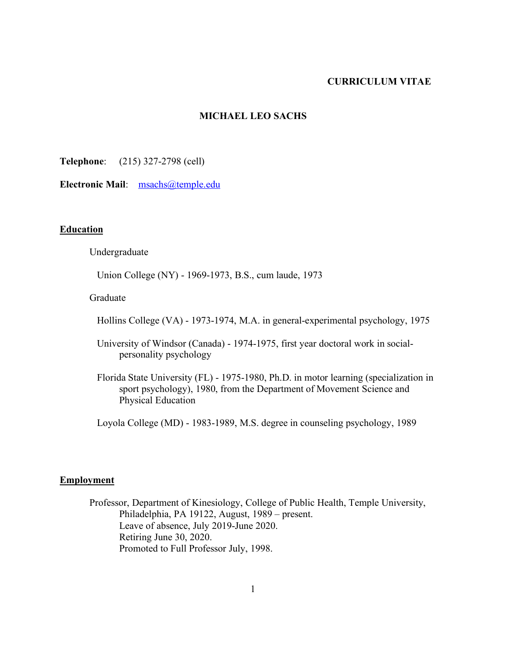# **CURRICULUM VITAE**

### **MICHAEL LEO SACHS**

**Telephone**: (215) 327-2798 (cell)

**Electronic Mail**: msachs@temple.edu

## **Education**

Undergraduate

Union College (NY) - 1969-1973, B.S., cum laude, 1973

Graduate

Hollins College (VA) - 1973-1974, M.A. in general-experimental psychology, 1975

 University of Windsor (Canada) - 1974-1975, first year doctoral work in socialpersonality psychology

 Florida State University (FL) - 1975-1980, Ph.D. in motor learning (specialization in sport psychology), 1980, from the Department of Movement Science and Physical Education

Loyola College (MD) - 1983-1989, M.S. degree in counseling psychology, 1989

#### **Employment**

Professor, Department of Kinesiology, College of Public Health, Temple University, Philadelphia, PA 19122, August, 1989 – present. Leave of absence, July 2019-June 2020. Retiring June 30, 2020. Promoted to Full Professor July, 1998.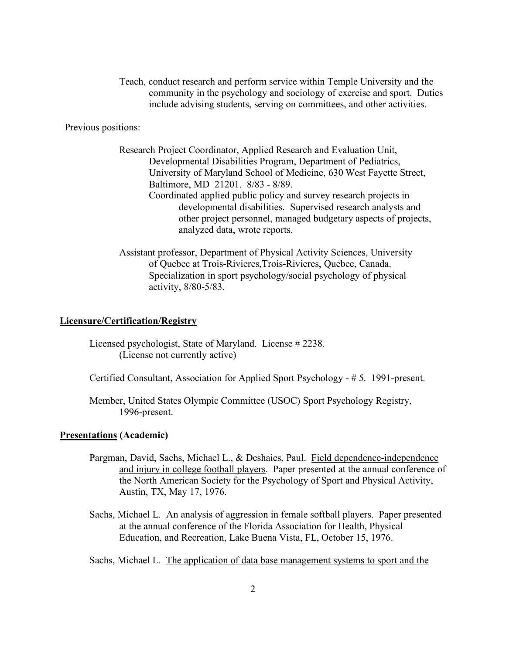Teach, conduct research and perform service within Temple University and the community in the psychology and sociology of exercise and sport. Duties include advising students, serving on committees, and other activities.

Previous positions:

Research Project Coordinator, Applied Research and Evaluation Unit, Developmental Disabilities Program, Department of Pediatrics, University of Maryland School of Medicine, 630 West Fayette Street, Baltimore, MD 21201. 8/83 - 8/89. Coordinated applied public policy and survey research projects in developmental disabilities. Supervised research analysts and other project personnel, managed budgetary aspects of projects, analyzed data, wrote reports.

Assistant professor, Department of Physical Activity Sciences, University of Quebec at Trois-Rivieres,Trois-Rivieres, Quebec, Canada. Specialization in sport psychology/social psychology of physical activity, 8/80-5/83.

#### **Licensure/Certification/Registry**

Licensed psychologist, State of Maryland. License # 2238. (License not currently active)

Certified Consultant, Association for Applied Sport Psychology - # 5. 1991-present.

Member, United States Olympic Committee (USOC) Sport Psychology Registry, 1996-present.

# **Presentations (Academic)**

- Pargman, David, Sachs, Michael L., & Deshaies, Paul. Field dependence-independence and injury in college football players. Paper presented at the annual conference of the North American Society for the Psychology of Sport and Physical Activity, Austin, TX, May 17, 1976.
- Sachs, Michael L. An analysis of aggression in female softball players. Paper presented at the annual conference of the Florida Association for Health, Physical Education, and Recreation, Lake Buena Vista, FL, October 15, 1976.

Sachs, Michael L. The application of data base management systems to sport and the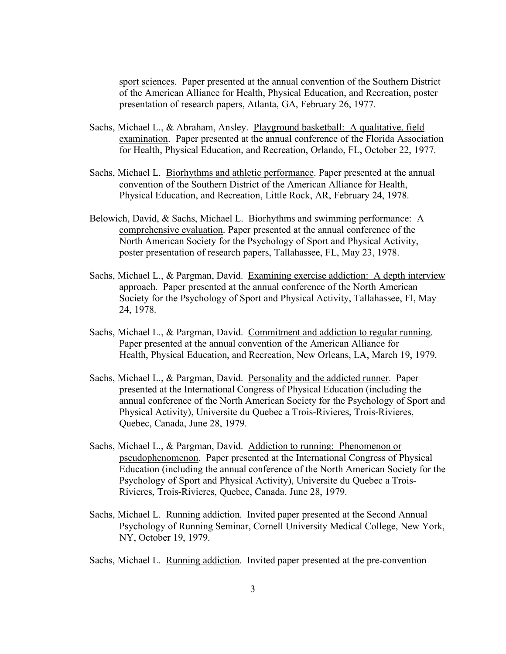sport sciences. Paper presented at the annual convention of the Southern District of the American Alliance for Health, Physical Education, and Recreation, poster presentation of research papers, Atlanta, GA, February 26, 1977.

- Sachs, Michael L., & Abraham, Ansley. Playground basketball: A qualitative, field examination. Paper presented at the annual conference of the Florida Association for Health, Physical Education, and Recreation, Orlando, FL, October 22, 1977.
- Sachs, Michael L. Biorhythms and athletic performance. Paper presented at the annual convention of the Southern District of the American Alliance for Health, Physical Education, and Recreation, Little Rock, AR, February 24, 1978.
- Belowich, David, & Sachs, Michael L. Biorhythms and swimming performance: A comprehensive evaluation. Paper presented at the annual conference of the North American Society for the Psychology of Sport and Physical Activity, poster presentation of research papers, Tallahassee, FL, May 23, 1978.
- Sachs, Michael L., & Pargman, David. Examining exercise addiction: A depth interview approach. Paper presented at the annual conference of the North American Society for the Psychology of Sport and Physical Activity, Tallahassee, Fl, May 24, 1978.
- Sachs, Michael L., & Pargman, David. Commitment and addiction to regular running. Paper presented at the annual convention of the American Alliance for Health, Physical Education, and Recreation, New Orleans, LA, March 19, 1979.
- Sachs, Michael L., & Pargman, David. Personality and the addicted runner. Paper presented at the International Congress of Physical Education (including the annual conference of the North American Society for the Psychology of Sport and Physical Activity), Universite du Quebec a Trois-Rivieres, Trois-Rivieres, Quebec, Canada, June 28, 1979.
- Sachs, Michael L., & Pargman, David. Addiction to running: Phenomenon or pseudophenomenon. Paper presented at the International Congress of Physical Education (including the annual conference of the North American Society for the Psychology of Sport and Physical Activity), Universite du Quebec a Trois-Rivieres, Trois-Rivieres, Quebec, Canada, June 28, 1979.
- Sachs, Michael L. Running addiction. Invited paper presented at the Second Annual Psychology of Running Seminar, Cornell University Medical College, New York, NY, October 19, 1979.
- Sachs, Michael L. Running addiction. Invited paper presented at the pre-convention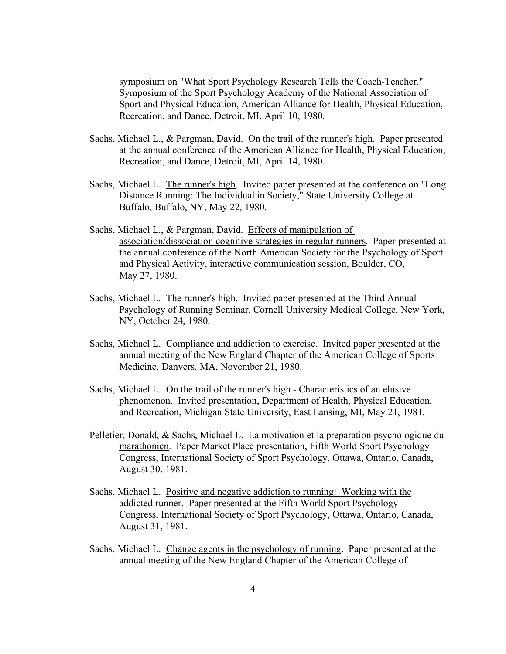symposium on "What Sport Psychology Research Tells the Coach-Teacher." Symposium of the Sport Psychology Academy of the National Association of Sport and Physical Education, American Alliance for Health, Physical Education, Recreation, and Dance, Detroit, MI, April 10, 1980.

- Sachs, Michael L., & Pargman, David. On the trail of the runner's high. Paper presented at the annual conference of the American Alliance for Health, Physical Education, Recreation, and Dance, Detroit, MI, April 14, 1980.
- Sachs, Michael L. The runner's high. Invited paper presented at the conference on "Long Distance Running: The Individual in Society," State University College at Buffalo, Buffalo, NY, May 22, 1980.
- Sachs, Michael L., & Pargman, David. Effects of manipulation of association/dissociation cognitive strategies in regular runners. Paper presented at the annual conference of the North American Society for the Psychology of Sport and Physical Activity, interactive communication session, Boulder, CO, May 27, 1980.
- Sachs, Michael L. The runner's high. Invited paper presented at the Third Annual Psychology of Running Seminar, Cornell University Medical College, New York, NY, October 24, 1980.
- Sachs, Michael L. Compliance and addiction to exercise. Invited paper presented at the annual meeting of the New England Chapter of the American College of Sports Medicine, Danvers, MA, November 21, 1980.
- Sachs, Michael L. On the trail of the runner's high Characteristics of an elusive phenomenon. Invited presentation, Department of Health, Physical Education, and Recreation, Michigan State University, East Lansing, MI, May 21, 1981.
- Pelletier, Donald, & Sachs, Michael L. La motivation et la preparation psychologique du marathonien. Paper Market Place presentation, Fifth World Sport Psychology Congress, International Society of Sport Psychology, Ottawa, Ontario, Canada, August 30, 1981.
- Sachs, Michael L. Positive and negative addiction to running: Working with the addicted runner. Paper presented at the Fifth World Sport Psychology Congress, International Society of Sport Psychology, Ottawa, Ontario, Canada, August 31, 1981.
- Sachs, Michael L. Change agents in the psychology of running. Paper presented at the annual meeting of the New England Chapter of the American College of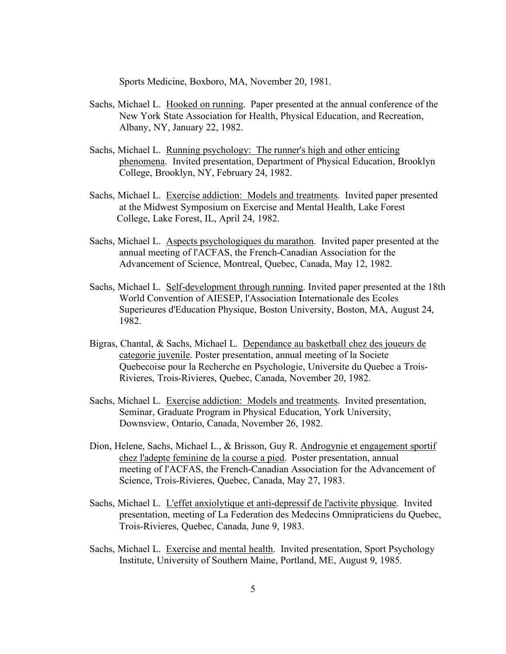Sports Medicine, Boxboro, MA, November 20, 1981.

- Sachs, Michael L. Hooked on running. Paper presented at the annual conference of the New York State Association for Health, Physical Education, and Recreation, Albany, NY, January 22, 1982.
- Sachs, Michael L. Running psychology: The runner's high and other enticing phenomena. Invited presentation, Department of Physical Education, Brooklyn College, Brooklyn, NY, February 24, 1982.
- Sachs, Michael L. Exercise addiction: Models and treatments. Invited paper presented at the Midwest Symposium on Exercise and Mental Health, Lake Forest College, Lake Forest, IL, April 24, 1982.
- Sachs, Michael L. Aspects psychologiques du marathon. Invited paper presented at the annual meeting of l'ACFAS, the French-Canadian Association for the Advancement of Science, Montreal, Quebec, Canada, May 12, 1982.
- Sachs, Michael L. Self-development through running. Invited paper presented at the 18th World Convention of AIESEP, l'Association Internationale des Ecoles Superieures d'Education Physique, Boston University, Boston, MA, August 24, 1982.
- Bigras, Chantal, & Sachs, Michael L. Dependance au basketball chez des joueurs de categorie juvenile. Poster presentation, annual meeting of la Societe Quebecoise pour la Recherche en Psychologie, Universite du Quebec a Trois-Rivieres, Trois-Rivieres, Quebec, Canada, November 20, 1982.
- Sachs, Michael L. Exercise addiction: Models and treatments. Invited presentation, Seminar, Graduate Program in Physical Education, York University, Downsview, Ontario, Canada, November 26, 1982.
- Dion, Helene, Sachs, Michael L., & Brisson, Guy R. Androgynie et engagement sportif chez l'adepte feminine de la course a pied. Poster presentation, annual meeting of l'ACFAS, the French-Canadian Association for the Advancement of Science, Trois-Rivieres, Quebec, Canada, May 27, 1983.
- Sachs, Michael L. L'effet anxiolytique et anti-depressif de l'activite physique. Invited presentation, meeting of La Federation des Medecins Omnipraticiens du Quebec, Trois-Rivieres, Quebec, Canada, June 9, 1983.
- Sachs, Michael L. Exercise and mental health. Invited presentation, Sport Psychology Institute, University of Southern Maine, Portland, ME, August 9, 1985.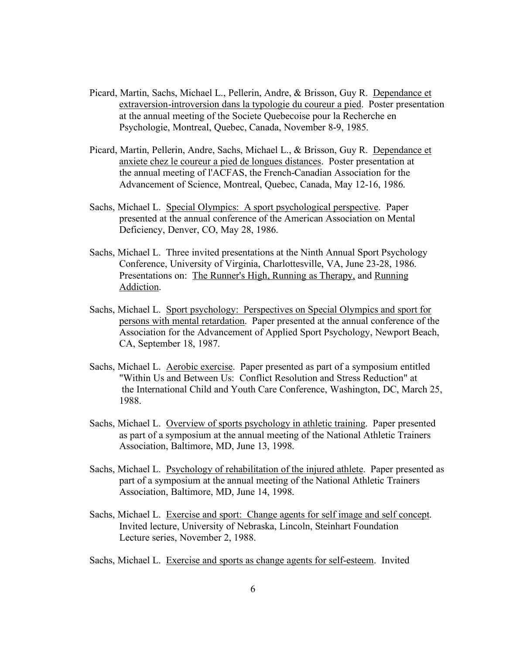- Picard, Martin, Sachs, Michael L., Pellerin, Andre, & Brisson, Guy R. Dependance et extraversion-introversion dans la typologie du coureur a pied. Poster presentation at the annual meeting of the Societe Quebecoise pour la Recherche en Psychologie, Montreal, Quebec, Canada, November 8-9, 1985.
- Picard, Martin, Pellerin, Andre, Sachs, Michael L., & Brisson, Guy R. Dependance et anxiete chez le coureur a pied de longues distances. Poster presentation at the annual meeting of l'ACFAS, the French-Canadian Association for the Advancement of Science, Montreal, Quebec, Canada, May 12-16, 1986.
- Sachs, Michael L. Special Olympics: A sport psychological perspective. Paper presented at the annual conference of the American Association on Mental Deficiency, Denver, CO, May 28, 1986.
- Sachs, Michael L. Three invited presentations at the Ninth Annual Sport Psychology Conference, University of Virginia, Charlottesville, VA, June 23-28, 1986. Presentations on: The Runner's High, Running as Therapy, and Running Addiction.
- Sachs, Michael L. Sport psychology: Perspectives on Special Olympics and sport for persons with mental retardation. Paper presented at the annual conference of the Association for the Advancement of Applied Sport Psychology, Newport Beach, CA, September 18, 1987.
- Sachs, Michael L. Aerobic exercise. Paper presented as part of a symposium entitled "Within Us and Between Us: Conflict Resolution and Stress Reduction" at the International Child and Youth Care Conference, Washington, DC, March 25, 1988.
- Sachs, Michael L. Overview of sports psychology in athletic training. Paper presented as part of a symposium at the annual meeting of the National Athletic Trainers Association, Baltimore, MD, June 13, 1998.
- Sachs, Michael L. Psychology of rehabilitation of the injured athlete. Paper presented as part of a symposium at the annual meeting of the National Athletic Trainers Association, Baltimore, MD, June 14, 1998.
- Sachs, Michael L. Exercise and sport: Change agents for self image and self concept. Invited lecture, University of Nebraska, Lincoln, Steinhart Foundation Lecture series, November 2, 1988.
- Sachs, Michael L. Exercise and sports as change agents for self-esteem. Invited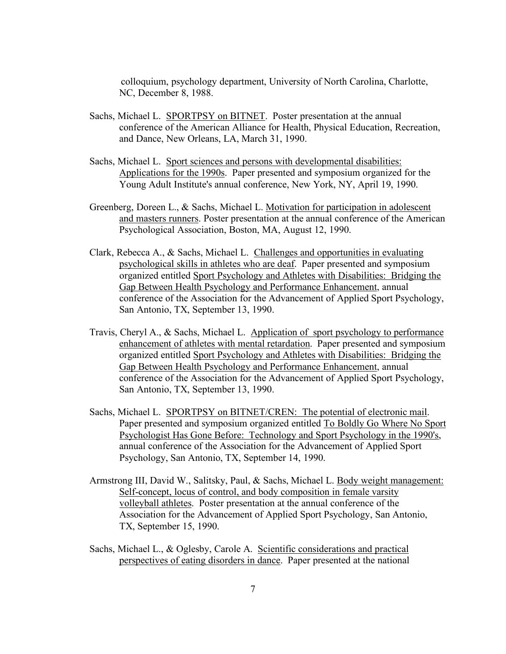colloquium, psychology department, University of North Carolina, Charlotte, NC, December 8, 1988.

- Sachs, Michael L. SPORTPSY on BITNET. Poster presentation at the annual conference of the American Alliance for Health, Physical Education, Recreation, and Dance, New Orleans, LA, March 31, 1990.
- Sachs, Michael L. Sport sciences and persons with developmental disabilities: Applications for the 1990s. Paper presented and symposium organized for the Young Adult Institute's annual conference, New York, NY, April 19, 1990.
- Greenberg, Doreen L., & Sachs, Michael L. Motivation for participation in adolescent and masters runners. Poster presentation at the annual conference of the American Psychological Association, Boston, MA, August 12, 1990.
- Clark, Rebecca A., & Sachs, Michael L. Challenges and opportunities in evaluating psychological skills in athletes who are deaf. Paper presented and symposium organized entitled Sport Psychology and Athletes with Disabilities: Bridging the Gap Between Health Psychology and Performance Enhancement, annual conference of the Association for the Advancement of Applied Sport Psychology, San Antonio, TX, September 13, 1990.
- Travis, Cheryl A., & Sachs, Michael L. Application of sport psychology to performance enhancement of athletes with mental retardation. Paper presented and symposium organized entitled Sport Psychology and Athletes with Disabilities: Bridging the Gap Between Health Psychology and Performance Enhancement, annual conference of the Association for the Advancement of Applied Sport Psychology, San Antonio, TX, September 13, 1990.
- Sachs, Michael L. SPORTPSY on BITNET/CREN: The potential of electronic mail. Paper presented and symposium organized entitled To Boldly Go Where No Sport Psychologist Has Gone Before: Technology and Sport Psychology in the 1990's, annual conference of the Association for the Advancement of Applied Sport Psychology, San Antonio, TX, September 14, 1990.
- Armstrong III, David W., Salitsky, Paul, & Sachs, Michael L. Body weight management: Self-concept, locus of control, and body composition in female varsity volleyball athletes. Poster presentation at the annual conference of the Association for the Advancement of Applied Sport Psychology, San Antonio, TX, September 15, 1990.
- Sachs, Michael L., & Oglesby, Carole A. Scientific considerations and practical perspectives of eating disorders in dance. Paper presented at the national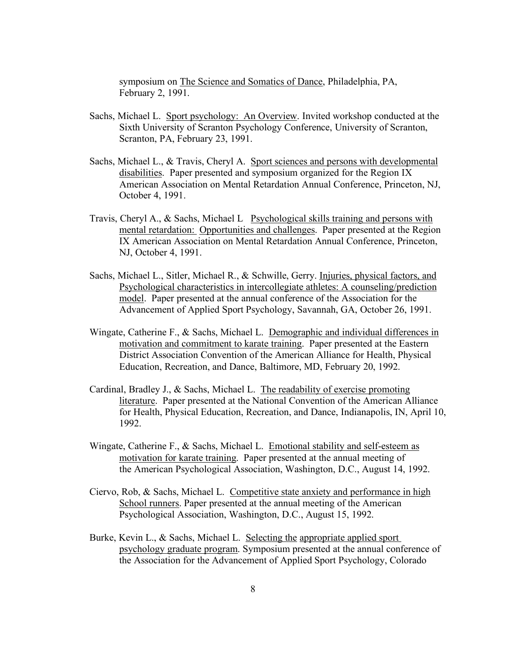symposium on The Science and Somatics of Dance, Philadelphia, PA, February 2, 1991.

- Sachs, Michael L. Sport psychology: An Overview. Invited workshop conducted at the Sixth University of Scranton Psychology Conference, University of Scranton, Scranton, PA, February 23, 1991.
- Sachs, Michael L., & Travis, Cheryl A. Sport sciences and persons with developmental disabilities. Paper presented and symposium organized for the Region IX American Association on Mental Retardation Annual Conference, Princeton, NJ, October 4, 1991.
- Travis, Cheryl A., & Sachs, Michael L Psychological skills training and persons with mental retardation: Opportunities and challenges. Paper presented at the Region IX American Association on Mental Retardation Annual Conference, Princeton, NJ, October 4, 1991.
- Sachs, Michael L., Sitler, Michael R., & Schwille, Gerry. Injuries, physical factors, and Psychological characteristics in intercollegiate athletes: A counseling/prediction model. Paper presented at the annual conference of the Association for the Advancement of Applied Sport Psychology, Savannah, GA, October 26, 1991.
- Wingate, Catherine F., & Sachs, Michael L. Demographic and individual differences in motivation and commitment to karate training. Paper presented at the Eastern District Association Convention of the American Alliance for Health, Physical Education, Recreation, and Dance, Baltimore, MD, February 20, 1992.
- Cardinal, Bradley J., & Sachs, Michael L. The readability of exercise promoting literature. Paper presented at the National Convention of the American Alliance for Health, Physical Education, Recreation, and Dance, Indianapolis, IN, April 10, 1992.
- Wingate, Catherine F., & Sachs, Michael L. Emotional stability and self-esteem as motivation for karate training. Paper presented at the annual meeting of the American Psychological Association, Washington, D.C., August 14, 1992.
- Ciervo, Rob, & Sachs, Michael L. Competitive state anxiety and performance in high School runners. Paper presented at the annual meeting of the American Psychological Association, Washington, D.C., August 15, 1992.
- Burke, Kevin L., & Sachs, Michael L. Selecting the appropriate applied sport psychology graduate program. Symposium presented at the annual conference of the Association for the Advancement of Applied Sport Psychology, Colorado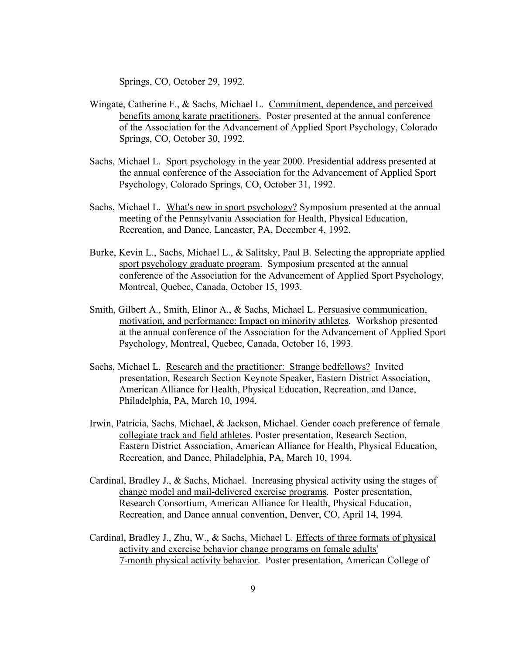Springs, CO, October 29, 1992.

- Wingate, Catherine F., & Sachs, Michael L. Commitment, dependence, and perceived benefits among karate practitioners. Poster presented at the annual conference of the Association for the Advancement of Applied Sport Psychology, Colorado Springs, CO, October 30, 1992.
- Sachs, Michael L. Sport psychology in the year 2000. Presidential address presented at the annual conference of the Association for the Advancement of Applied Sport Psychology, Colorado Springs, CO, October 31, 1992.
- Sachs, Michael L. What's new in sport psychology? Symposium presented at the annual meeting of the Pennsylvania Association for Health, Physical Education, Recreation, and Dance, Lancaster, PA, December 4, 1992.
- Burke, Kevin L., Sachs, Michael L., & Salitsky, Paul B. Selecting the appropriate applied sport psychology graduate program. Symposium presented at the annual conference of the Association for the Advancement of Applied Sport Psychology, Montreal, Quebec, Canada, October 15, 1993.
- Smith, Gilbert A., Smith, Elinor A., & Sachs, Michael L. Persuasive communication, motivation, and performance: Impact on minority athletes. Workshop presented at the annual conference of the Association for the Advancement of Applied Sport Psychology, Montreal, Quebec, Canada, October 16, 1993.
- Sachs, Michael L. Research and the practitioner: Strange bedfellows? Invited presentation, Research Section Keynote Speaker, Eastern District Association, American Alliance for Health, Physical Education, Recreation, and Dance, Philadelphia, PA, March 10, 1994.
- Irwin, Patricia, Sachs, Michael, & Jackson, Michael. Gender coach preference of female collegiate track and field athletes. Poster presentation, Research Section, Eastern District Association, American Alliance for Health, Physical Education, Recreation, and Dance, Philadelphia, PA, March 10, 1994.
- Cardinal, Bradley J., & Sachs, Michael. Increasing physical activity using the stages of change model and mail-delivered exercise programs. Poster presentation, Research Consortium, American Alliance for Health, Physical Education, Recreation, and Dance annual convention, Denver, CO, April 14, 1994.
- Cardinal, Bradley J., Zhu, W., & Sachs, Michael L. Effects of three formats of physical activity and exercise behavior change programs on female adults' 7-month physical activity behavior. Poster presentation, American College of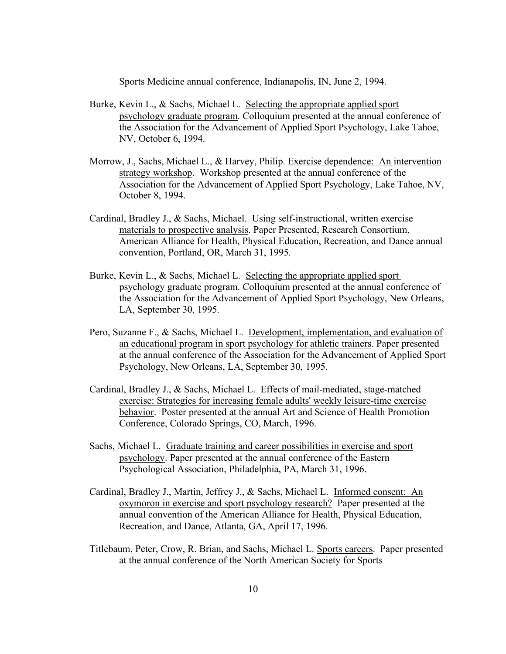Sports Medicine annual conference, Indianapolis, IN, June 2, 1994.

- Burke, Kevin L., & Sachs, Michael L. Selecting the appropriate applied sport psychology graduate program. Colloquium presented at the annual conference of the Association for the Advancement of Applied Sport Psychology, Lake Tahoe, NV, October 6, 1994.
- Morrow, J., Sachs, Michael L., & Harvey, Philip. Exercise dependence: An intervention strategy workshop. Workshop presented at the annual conference of the Association for the Advancement of Applied Sport Psychology, Lake Tahoe, NV, October 8, 1994.
- Cardinal, Bradley J., & Sachs, Michael. Using self-instructional, written exercise materials to prospective analysis. Paper Presented, Research Consortium, American Alliance for Health, Physical Education, Recreation, and Dance annual convention, Portland, OR, March 31, 1995.
- Burke, Kevin L., & Sachs, Michael L. Selecting the appropriate applied sport psychology graduate program. Colloquium presented at the annual conference of the Association for the Advancement of Applied Sport Psychology, New Orleans, LA, September 30, 1995.
- Pero, Suzanne F., & Sachs, Michael L. Development, implementation, and evaluation of an educational program in sport psychology for athletic trainers. Paper presented at the annual conference of the Association for the Advancement of Applied Sport Psychology, New Orleans, LA, September 30, 1995.
- Cardinal, Bradley J., & Sachs, Michael L. Effects of mail-mediated, stage-matched exercise: Strategies for increasing female adults' weekly leisure-time exercise behavior. Poster presented at the annual Art and Science of Health Promotion Conference, Colorado Springs, CO, March, 1996.
- Sachs, Michael L. Graduate training and career possibilities in exercise and sport psychology. Paper presented at the annual conference of the Eastern Psychological Association, Philadelphia, PA, March 31, 1996.
- Cardinal, Bradley J., Martin, Jeffrey J., & Sachs, Michael L. Informed consent: An oxymoron in exercise and sport psychology research? Paper presented at the annual convention of the American Alliance for Health, Physical Education, Recreation, and Dance, Atlanta, GA, April 17, 1996.
- Titlebaum, Peter, Crow, R. Brian, and Sachs, Michael L. Sports careers. Paper presented at the annual conference of the North American Society for Sports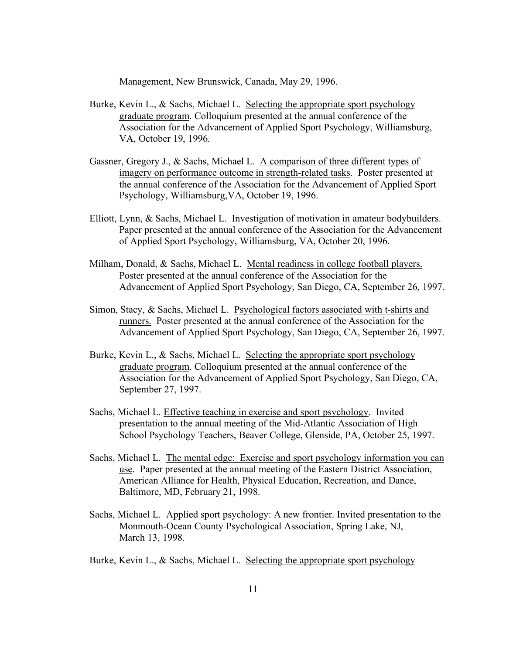Management, New Brunswick, Canada, May 29, 1996.

- Burke, Kevin L., & Sachs, Michael L. Selecting the appropriate sport psychology graduate program. Colloquium presented at the annual conference of the Association for the Advancement of Applied Sport Psychology, Williamsburg, VA, October 19, 1996.
- Gassner, Gregory J., & Sachs, Michael L. A comparison of three different types of imagery on performance outcome in strength-related tasks. Poster presented at the annual conference of the Association for the Advancement of Applied Sport Psychology, Williamsburg,VA, October 19, 1996.
- Elliott, Lynn, & Sachs, Michael L. Investigation of motivation in amateur bodybuilders. Paper presented at the annual conference of the Association for the Advancement of Applied Sport Psychology, Williamsburg, VA, October 20, 1996.
- Milham, Donald, & Sachs, Michael L. Mental readiness in college football players. Poster presented at the annual conference of the Association for the Advancement of Applied Sport Psychology, San Diego, CA, September 26, 1997.
- Simon, Stacy, & Sachs, Michael L. Psychological factors associated with t-shirts and runners. Poster presented at the annual conference of the Association for the Advancement of Applied Sport Psychology, San Diego, CA, September 26, 1997.
- Burke, Kevin L., & Sachs, Michael L. Selecting the appropriate sport psychology graduate program. Colloquium presented at the annual conference of the Association for the Advancement of Applied Sport Psychology, San Diego, CA, September 27, 1997.
- Sachs, Michael L. Effective teaching in exercise and sport psychology. Invited presentation to the annual meeting of the Mid-Atlantic Association of High School Psychology Teachers, Beaver College, Glenside, PA, October 25, 1997.
- Sachs, Michael L. The mental edge: Exercise and sport psychology information you can use. Paper presented at the annual meeting of the Eastern District Association, American Alliance for Health, Physical Education, Recreation, and Dance, Baltimore, MD, February 21, 1998.
- Sachs, Michael L. Applied sport psychology: A new frontier. Invited presentation to the Monmouth-Ocean County Psychological Association, Spring Lake, NJ, March 13, 1998.
- Burke, Kevin L., & Sachs, Michael L. Selecting the appropriate sport psychology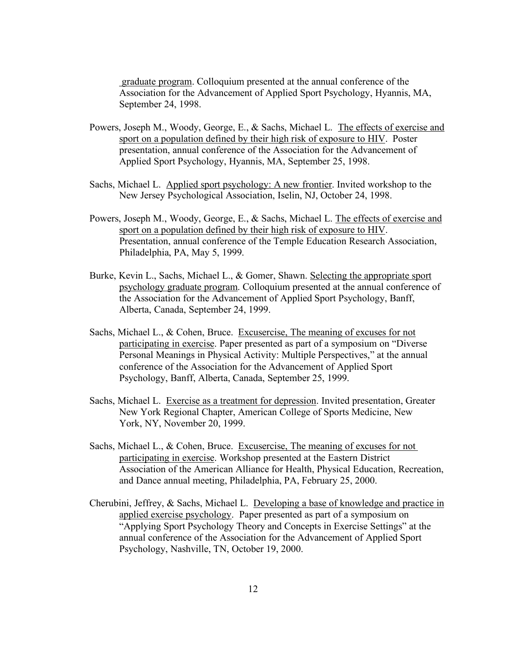graduate program. Colloquium presented at the annual conference of the Association for the Advancement of Applied Sport Psychology, Hyannis, MA, September 24, 1998.

- Powers, Joseph M., Woody, George, E., & Sachs, Michael L. The effects of exercise and sport on a population defined by their high risk of exposure to HIV. Poster presentation, annual conference of the Association for the Advancement of Applied Sport Psychology, Hyannis, MA, September 25, 1998.
- Sachs, Michael L. Applied sport psychology: A new frontier. Invited workshop to the New Jersey Psychological Association, Iselin, NJ, October 24, 1998.
- Powers, Joseph M., Woody, George, E., & Sachs, Michael L. The effects of exercise and sport on a population defined by their high risk of exposure to HIV. Presentation, annual conference of the Temple Education Research Association, Philadelphia, PA, May 5, 1999.
- Burke, Kevin L., Sachs, Michael L., & Gomer, Shawn. Selecting the appropriate sport psychology graduate program. Colloquium presented at the annual conference of the Association for the Advancement of Applied Sport Psychology, Banff, Alberta, Canada, September 24, 1999.
- Sachs, Michael L., & Cohen, Bruce. Excusercise, The meaning of excuses for not participating in exercise. Paper presented as part of a symposium on "Diverse Personal Meanings in Physical Activity: Multiple Perspectives," at the annual conference of the Association for the Advancement of Applied Sport Psychology, Banff, Alberta, Canada, September 25, 1999.
- Sachs, Michael L. Exercise as a treatment for depression. Invited presentation, Greater New York Regional Chapter, American College of Sports Medicine, New York, NY, November 20, 1999.
- Sachs, Michael L., & Cohen, Bruce. Excusercise, The meaning of excuses for not participating in exercise. Workshop presented at the Eastern District Association of the American Alliance for Health, Physical Education, Recreation, and Dance annual meeting, Philadelphia, PA, February 25, 2000.
- Cherubini, Jeffrey, & Sachs, Michael L. Developing a base of knowledge and practice in applied exercise psychology. Paper presented as part of a symposium on "Applying Sport Psychology Theory and Concepts in Exercise Settings" at the annual conference of the Association for the Advancement of Applied Sport Psychology, Nashville, TN, October 19, 2000.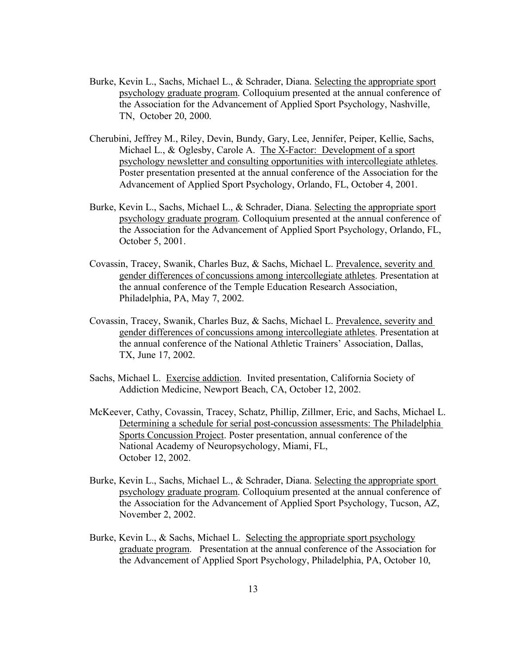- Burke, Kevin L., Sachs, Michael L., & Schrader, Diana. Selecting the appropriate sport psychology graduate program. Colloquium presented at the annual conference of the Association for the Advancement of Applied Sport Psychology, Nashville, TN, October 20, 2000.
- Cherubini, Jeffrey M., Riley, Devin, Bundy, Gary, Lee, Jennifer, Peiper, Kellie, Sachs, Michael L., & Oglesby, Carole A. The X-Factor: Development of a sport psychology newsletter and consulting opportunities with intercollegiate athletes. Poster presentation presented at the annual conference of the Association for the Advancement of Applied Sport Psychology, Orlando, FL, October 4, 2001.
- Burke, Kevin L., Sachs, Michael L., & Schrader, Diana. Selecting the appropriate sport psychology graduate program. Colloquium presented at the annual conference of the Association for the Advancement of Applied Sport Psychology, Orlando, FL, October 5, 2001.
- Covassin, Tracey, Swanik, Charles Buz, & Sachs, Michael L. Prevalence, severity and gender differences of concussions among intercollegiate athletes. Presentation at the annual conference of the Temple Education Research Association, Philadelphia, PA, May 7, 2002.
- Covassin, Tracey, Swanik, Charles Buz, & Sachs, Michael L. Prevalence, severity and gender differences of concussions among intercollegiate athletes. Presentation at the annual conference of the National Athletic Trainers' Association, Dallas, TX, June 17, 2002.
- Sachs, Michael L. Exercise addiction. Invited presentation, California Society of Addiction Medicine, Newport Beach, CA, October 12, 2002.
- McKeever, Cathy, Covassin, Tracey, Schatz, Phillip, Zillmer, Eric, and Sachs, Michael L. Determining a schedule for serial post-concussion assessments: The Philadelphia Sports Concussion Project. Poster presentation, annual conference of the National Academy of Neuropsychology, Miami, FL, October 12, 2002.
- Burke, Kevin L., Sachs, Michael L., & Schrader, Diana. Selecting the appropriate sport psychology graduate program. Colloquium presented at the annual conference of the Association for the Advancement of Applied Sport Psychology, Tucson, AZ, November 2, 2002.
- Burke, Kevin L., & Sachs, Michael L. Selecting the appropriate sport psychology graduate program. Presentation at the annual conference of the Association for the Advancement of Applied Sport Psychology, Philadelphia, PA, October 10,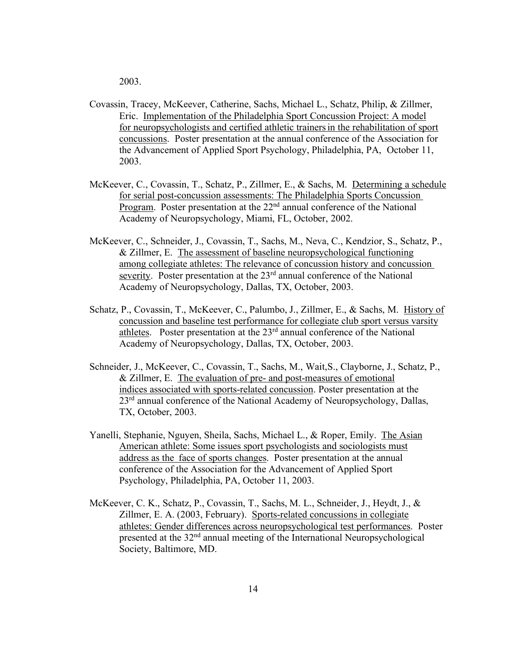2003.

- Covassin, Tracey, McKeever, Catherine, Sachs, Michael L., Schatz, Philip, & Zillmer, Eric. Implementation of the Philadelphia Sport Concussion Project: A model for neuropsychologists and certified athletic trainersin the rehabilitation of sport concussions. Poster presentation at the annual conference of the Association for the Advancement of Applied Sport Psychology, Philadelphia, PA, October 11, 2003.
- McKeever, C., Covassin, T., Schatz, P., Zillmer, E., & Sachs, M. Determining a schedule for serial post-concussion assessments: The Philadelphia Sports Concussion Program. Poster presentation at the 22<sup>nd</sup> annual conference of the National Academy of Neuropsychology, Miami, FL, October, 2002.
- McKeever, C., Schneider, J., Covassin, T., Sachs, M., Neva, C., Kendzior, S., Schatz, P., & Zillmer, E. The assessment of baseline neuropsychological functioning among collegiate athletes: The relevance of concussion history and concussion severity. Poster presentation at the 23<sup>rd</sup> annual conference of the National Academy of Neuropsychology, Dallas, TX, October, 2003.
- Schatz, P., Covassin, T., McKeever, C., Palumbo, J., Zillmer, E., & Sachs, M. History of concussion and baseline test performance for collegiate club sport versus varsity athletes. Poster presentation at the 23rd annual conference of the National Academy of Neuropsychology, Dallas, TX, October, 2003.
- Schneider, J., McKeever, C., Covassin, T., Sachs, M., Wait,S., Clayborne, J., Schatz, P., & Zillmer, E. The evaluation of pre- and post-measures of emotional indices associated with sports-related concussion. Poster presentation at the 23<sup>rd</sup> annual conference of the National Academy of Neuropsychology, Dallas, TX, October, 2003.
- Yanelli, Stephanie, Nguyen, Sheila, Sachs, Michael L., & Roper, Emily. The Asian American athlete: Some issues sport psychologists and sociologists must address as the face of sports changes. Poster presentation at the annual conference of the Association for the Advancement of Applied Sport Psychology, Philadelphia, PA, October 11, 2003.
- McKeever, C. K., Schatz, P., Covassin, T., Sachs, M. L., Schneider, J., Heydt, J., & Zillmer, E. A. (2003, February). Sports-related concussions in collegiate athletes: Gender differences across neuropsychological test performances. Poster presented at the 32nd annual meeting of the International Neuropsychological Society, Baltimore, MD.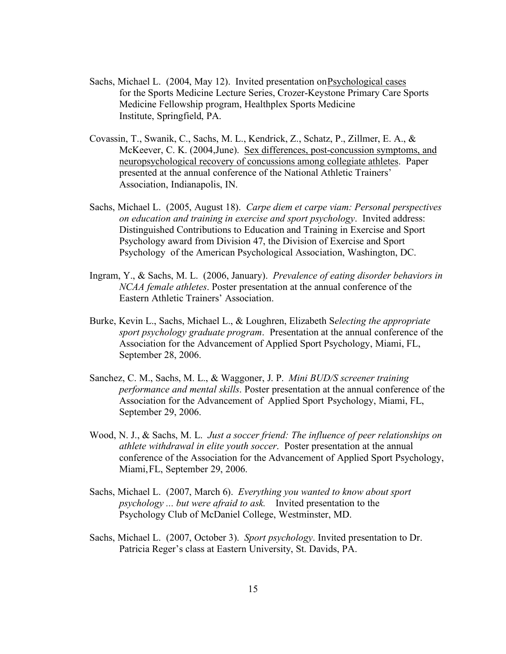- Sachs, Michael L. (2004, May 12). Invited presentation on Psychological cases for the Sports Medicine Lecture Series, Crozer-Keystone Primary Care Sports Medicine Fellowship program, Healthplex Sports Medicine Institute, Springfield, PA.
- Covassin, T., Swanik, C., Sachs, M. L., Kendrick, Z., Schatz, P., Zillmer, E. A., & McKeever, C. K. (2004,June). Sex differences, post-concussion symptoms, and neuropsychological recovery of concussions among collegiate athletes. Paper presented at the annual conference of the National Athletic Trainers' Association, Indianapolis, IN.
- Sachs, Michael L. (2005, August 18). *Carpe diem et carpe viam: Personal perspectives on education and training in exercise and sport psychology*. Invited address: Distinguished Contributions to Education and Training in Exercise and Sport Psychology award from Division 47, the Division of Exercise and Sport Psychology of the American Psychological Association, Washington, DC.
- Ingram, Y., & Sachs, M. L. (2006, January). *Prevalence of eating disorder behaviors in NCAA female athletes*. Poster presentation at the annual conference of the Eastern Athletic Trainers' Association.
- Burke, Kevin L., Sachs, Michael L., & Loughren, Elizabeth S*electing the appropriate sport psychology graduate program*. Presentation at the annual conference of the Association for the Advancement of Applied Sport Psychology, Miami, FL, September 28, 2006.
- Sanchez, C. M., Sachs, M. L., & Waggoner, J. P. *Mini BUD/S screener training performance and mental skills*. Poster presentation at the annual conference of the Association for the Advancement of Applied Sport Psychology, Miami, FL, September 29, 2006.
- Wood, N. J., & Sachs, M. L. *Just a soccer friend: The influence of peer relationships on athlete withdrawal in elite youth soccer*. Poster presentation at the annual conference of the Association for the Advancement of Applied Sport Psychology, Miami,FL, September 29, 2006.
- Sachs, Michael L. (2007, March 6). *Everything you wanted to know about sport psychology ... but were afraid to ask.* Invited presentation to the Psychology Club of McDaniel College, Westminster, MD.
- Sachs, Michael L. (2007, October 3). *Sport psychology*. Invited presentation to Dr. Patricia Reger's class at Eastern University, St. Davids, PA.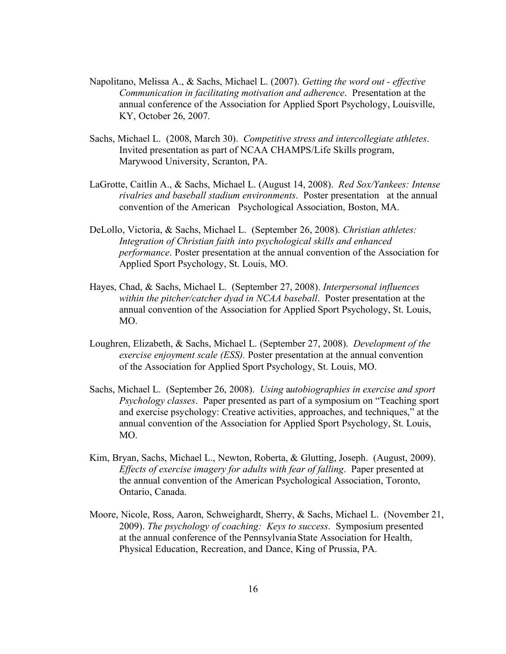- Napolitano, Melissa A., & Sachs, Michael L. (2007). *Getting the word out - effective Communication in facilitating motivation and adherence*. Presentation at the annual conference of the Association for Applied Sport Psychology, Louisville, KY, October 26, 2007.
- Sachs, Michael L. (2008, March 30). *Competitive stress and intercollegiate athletes*. Invited presentation as part of NCAA CHAMPS/Life Skills program, Marywood University, Scranton, PA.
- LaGrotte, Caitlin A., & Sachs, Michael L. (August 14, 2008). *Red Sox/Yankees: Intense rivalries and baseball stadium environments*. Poster presentation at the annual convention of the American Psychological Association, Boston, MA.
- DeLollo, Victoria, & Sachs, Michael L. (September 26, 2008). *Christian athletes: Integration of Christian faith into psychological skills and enhanced performance*. Poster presentation at the annual convention of the Association for Applied Sport Psychology, St. Louis, MO.
- Hayes, Chad, & Sachs, Michael L. (September 27, 2008). *Interpersonal influences within the pitcher/catcher dyad in NCAA baseball*. Poster presentation at the annual convention of the Association for Applied Sport Psychology, St. Louis, MO.
- Loughren, Elizabeth, & Sachs, Michael L. (September 27, 2008). *Development of the exercise enjoyment scale (ESS).* Poster presentation at the annual convention of the Association for Applied Sport Psychology, St. Louis, MO.
- Sachs, Michael L. (September 26, 2008). *Using* a*utobiographies in exercise and sport Psychology classes*. Paper presented as part of a symposium on "Teaching sport and exercise psychology: Creative activities, approaches, and techniques," at the annual convention of the Association for Applied Sport Psychology, St. Louis, MO.
- Kim, Bryan, Sachs, Michael L., Newton, Roberta, & Glutting, Joseph. (August, 2009). *Effects of exercise imagery for adults with fear of falling*. Paper presented at the annual convention of the American Psychological Association, Toronto, Ontario, Canada.
- Moore, Nicole, Ross, Aaron, Schweighardt, Sherry, & Sachs, Michael L. (November 21, 2009). *The psychology of coaching: Keys to success*. Symposium presented at the annual conference of the PennsylvaniaState Association for Health, Physical Education, Recreation, and Dance, King of Prussia, PA.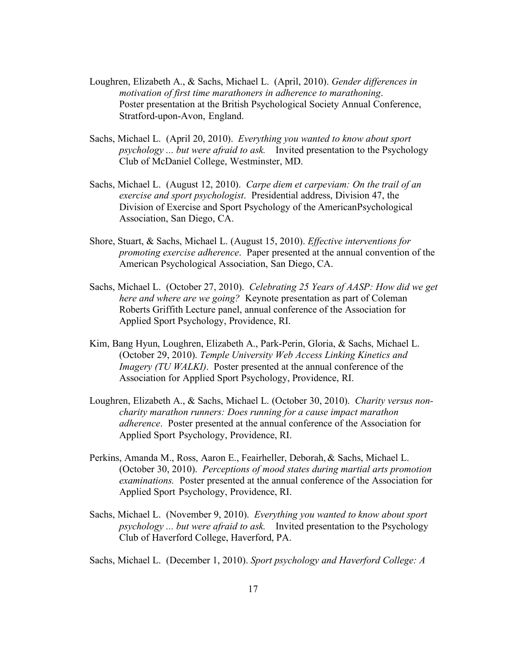- Loughren, Elizabeth A., & Sachs, Michael L. (April, 2010). *Gender differences in motivation of first time marathoners in adherence to marathoning*. Poster presentation at the British Psychological Society Annual Conference, Stratford-upon-Avon, England.
- Sachs, Michael L. (April 20, 2010). *Everything you wanted to know about sport psychology ... but were afraid to ask.* Invited presentation to the Psychology Club of McDaniel College, Westminster, MD.
- Sachs, Michael L. (August 12, 2010). *Carpe diem et carpeviam: On the trail of an exercise and sport psychologist*. Presidential address, Division 47, the Division of Exercise and Sport Psychology of the AmericanPsychological Association, San Diego, CA.
- Shore, Stuart, & Sachs, Michael L. (August 15, 2010). *Effective interventions for promoting exercise adherence*. Paper presented at the annual convention of the American Psychological Association, San Diego, CA.
- Sachs, Michael L. (October 27, 2010). *Celebrating 25 Years of AASP: How did we get here and where are we going?* Keynote presentation as part of Coleman Roberts Griffith Lecture panel, annual conference of the Association for Applied Sport Psychology, Providence, RI.
- Kim, Bang Hyun, Loughren, Elizabeth A., Park-Perin, Gloria, & Sachs, Michael L. (October 29, 2010). *Temple University Web Access Linking Kinetics and Imagery (TU WALKI)*. Poster presented at the annual conference of the Association for Applied Sport Psychology, Providence, RI.
- Loughren, Elizabeth A., & Sachs, Michael L. (October 30, 2010). *Charity versus noncharity marathon runners: Does running for a cause impact marathon adherence*. Poster presented at the annual conference of the Association for Applied Sport Psychology, Providence, RI.
- Perkins, Amanda M., Ross, Aaron E., Feairheller, Deborah,& Sachs, Michael L. (October 30, 2010). *Perceptions of mood states during martial arts promotion examinations.* Poster presented at the annual conference of the Association for Applied Sport Psychology, Providence, RI.
- Sachs, Michael L. (November 9, 2010). *Everything you wanted to know about sport psychology ... but were afraid to ask.* Invited presentation to the Psychology Club of Haverford College, Haverford, PA.

Sachs, Michael L. (December 1, 2010). *Sport psychology and Haverford College: A*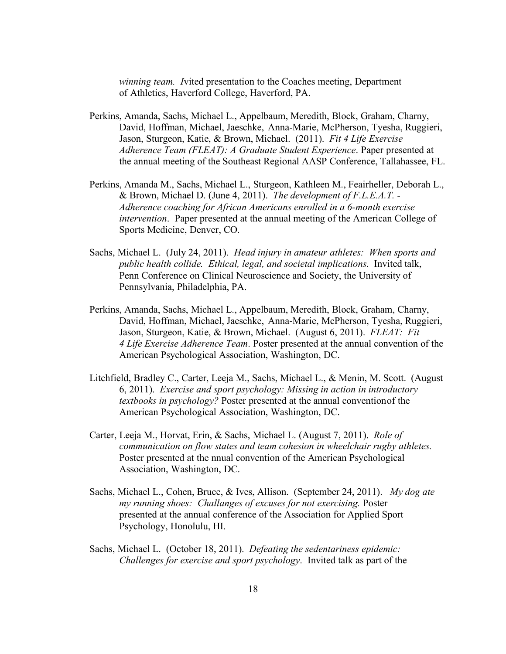*winning team. I*vited presentation to the Coaches meeting, Department of Athletics, Haverford College, Haverford, PA.

- Perkins, Amanda, Sachs, Michael L., Appelbaum, Meredith, Block, Graham, Charny, David, Hoffman, Michael, Jaeschke, Anna-Marie, McPherson, Tyesha, Ruggieri, Jason, Sturgeon, Katie, & Brown, Michael. (2011). *Fit 4 Life Exercise Adherence Team (FLEAT): A Graduate Student Experience*. Paper presented at the annual meeting of the Southeast Regional AASP Conference, Tallahassee, FL.
- Perkins, Amanda M., Sachs, Michael L., Sturgeon, Kathleen M., Feairheller, Deborah L., & Brown, Michael D. (June 4, 2011). *The development of F.L.E.A.T. - Adherence coaching for African Americans enrolled in a 6-month exercise intervention*. Paper presented at the annual meeting of the American College of Sports Medicine, Denver, CO.
- Sachs, Michael L. (July 24, 2011). *Head injury in amateur athletes: When sports and public health collide. Ethical, legal, and societal implications*. Invited talk, Penn Conference on Clinical Neuroscience and Society, the University of Pennsylvania, Philadelphia, PA.
- Perkins, Amanda, Sachs, Michael L., Appelbaum, Meredith, Block, Graham, Charny, David, Hoffman, Michael, Jaeschke, Anna-Marie, McPherson, Tyesha, Ruggieri, Jason, Sturgeon, Katie, & Brown, Michael. (August 6, 2011). *FLEAT: Fit 4 Life Exercise Adherence Team*. Poster presented at the annual convention of the American Psychological Association, Washington, DC.
- Litchfield, Bradley C., Carter, Leeja M., Sachs, Michael L., & Menin, M. Scott. (August 6, 2011). *Exercise and sport psychology: Missing in action in introductory textbooks in psychology?* Poster presented at the annual conventionof the American Psychological Association, Washington, DC.
- Carter, Leeja M., Horvat, Erin, & Sachs, Michael L. (August 7, 2011). *Role of communication on flow states and team cohesion in wheelchair rugby athletes.* Poster presented at the nnual convention of the American Psychological Association, Washington, DC.
- Sachs, Michael L., Cohen, Bruce, & Ives, Allison. (September 24, 2011). *My dog ate my running shoes: Challanges of excuses for not exercising.* Poster presented at the annual conference of the Association for Applied Sport Psychology, Honolulu, HI.
- Sachs, Michael L. (October 18, 2011). *Defeating the sedentariness epidemic: Challenges for exercise and sport psychology*. Invited talk as part of the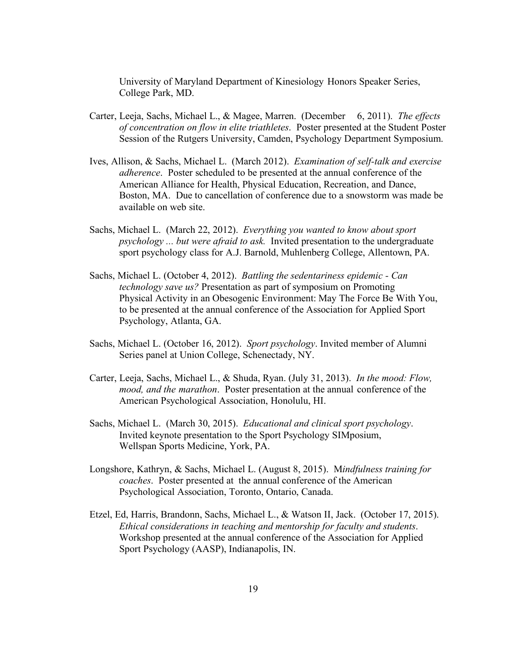University of Maryland Department of Kinesiology Honors Speaker Series, College Park, MD.

- Carter, Leeja, Sachs, Michael L., & Magee, Marren. (December 6, 2011). *The effects of concentration on flow in elite triathletes*. Poster presented at the Student Poster Session of the Rutgers University, Camden, Psychology Department Symposium.
- Ives, Allison, & Sachs, Michael L. (March 2012). *Examination of self-talk and exercise adherence*. Poster scheduled to be presented at the annual conference of the American Alliance for Health, Physical Education, Recreation, and Dance, Boston, MA. Due to cancellation of conference due to a snowstorm was made be available on web site.
- Sachs, Michael L. (March 22, 2012). *Everything you wanted to know about sport psychology ... but were afraid to ask.* Invited presentation to the undergraduate sport psychology class for A.J. Barnold, Muhlenberg College, Allentown, PA.
- Sachs, Michael L. (October 4, 2012). *Battling the sedentariness epidemic - Can technology save us?* Presentation as part of symposium on Promoting Physical Activity in an Obesogenic Environment: May The Force Be With You, to be presented at the annual conference of the Association for Applied Sport Psychology, Atlanta, GA.
- Sachs, Michael L. (October 16, 2012). *Sport psychology*. Invited member of Alumni Series panel at Union College, Schenectady, NY.
- Carter, Leeja, Sachs, Michael L., & Shuda, Ryan. (July 31, 2013). *In the mood: Flow, mood, and the marathon*. Poster presentation at the annual conference of the American Psychological Association, Honolulu, HI.
- Sachs, Michael L. (March 30, 2015). *Educational and clinical sport psychology*. Invited keynote presentation to the Sport Psychology SIMposium, Wellspan Sports Medicine, York, PA.
- Longshore, Kathryn, & Sachs, Michael L. (August 8, 2015). M*indfulness training for coaches*. Poster presented at the annual conference of the American Psychological Association, Toronto, Ontario, Canada.
- Etzel, Ed, Harris, Brandonn, Sachs, Michael L., & Watson II, Jack. (October 17, 2015). *Ethical considerations in teaching and mentorship for faculty and students*. Workshop presented at the annual conference of the Association for Applied Sport Psychology (AASP), Indianapolis, IN.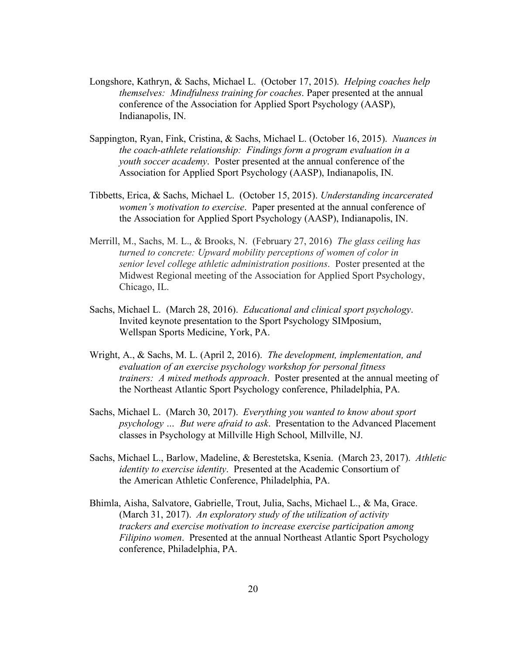- Longshore, Kathryn, & Sachs, Michael L. (October 17, 2015). *Helping coaches help themselves: Mindfulness training for coaches*. Paper presented at the annual conference of the Association for Applied Sport Psychology (AASP), Indianapolis, IN.
- Sappington, Ryan, Fink, Cristina, & Sachs, Michael L. (October 16, 2015). *Nuances in the coach-athlete relationship: Findings form a program evaluation in a youth soccer academy*. Poster presented at the annual conference of the Association for Applied Sport Psychology (AASP), Indianapolis, IN.
- Tibbetts, Erica, & Sachs, Michael L. (October 15, 2015). *Understanding incarcerated women's motivation to exercise*. Paper presented at the annual conference of the Association for Applied Sport Psychology (AASP), Indianapolis, IN.
- Merrill, M., Sachs, M. L., & Brooks, N. (February 27, 2016) *The glass ceiling has turned to concrete: Upward mobility perceptions of women of color in senior level college athletic administration positions*. Poster presented at the Midwest Regional meeting of the Association for Applied Sport Psychology, Chicago, IL.
- Sachs, Michael L. (March 28, 2016). *Educational and clinical sport psychology*. Invited keynote presentation to the Sport Psychology SIMposium, Wellspan Sports Medicine, York, PA.
- Wright, A., & Sachs, M. L. (April 2, 2016). *The development, implementation, and evaluation of an exercise psychology workshop for personal fitness trainers: A mixed methods approach*. Poster presented at the annual meeting of the Northeast Atlantic Sport Psychology conference, Philadelphia, PA.
- Sachs, Michael L. (March 30, 2017). *Everything you wanted to know about sport psychology … But were afraid to ask*. Presentation to the Advanced Placement classes in Psychology at Millville High School, Millville, NJ.
- Sachs, Michael L., Barlow, Madeline, & Berestetska, Ksenia. (March 23, 2017). *Athletic identity to exercise identity*. Presented at the Academic Consortium of the American Athletic Conference, Philadelphia, PA.
- Bhimla, Aisha, Salvatore, Gabrielle, Trout, Julia, Sachs, Michael L., & Ma, Grace. (March 31, 2017). *An exploratory study of the utilization of activity trackers and exercise motivation to increase exercise participation among Filipino women*. Presented at the annual Northeast Atlantic Sport Psychology conference, Philadelphia, PA.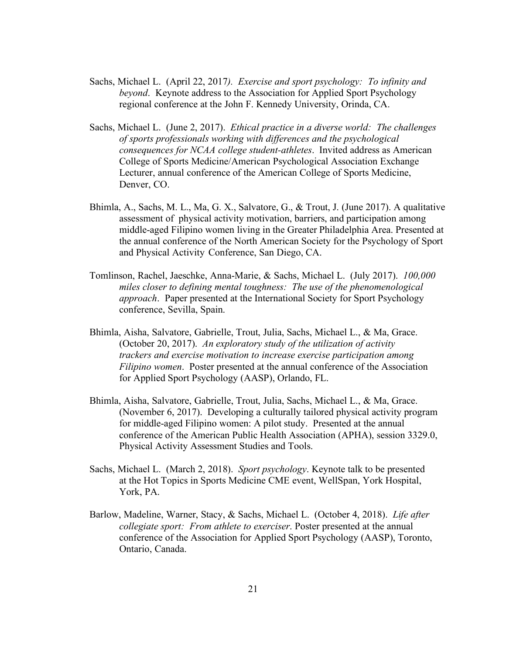- Sachs, Michael L. (April 22, 2017*). Exercise and sport psychology: To infinity and beyond*. Keynote address to the Association for Applied Sport Psychology regional conference at the John F. Kennedy University, Orinda, CA.
- Sachs, Michael L. (June 2, 2017). *Ethical practice in a diverse world: The challenges of sports professionals working with differences and the psychological consequences for NCAA college student-athletes*. Invited address as American College of Sports Medicine/American Psychological Association Exchange Lecturer, annual conference of the American College of Sports Medicine, Denver, CO.
- Bhimla, A., Sachs, M. L., Ma, G. X., Salvatore, G., & Trout, J. (June 2017). A qualitative assessment of physical activity motivation, barriers, and participation among middle-aged Filipino women living in the Greater Philadelphia Area. Presented at the annual conference of the North American Society for the Psychology of Sport and Physical Activity Conference, San Diego, CA.
- Tomlinson, Rachel, Jaeschke, Anna-Marie, & Sachs, Michael L. (July 2017). *100,000 miles closer to defining mental toughness: The use of the phenomenological approach*. Paper presented at the International Society for Sport Psychology conference, Sevilla, Spain.
- Bhimla, Aisha, Salvatore, Gabrielle, Trout, Julia, Sachs, Michael L., & Ma, Grace. (October 20, 2017). *An exploratory study of the utilization of activity trackers and exercise motivation to increase exercise participation among Filipino women*. Poster presented at the annual conference of the Association for Applied Sport Psychology (AASP), Orlando, FL.
- Bhimla, Aisha, Salvatore, Gabrielle, Trout, Julia, Sachs, Michael L., & Ma, Grace. (November 6, 2017). Developing a culturally tailored physical activity program for middle-aged Filipino women: A pilot study. Presented at the annual conference of the American Public Health Association (APHA), session 3329.0, Physical Activity Assessment Studies and Tools.
- Sachs, Michael L. (March 2, 2018). *Sport psychology*. Keynote talk to be presented at the Hot Topics in Sports Medicine CME event, WellSpan, York Hospital, York, PA.
- Barlow, Madeline, Warner, Stacy, & Sachs, Michael L. (October 4, 2018). *Life after collegiate sport: From athlete to exerciser*. Poster presented at the annual conference of the Association for Applied Sport Psychology (AASP), Toronto, Ontario, Canada.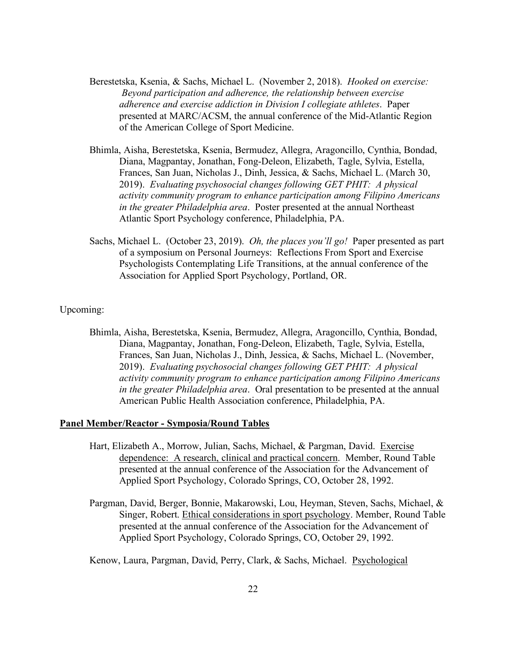- Berestetska, Ksenia, & Sachs, Michael L. (November 2, 2018). *Hooked on exercise: Beyond participation and adherence, the relationship between exercise adherence and exercise addiction in Division I collegiate athletes*. Paper presented at MARC/ACSM, the annual conference of the Mid-Atlantic Region of the American College of Sport Medicine.
- Bhimla, Aisha, Berestetska, Ksenia, Bermudez, Allegra, Aragoncillo, Cynthia, Bondad, Diana, Magpantay, Jonathan, Fong-Deleon, Elizabeth, Tagle, Sylvia, Estella, Frances, San Juan, Nicholas J., Dinh, Jessica, & Sachs, Michael L. (March 30, 2019). *Evaluating psychosocial changes following GET PHIT: A physical activity community program to enhance participation among Filipino Americans in the greater Philadelphia area*. Poster presented at the annual Northeast Atlantic Sport Psychology conference, Philadelphia, PA.
- Sachs, Michael L. (October 23, 2019). *Oh, the places you'll go!* Paper presented as part of a symposium on Personal Journeys: Reflections From Sport and Exercise Psychologists Contemplating Life Transitions, at the annual conference of the Association for Applied Sport Psychology, Portland, OR.

## Upcoming:

Bhimla, Aisha, Berestetska, Ksenia, Bermudez, Allegra, Aragoncillo, Cynthia, Bondad, Diana, Magpantay, Jonathan, Fong-Deleon, Elizabeth, Tagle, Sylvia, Estella, Frances, San Juan, Nicholas J., Dinh, Jessica, & Sachs, Michael L. (November, 2019). *Evaluating psychosocial changes following GET PHIT: A physical activity community program to enhance participation among Filipino Americans in the greater Philadelphia area*. Oral presentation to be presented at the annual American Public Health Association conference, Philadelphia, PA.

#### **Panel Member/Reactor - Symposia/Round Tables**

- Hart, Elizabeth A., Morrow, Julian, Sachs, Michael, & Pargman, David. Exercise dependence: A research, clinical and practical concern. Member, Round Table presented at the annual conference of the Association for the Advancement of Applied Sport Psychology, Colorado Springs, CO, October 28, 1992.
- Pargman, David, Berger, Bonnie, Makarowski, Lou, Heyman, Steven, Sachs, Michael, & Singer, Robert. Ethical considerations in sport psychology. Member, Round Table presented at the annual conference of the Association for the Advancement of Applied Sport Psychology, Colorado Springs, CO, October 29, 1992.
- Kenow, Laura, Pargman, David, Perry, Clark, & Sachs, Michael. Psychological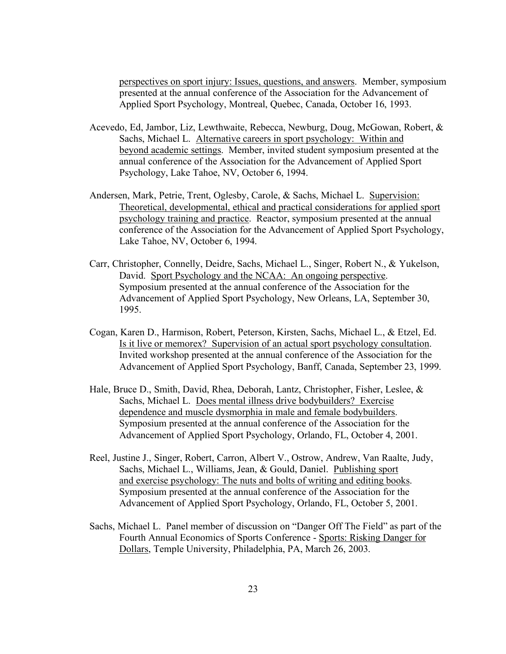perspectives on sport injury: Issues, questions, and answers. Member, symposium presented at the annual conference of the Association for the Advancement of Applied Sport Psychology, Montreal, Quebec, Canada, October 16, 1993.

- Acevedo, Ed, Jambor, Liz, Lewthwaite, Rebecca, Newburg, Doug, McGowan, Robert, & Sachs, Michael L. Alternative careers in sport psychology: Within and beyond academic settings. Member, invited student symposium presented at the annual conference of the Association for the Advancement of Applied Sport Psychology, Lake Tahoe, NV, October 6, 1994.
- Andersen, Mark, Petrie, Trent, Oglesby, Carole, & Sachs, Michael L. Supervision: Theoretical, developmental, ethical and practical considerations for applied sport psychology training and practice. Reactor, symposium presented at the annual conference of the Association for the Advancement of Applied Sport Psychology, Lake Tahoe, NV, October 6, 1994.
- Carr, Christopher, Connelly, Deidre, Sachs, Michael L., Singer, Robert N., & Yukelson, David. Sport Psychology and the NCAA: An ongoing perspective. Symposium presented at the annual conference of the Association for the Advancement of Applied Sport Psychology, New Orleans, LA, September 30, 1995.
- Cogan, Karen D., Harmison, Robert, Peterson, Kirsten, Sachs, Michael L., & Etzel, Ed. Is it live or memorex? Supervision of an actual sport psychology consultation. Invited workshop presented at the annual conference of the Association for the Advancement of Applied Sport Psychology, Banff, Canada, September 23, 1999.
- Hale, Bruce D., Smith, David, Rhea, Deborah, Lantz, Christopher, Fisher, Leslee, & Sachs, Michael L. Does mental illness drive bodybuilders? Exercise dependence and muscle dysmorphia in male and female bodybuilders. Symposium presented at the annual conference of the Association for the Advancement of Applied Sport Psychology, Orlando, FL, October 4, 2001.
- Reel, Justine J., Singer, Robert, Carron, Albert V., Ostrow, Andrew, Van Raalte, Judy, Sachs, Michael L., Williams, Jean, & Gould, Daniel. Publishing sport and exercise psychology: The nuts and bolts of writing and editing books. Symposium presented at the annual conference of the Association for the Advancement of Applied Sport Psychology, Orlando, FL, October 5, 2001.
- Sachs, Michael L. Panel member of discussion on "Danger Off The Field" as part of the Fourth Annual Economics of Sports Conference - Sports: Risking Danger for Dollars, Temple University, Philadelphia, PA, March 26, 2003.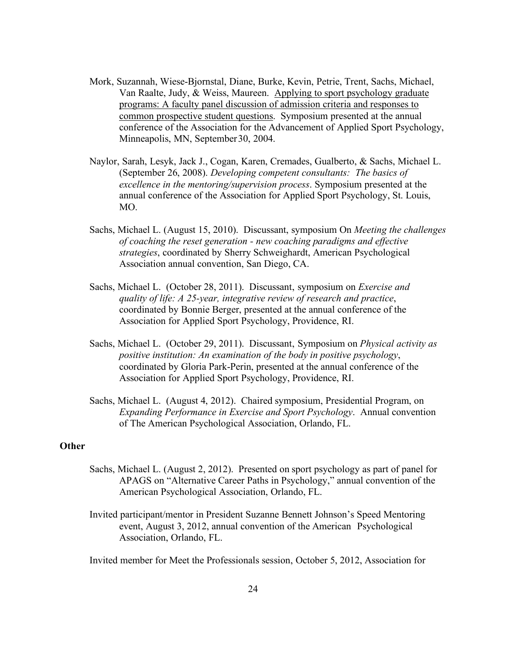- Mork, Suzannah, Wiese-Bjornstal, Diane, Burke, Kevin, Petrie, Trent, Sachs, Michael, Van Raalte, Judy, & Weiss, Maureen. Applying to sport psychology graduate programs: A faculty panel discussion of admission criteria and responses to common prospective student questions. Symposium presented at the annual conference of the Association for the Advancement of Applied Sport Psychology, Minneapolis, MN, September30, 2004.
- Naylor, Sarah, Lesyk, Jack J., Cogan, Karen, Cremades, Gualberto, & Sachs, Michael L. (September 26, 2008). *Developing competent consultants: The basics of excellence in the mentoring/supervision process*. Symposium presented at the annual conference of the Association for Applied Sport Psychology, St. Louis, MO.
- Sachs, Michael L. (August 15, 2010). Discussant, symposium On *Meeting the challenges of coaching the reset generation - new coaching paradigms and effective strategies*, coordinated by Sherry Schweighardt, American Psychological Association annual convention, San Diego, CA.
- Sachs, Michael L. (October 28, 2011). Discussant, symposium on *Exercise and quality of life: A 25-year, integrative review of research and practice*, coordinated by Bonnie Berger, presented at the annual conference of the Association for Applied Sport Psychology, Providence, RI.
- Sachs, Michael L. (October 29, 2011). Discussant, Symposium on *Physical activity as positive institution: An examination of the body in positive psychology*, coordinated by Gloria Park-Perin, presented at the annual conference of the Association for Applied Sport Psychology, Providence, RI.
- Sachs, Michael L. (August 4, 2012). Chaired symposium, Presidential Program, on *Expanding Performance in Exercise and Sport Psychology*. Annual convention of The American Psychological Association, Orlando, FL.

### **Other**

- Sachs, Michael L. (August 2, 2012). Presented on sport psychology as part of panel for APAGS on "Alternative Career Paths in Psychology," annual convention of the American Psychological Association, Orlando, FL.
- Invited participant/mentor in President Suzanne Bennett Johnson's Speed Mentoring event, August 3, 2012, annual convention of the American Psychological Association, Orlando, FL.

Invited member for Meet the Professionals session, October 5, 2012, Association for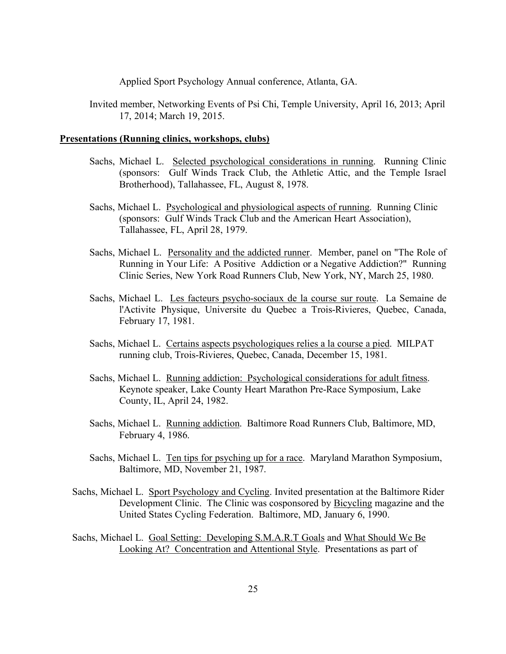Applied Sport Psychology Annual conference, Atlanta, GA.

Invited member, Networking Events of Psi Chi, Temple University, April 16, 2013; April 17, 2014; March 19, 2015.

## **Presentations (Running clinics, workshops, clubs)**

- Sachs, Michael L. Selected psychological considerations in running. Running Clinic (sponsors: Gulf Winds Track Club, the Athletic Attic, and the Temple Israel Brotherhood), Tallahassee, FL, August 8, 1978.
- Sachs, Michael L. Psychological and physiological aspects of running. Running Clinic (sponsors: Gulf Winds Track Club and the American Heart Association), Tallahassee, FL, April 28, 1979.
- Sachs, Michael L. Personality and the addicted runner. Member, panel on "The Role of Running in Your Life: A Positive Addiction or a Negative Addiction?" Running Clinic Series, New York Road Runners Club, New York, NY, March 25, 1980.
- Sachs, Michael L. Les facteurs psycho-sociaux de la course sur route. La Semaine de l'Activite Physique, Universite du Quebec a Trois-Rivieres, Quebec, Canada, February 17, 1981.
- Sachs, Michael L. Certains aspects psychologiques relies a la course a pied. MILPAT running club, Trois-Rivieres, Quebec, Canada, December 15, 1981.
- Sachs, Michael L. Running addiction: Psychological considerations for adult fitness. Keynote speaker, Lake County Heart Marathon Pre-Race Symposium, Lake County, IL, April 24, 1982.
- Sachs, Michael L. Running addiction. Baltimore Road Runners Club, Baltimore, MD, February 4, 1986.
- Sachs, Michael L. Ten tips for psyching up for a race. Maryland Marathon Symposium, Baltimore, MD, November 21, 1987.
- Sachs, Michael L. Sport Psychology and Cycling. Invited presentation at the Baltimore Rider Development Clinic. The Clinic was cosponsored by Bicycling magazine and the United States Cycling Federation. Baltimore, MD, January 6, 1990.
- Sachs, Michael L. Goal Setting: Developing S.M.A.R.T Goals and What Should We Be Looking At? Concentration and Attentional Style. Presentations as part of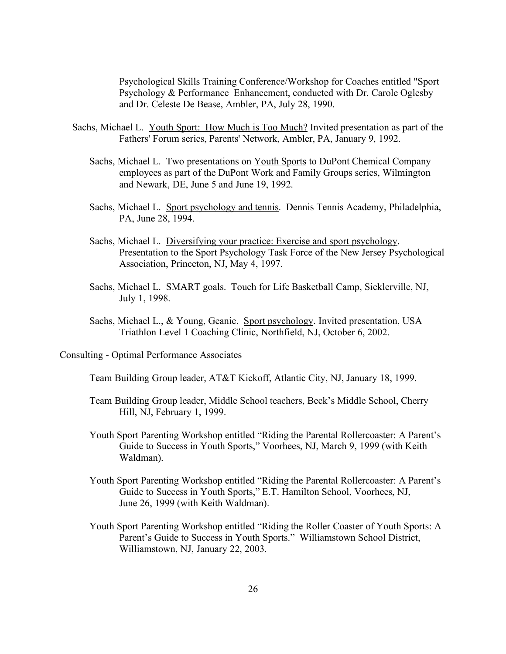Psychological Skills Training Conference/Workshop for Coaches entitled "Sport Psychology & Performance Enhancement, conducted with Dr. Carole Oglesby and Dr. Celeste De Bease, Ambler, PA, July 28, 1990.

- Sachs, Michael L. Youth Sport: How Much is Too Much? Invited presentation as part of the Fathers' Forum series, Parents' Network, Ambler, PA, January 9, 1992.
	- Sachs, Michael L. Two presentations on Youth Sports to DuPont Chemical Company employees as part of the DuPont Work and Family Groups series, Wilmington and Newark, DE, June 5 and June 19, 1992.
	- Sachs, Michael L. Sport psychology and tennis. Dennis Tennis Academy, Philadelphia, PA, June 28, 1994.
	- Sachs, Michael L. Diversifying your practice: Exercise and sport psychology. Presentation to the Sport Psychology Task Force of the New Jersey Psychological Association, Princeton, NJ, May 4, 1997.
	- Sachs, Michael L. SMART goals. Touch for Life Basketball Camp, Sicklerville, NJ, July 1, 1998.
	- Sachs, Michael L., & Young, Geanie. Sport psychology. Invited presentation, USA Triathlon Level 1 Coaching Clinic, Northfield, NJ, October 6, 2002.
- Consulting Optimal Performance Associates

Team Building Group leader, AT&T Kickoff, Atlantic City, NJ, January 18, 1999.

- Team Building Group leader, Middle School teachers, Beck's Middle School, Cherry Hill, NJ, February 1, 1999.
- Youth Sport Parenting Workshop entitled "Riding the Parental Rollercoaster: A Parent's Guide to Success in Youth Sports," Voorhees, NJ, March 9, 1999 (with Keith Waldman).
- Youth Sport Parenting Workshop entitled "Riding the Parental Rollercoaster: A Parent's Guide to Success in Youth Sports," E.T. Hamilton School, Voorhees, NJ, June 26, 1999 (with Keith Waldman).
- Youth Sport Parenting Workshop entitled "Riding the Roller Coaster of Youth Sports: A Parent's Guide to Success in Youth Sports." Williamstown School District, Williamstown, NJ, January 22, 2003.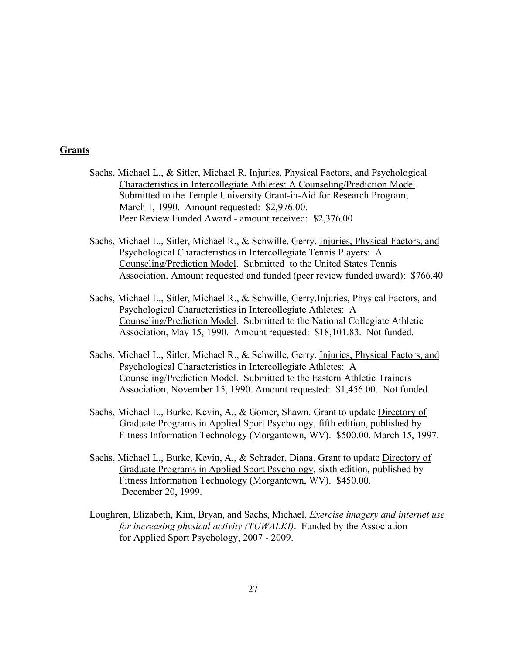# **Grants**

- Sachs, Michael L., & Sitler, Michael R. Injuries, Physical Factors, and Psychological Characteristics in Intercollegiate Athletes: A Counseling/Prediction Model. Submitted to the Temple University Grant-in-Aid for Research Program, March 1, 1990. Amount requested: \$2,976.00. Peer Review Funded Award - amount received: \$2,376.00
- Sachs, Michael L., Sitler, Michael R., & Schwille, Gerry. Injuries, Physical Factors, and Psychological Characteristics in Intercollegiate Tennis Players: A Counseling/Prediction Model. Submitted to the United States Tennis Association. Amount requested and funded (peer review funded award): \$766.40
- Sachs, Michael L., Sitler, Michael R., & Schwille, Gerry.Injuries, Physical Factors, and Psychological Characteristics in Intercollegiate Athletes: A Counseling/Prediction Model. Submitted to the National Collegiate Athletic Association, May 15, 1990. Amount requested: \$18,101.83. Not funded.
- Sachs, Michael L., Sitler, Michael R., & Schwille, Gerry. Injuries, Physical Factors, and Psychological Characteristics in Intercollegiate Athletes: A Counseling/Prediction Model. Submitted to the Eastern Athletic Trainers Association, November 15, 1990. Amount requested: \$1,456.00. Not funded.
- Sachs, Michael L., Burke, Kevin, A., & Gomer, Shawn. Grant to update Directory of Graduate Programs in Applied Sport Psychology, fifth edition, published by Fitness Information Technology (Morgantown, WV). \$500.00. March 15, 1997.
- Sachs, Michael L., Burke, Kevin, A., & Schrader, Diana. Grant to update Directory of Graduate Programs in Applied Sport Psychology, sixth edition, published by Fitness Information Technology (Morgantown, WV). \$450.00. December 20, 1999.
- Loughren, Elizabeth, Kim, Bryan, and Sachs, Michael. *Exercise imagery and internet use for increasing physical activity (TUWALKI)*. Funded by the Association for Applied Sport Psychology, 2007 - 2009.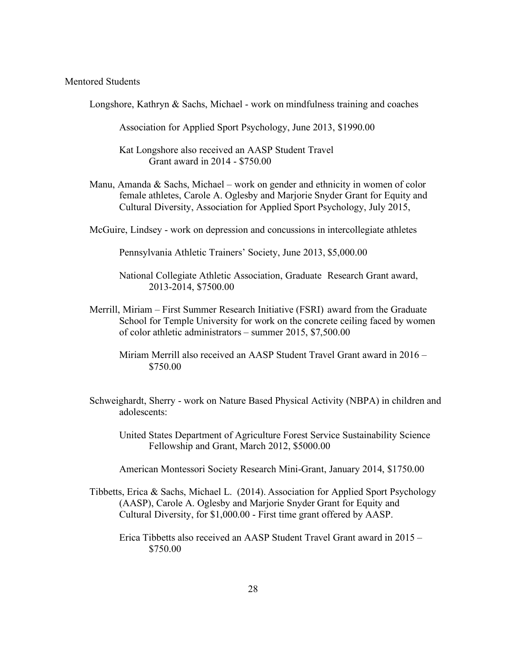# Mentored Students

Longshore, Kathryn & Sachs, Michael - work on mindfulness training and coaches

Association for Applied Sport Psychology, June 2013, \$1990.00

Kat Longshore also received an AASP Student Travel Grant award in 2014 - \$750.00

- Manu, Amanda  $\&$  Sachs, Michael work on gender and ethnicity in women of color female athletes, Carole A. Oglesby and Marjorie Snyder Grant for Equity and Cultural Diversity, Association for Applied Sport Psychology, July 2015,
- McGuire, Lindsey work on depression and concussions in intercollegiate athletes

Pennsylvania Athletic Trainers' Society, June 2013, \$5,000.00

- Merrill, Miriam First Summer Research Initiative (FSRI) award from the Graduate School for Temple University for work on the concrete ceiling faced by women of color athletic administrators – summer 2015, \$7,500.00
	- Miriam Merrill also received an AASP Student Travel Grant award in 2016 \$750.00
- Schweighardt, Sherry work on Nature Based Physical Activity (NBPA) in children and adolescents:
	- United States Department of Agriculture Forest Service Sustainability Science Fellowship and Grant, March 2012, \$5000.00
	- American Montessori Society Research Mini-Grant, January 2014, \$1750.00
- Tibbetts, Erica & Sachs, Michael L. (2014). Association for Applied Sport Psychology (AASP), Carole A. Oglesby and Marjorie Snyder Grant for Equity and Cultural Diversity, for \$1,000.00 - First time grant offered by AASP.

Erica Tibbetts also received an AASP Student Travel Grant award in 2015 – \$750.00

National Collegiate Athletic Association, Graduate Research Grant award, 2013-2014, \$7500.00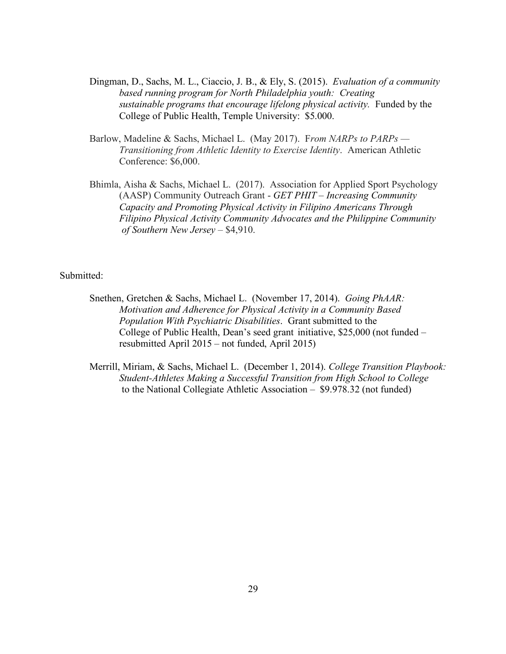- Dingman, D., Sachs, M. L., Ciaccio, J. B., & Ely, S. (2015). *Evaluation of a community based running program for North Philadelphia youth: Creating sustainable programs that encourage lifelong physical activity.* Funded by the College of Public Health, Temple University: \$5.000.
- Barlow, Madeline & Sachs, Michael L. (May 2017). F*rom NARPs to PARPs — Transitioning from Athletic Identity to Exercise Identity*. American Athletic Conference: \$6,000.
- Bhimla, Aisha & Sachs, Michael L. (2017). Association for Applied Sport Psychology (AASP) Community Outreach Grant - *GET PHIT – Increasing Community Capacity and Promoting Physical Activity in Filipino Americans Through Filipino Physical Activity Community Advocates and the Philippine Community of Southern New Jersey* – \$4,910.

#### Submitted:

- Snethen, Gretchen & Sachs, Michael L. (November 17, 2014). *Going PhAAR: Motivation and Adherence for Physical Activity in a Community Based Population With Psychiatric Disabilities*. Grant submitted to the College of Public Health, Dean's seed grant initiative, \$25,000 (not funded – resubmitted April 2015 – not funded, April 2015)
- Merrill, Miriam, & Sachs, Michael L. (December 1, 2014). *College Transition Playbook: Student-Athletes Making a Successful Transition from High School to College* to the National Collegiate Athletic Association – \$9.978.32 (not funded)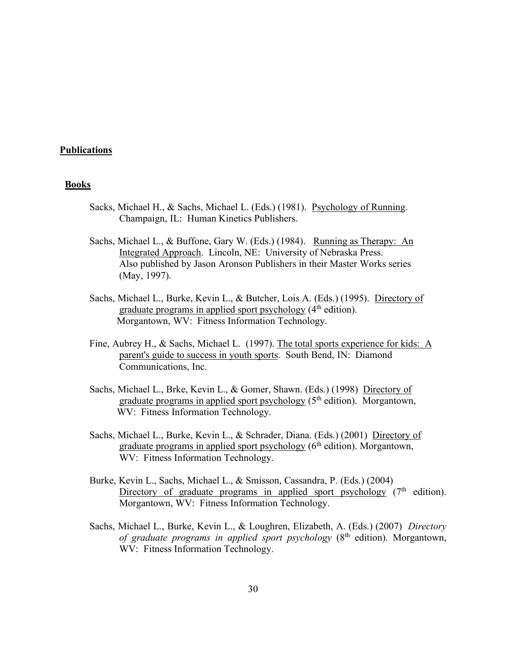## **Publications**

#### **Books**

- Sacks, Michael H., & Sachs, Michael L. (Eds.) (1981). Psychology of Running. Champaign, IL: Human Kinetics Publishers.
- Sachs, Michael L., & Buffone, Gary W. (Eds.) (1984). Running as Therapy: An Integrated Approach. Lincoln, NE: University of Nebraska Press. Also published by Jason Aronson Publishers in their Master Works series (May, 1997).
- Sachs, Michael L., Burke, Kevin L., & Butcher, Lois A. (Eds.) (1995). Directory of graduate programs in applied sport psychology (4<sup>th</sup> edition). Morgantown, WV: Fitness Information Technology.
- Fine, Aubrey H., & Sachs, Michael L. (1997). The total sports experience for kids: A parent's guide to success in youth sports. South Bend, IN: Diamond Communications, Inc.
- Sachs, Michael L., Brke, Kevin L., & Gomer, Shawn. (Eds.) (1998) Directory of graduate programs in applied sport psychology  $(5<sup>th</sup>$  edition). Morgantown, WV: Fitness Information Technology.
- Sachs, Michael L., Burke, Kevin L., & Schrader, Diana. (Eds.) (2001) Directory of graduate programs in applied sport psychology  $(6<sup>th</sup>$  edition). Morgantown, WV: Fitness Information Technology.
- Burke, Kevin L., Sachs, Michael L., & Smisson, Cassandra, P. (Eds.) (2004) Directory of graduate programs in applied sport psychology  $(7<sup>th</sup>$  edition). Morgantown, WV: Fitness Information Technology.
- Sachs, Michael L., Burke, Kevin L., & Loughren, Elizabeth, A. (Eds.) (2007) *Directory of graduate programs in applied sport psychology* (8th edition). Morgantown, WV: Fitness Information Technology.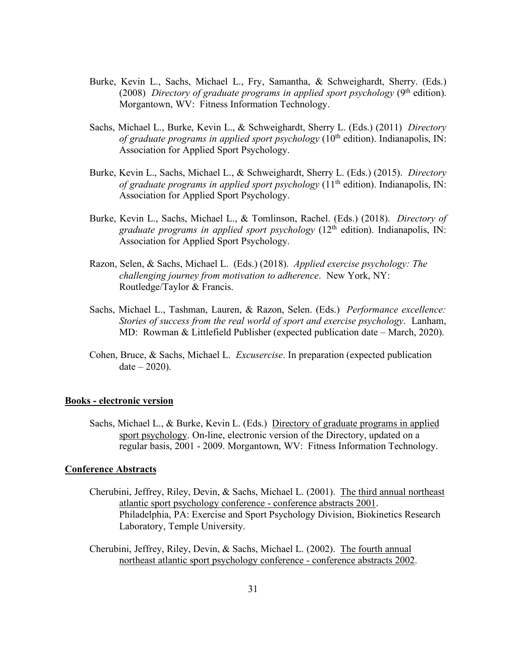- Burke, Kevin L., Sachs, Michael L., Fry, Samantha, & Schweighardt, Sherry. (Eds.) (2008) *Directory of graduate programs in applied sport psychology* (9<sup>th</sup> edition). Morgantown, WV: Fitness Information Technology.
- Sachs, Michael L., Burke, Kevin L., & Schweighardt, Sherry L. (Eds.) (2011) *Directory of graduate programs in applied sport psychology* ( $10<sup>th</sup>$  edition). Indianapolis, IN: Association for Applied Sport Psychology.
- Burke, Kevin L., Sachs, Michael L., & Schweighardt, Sherry L. (Eds.) (2015). *Directory of graduate programs in applied sport psychology* ( $11<sup>th</sup>$  edition). Indianapolis, IN: Association for Applied Sport Psychology.
- Burke, Kevin L., Sachs, Michael L., & Tomlinson, Rachel. (Eds.) (2018). *Directory of graduate programs in applied sport psychology* (12<sup>th</sup> edition). Indianapolis, IN: Association for Applied Sport Psychology.
- Razon, Selen, & Sachs, Michael L. (Eds.) (2018). *Applied exercise psychology: The challenging journey from motivation to adherence*. New York, NY: Routledge/Taylor & Francis.
- Sachs, Michael L., Tashman, Lauren, & Razon, Selen. (Eds.) *Performance excellence: Stories of success from the real world of sport and exercise psychology*. Lanham, MD: Rowman & Littlefield Publisher (expected publication date – March, 2020).
- Cohen, Bruce, & Sachs, Michael L. *Excusercise*. In preparation (expected publication  $date - 2020$ ).

#### **Books - electronic version**

Sachs, Michael L., & Burke, Kevin L. (Eds.) Directory of graduate programs in applied sport psychology. On-line, electronic version of the Directory, updated on a regular basis, 2001 - 2009. Morgantown, WV: Fitness Information Technology.

#### **Conference Abstracts**

- Cherubini, Jeffrey, Riley, Devin, & Sachs, Michael L. (2001). The third annual northeast atlantic sport psychology conference - conference abstracts 2001. Philadelphia, PA: Exercise and Sport Psychology Division, Biokinetics Research Laboratory, Temple University.
- Cherubini, Jeffrey, Riley, Devin, & Sachs, Michael L. (2002). The fourth annual northeast atlantic sport psychology conference - conference abstracts 2002.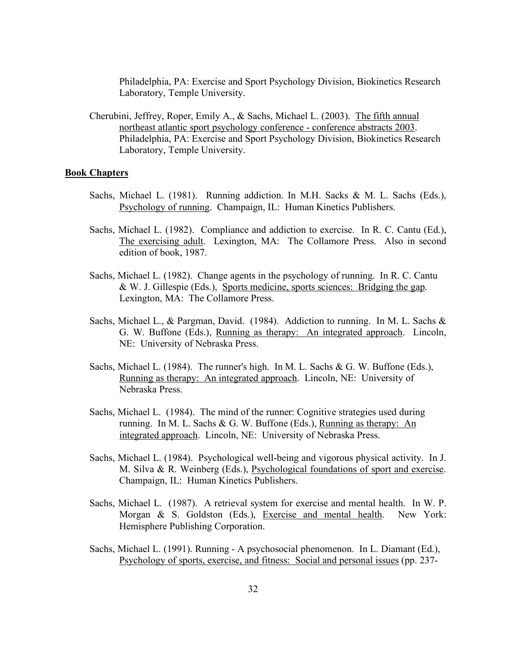Philadelphia, PA: Exercise and Sport Psychology Division, Biokinetics Research Laboratory, Temple University.

Cherubini, Jeffrey, Roper, Emily A., & Sachs, Michael L. (2003). The fifth annual northeast atlantic sport psychology conference - conference abstracts 2003. Philadelphia, PA: Exercise and Sport Psychology Division, Biokinetics Research Laboratory, Temple University.

### **Book Chapters**

- Sachs, Michael L. (1981). Running addiction. In M.H. Sacks & M. L. Sachs (Eds.), Psychology of running. Champaign, IL: Human Kinetics Publishers.
- Sachs, Michael L. (1982). Compliance and addiction to exercise. In R. C. Cantu (Ed.), The exercising adult. Lexington, MA: The Collamore Press. Also in second edition of book, 1987.
- Sachs, Michael L. (1982). Change agents in the psychology of running. In R. C. Cantu & W. J. Gillespie (Eds.), Sports medicine, sports sciences: Bridging the gap. Lexington, MA: The Collamore Press.
- Sachs, Michael L., & Pargman, David. (1984). Addiction to running. In M. L. Sachs & G. W. Buffone (Eds.), Running as therapy: An integrated approach. Lincoln, NE: University of Nebraska Press.
- Sachs, Michael L. (1984). The runner's high. In M. L. Sachs & G. W. Buffone (Eds.), Running as therapy: An integrated approach. Lincoln, NE: University of Nebraska Press.
- Sachs, Michael L. (1984). The mind of the runner: Cognitive strategies used during running. In M. L. Sachs & G. W. Buffone (Eds.), Running as therapy: An integrated approach. Lincoln, NE: University of Nebraska Press.
- Sachs, Michael L. (1984). Psychological well-being and vigorous physical activity. In J. M. Silva & R. Weinberg (Eds.), Psychological foundations of sport and exercise. Champaign, IL: Human Kinetics Publishers.
- Sachs, Michael L. (1987). A retrieval system for exercise and mental health. In W. P. Morgan & S. Goldston (Eds.), Exercise and mental health. New York: Hemisphere Publishing Corporation.
- Sachs, Michael L. (1991). Running A psychosocial phenomenon. In L. Diamant (Ed.), Psychology of sports, exercise, and fitness: Social and personal issues (pp. 237-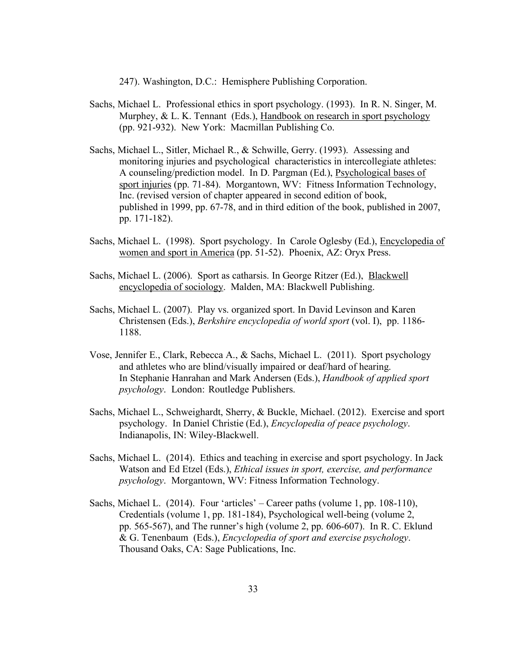247). Washington, D.C.: Hemisphere Publishing Corporation.

- Sachs, Michael L. Professional ethics in sport psychology. (1993). In R. N. Singer, M. Murphey, & L. K. Tennant (Eds.), Handbook on research in sport psychology (pp. 921-932). New York: Macmillan Publishing Co.
- Sachs, Michael L., Sitler, Michael R., & Schwille, Gerry. (1993). Assessing and monitoring injuries and psychological characteristics in intercollegiate athletes: A counseling/prediction model. In D. Pargman (Ed.), Psychological bases of sport injuries (pp. 71-84). Morgantown, WV: Fitness Information Technology, Inc. (revised version of chapter appeared in second edition of book, published in 1999, pp. 67-78, and in third edition of the book, published in 2007, pp. 171-182).
- Sachs, Michael L. (1998). Sport psychology. In Carole Oglesby (Ed.), Encyclopedia of women and sport in America (pp. 51-52). Phoenix, AZ: Oryx Press.
- Sachs, Michael L. (2006). Sport as catharsis. In George Ritzer (Ed.), Blackwell encyclopedia of sociology. Malden, MA: Blackwell Publishing.
- Sachs, Michael L. (2007). Play vs. organized sport. In David Levinson and Karen Christensen (Eds.), *Berkshire encyclopedia of world sport* (vol. I), pp. 1186- 1188.
- Vose, Jennifer E., Clark, Rebecca A., & Sachs, Michael L. (2011). Sport psychology and athletes who are blind/visually impaired or deaf/hard of hearing. In Stephanie Hanrahan and Mark Andersen (Eds.), *Handbook of applied sport psychology*. London: Routledge Publishers.
- Sachs, Michael L., Schweighardt, Sherry, & Buckle, Michael. (2012). Exercise and sport psychology. In Daniel Christie (Ed.), *Encyclopedia of peace psychology*. Indianapolis, IN: Wiley-Blackwell.
- Sachs, Michael L. (2014). Ethics and teaching in exercise and sport psychology. In Jack Watson and Ed Etzel (Eds.), *Ethical issues in sport, exercise, and performance psychology*. Morgantown, WV: Fitness Information Technology.
- Sachs, Michael L. (2014). Four 'articles' Career paths (volume 1, pp. 108-110), Credentials (volume 1, pp. 181-184), Psychological well-being (volume 2, pp. 565-567), and The runner's high (volume 2, pp. 606-607). In R. C. Eklund & G. Tenenbaum (Eds.), *Encyclopedia of sport and exercise psychology*. Thousand Oaks, CA: Sage Publications, Inc.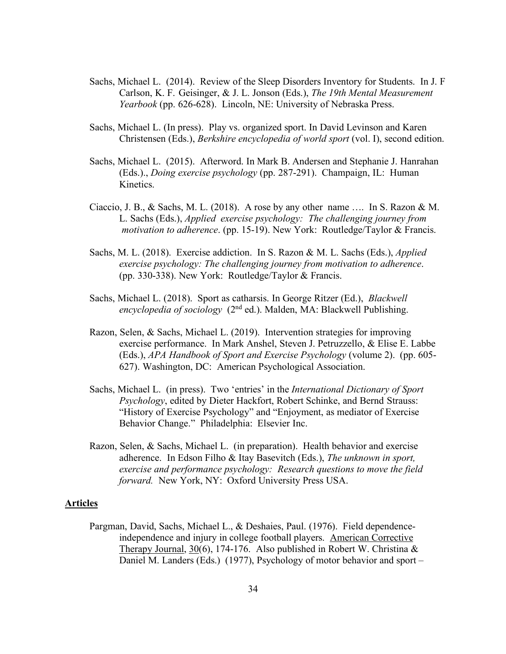- Sachs, Michael L. (2014). Review of the Sleep Disorders Inventory for Students. In J. F Carlson, K. F. Geisinger, & J. L. Jonson (Eds.), *The 19th Mental Measurement Yearbook* (pp. 626-628). Lincoln, NE: University of Nebraska Press.
- Sachs, Michael L. (In press). Play vs. organized sport. In David Levinson and Karen Christensen (Eds.), *Berkshire encyclopedia of world sport* (vol. I), second edition.
- Sachs, Michael L. (2015). Afterword. In Mark B. Andersen and Stephanie J. Hanrahan (Eds.)., *Doing exercise psychology* (pp. 287-291). Champaign, IL: Human Kinetics.
- Ciaccio, J. B., & Sachs, M. L. (2018). A rose by any other name .... In S. Razon & M. L. Sachs (Eds.), *Applied exercise psychology: The challenging journey from motivation to adherence*. (pp. 15-19). New York: Routledge/Taylor & Francis.
- Sachs, M. L. (2018). Exercise addiction. In S. Razon & M. L. Sachs (Eds.), *Applied exercise psychology: The challenging journey from motivation to adherence*. (pp. 330-338). New York: Routledge/Taylor & Francis.
- Sachs, Michael L. (2018). Sport as catharsis. In George Ritzer (Ed.), *Blackwell encyclopedia of sociology* (2nd ed.). Malden, MA: Blackwell Publishing.
- Razon, Selen, & Sachs, Michael L. (2019). Intervention strategies for improving exercise performance. In Mark Anshel, Steven J. Petruzzello, & Elise E. Labbe (Eds.), *APA Handbook of Sport and Exercise Psychology* (volume 2). (pp. 605- 627). Washington, DC: American Psychological Association.
- Sachs, Michael L. (in press). Two 'entries' in the *International Dictionary of Sport Psychology*, edited by Dieter Hackfort, Robert Schinke, and Bernd Strauss: "History of Exercise Psychology" and "Enjoyment, as mediator of Exercise Behavior Change." Philadelphia: Elsevier Inc.
- Razon, Selen, & Sachs, Michael L. (in preparation). Health behavior and exercise adherence. In Edson Filho & Itay Basevitch (Eds.), *The unknown in sport, exercise and performance psychology: Research questions to move the field forward.* New York, NY: Oxford University Press USA.

# **Articles**

Pargman, David, Sachs, Michael L., & Deshaies, Paul. (1976). Field dependenceindependence and injury in college football players. American Corrective Therapy Journal, 30(6), 174-176. Also published in Robert W. Christina & Daniel M. Landers (Eds.) (1977), Psychology of motor behavior and sport –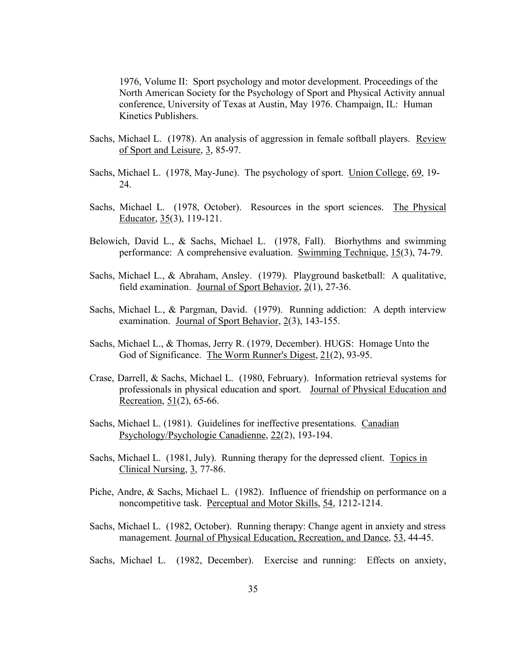1976, Volume II: Sport psychology and motor development. Proceedings of the North American Society for the Psychology of Sport and Physical Activity annual conference, University of Texas at Austin, May 1976. Champaign, IL: Human Kinetics Publishers.

- Sachs, Michael L. (1978). An analysis of aggression in female softball players. Review of Sport and Leisure, 3, 85-97.
- Sachs, Michael L. (1978, May-June). The psychology of sport. Union College, 69, 19- 24.
- Sachs, Michael L. (1978, October). Resources in the sport sciences. The Physical Educator, 35(3), 119-121.
- Belowich, David L., & Sachs, Michael L. (1978, Fall). Biorhythms and swimming performance: A comprehensive evaluation. Swimming Technique, 15(3), 74-79.
- Sachs, Michael L., & Abraham, Ansley. (1979). Playground basketball: A qualitative, field examination. Journal of Sport Behavior, 2(1), 27-36.
- Sachs, Michael L., & Pargman, David. (1979). Running addiction: A depth interview examination. Journal of Sport Behavior, 2(3), 143-155.
- Sachs, Michael L., & Thomas, Jerry R. (1979, December). HUGS: Homage Unto the God of Significance. The Worm Runner's Digest, 21(2), 93-95.
- Crase, Darrell, & Sachs, Michael L. (1980, February). Information retrieval systems for professionals in physical education and sport. Journal of Physical Education and Recreation, 51(2), 65-66.
- Sachs, Michael L. (1981). Guidelines for ineffective presentations. Canadian Psychology/Psychologie Canadienne, 22(2), 193-194.
- Sachs, Michael L. (1981, July). Running therapy for the depressed client. Topics in Clinical Nursing, 3, 77-86.
- Piche, Andre, & Sachs, Michael L. (1982). Influence of friendship on performance on a noncompetitive task. Perceptual and Motor Skills, 54, 1212-1214.
- Sachs, Michael L. (1982, October). Running therapy: Change agent in anxiety and stress management. Journal of Physical Education, Recreation, and Dance, 53, 44-45.
- Sachs, Michael L. (1982, December). Exercise and running: Effects on anxiety,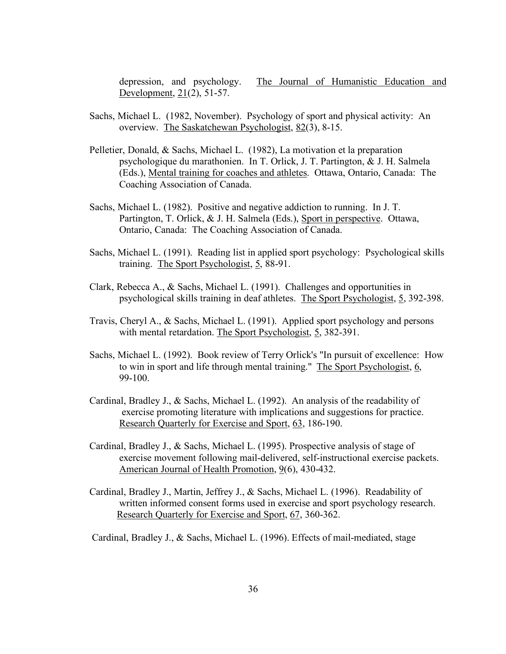depression, and psychology. The Journal of Humanistic Education and Development, 21(2), 51-57.

- Sachs, Michael L. (1982, November). Psychology of sport and physical activity: An overview. The Saskatchewan Psychologist, 82(3), 8-15.
- Pelletier, Donald, & Sachs, Michael L. (1982), La motivation et la preparation psychologique du marathonien. In T. Orlick, J. T. Partington, & J. H. Salmela (Eds.), Mental training for coaches and athletes. Ottawa, Ontario, Canada: The Coaching Association of Canada.
- Sachs, Michael L. (1982). Positive and negative addiction to running. In J. T. Partington, T. Orlick, & J. H. Salmela (Eds.), Sport in perspective. Ottawa, Ontario, Canada: The Coaching Association of Canada.
- Sachs, Michael L. (1991). Reading list in applied sport psychology: Psychological skills training. The Sport Psychologist, 5, 88-91.
- Clark, Rebecca A., & Sachs, Michael L. (1991). Challenges and opportunities in psychological skills training in deaf athletes. The Sport Psychologist, 5, 392-398.
- Travis, Cheryl A., & Sachs, Michael L. (1991). Applied sport psychology and persons with mental retardation. The Sport Psychologist, 5, 382-391.
- Sachs, Michael L. (1992). Book review of Terry Orlick's "In pursuit of excellence: How to win in sport and life through mental training." The Sport Psychologist, 6, 99-100.
- Cardinal, Bradley J., & Sachs, Michael L. (1992). An analysis of the readability of exercise promoting literature with implications and suggestions for practice. Research Quarterly for Exercise and Sport, 63, 186-190.
- Cardinal, Bradley J., & Sachs, Michael L. (1995). Prospective analysis of stage of exercise movement following mail-delivered, self-instructional exercise packets. American Journal of Health Promotion, 9(6), 430-432.
- Cardinal, Bradley J., Martin, Jeffrey J., & Sachs, Michael L. (1996). Readability of written informed consent forms used in exercise and sport psychology research. Research Quarterly for Exercise and Sport, 67, 360-362.

Cardinal, Bradley J., & Sachs, Michael L. (1996). Effects of mail-mediated, stage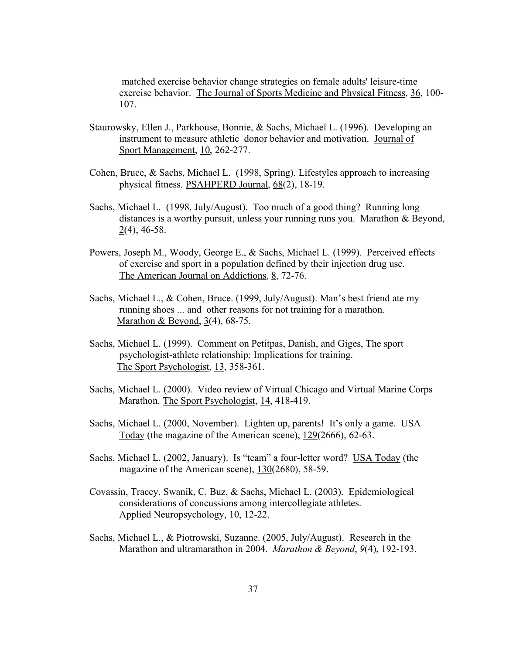matched exercise behavior change strategies on female adults' leisure-time exercise behavior. The Journal of Sports Medicine and Physical Fitness, 36, 100- 107.

- Staurowsky, Ellen J., Parkhouse, Bonnie, & Sachs, Michael L. (1996). Developing an instrument to measure athletic donor behavior and motivation. Journal of Sport Management, 10, 262-277.
- Cohen, Bruce, & Sachs, Michael L. (1998, Spring). Lifestyles approach to increasing physical fitness. PSAHPERD Journal, 68(2), 18-19.
- Sachs, Michael L. (1998, July/August). Too much of a good thing? Running long distances is a worthy pursuit, unless your running runs you. Marathon & Beyond, 2(4), 46-58.
- Powers, Joseph M., Woody, George E., & Sachs, Michael L. (1999). Perceived effects of exercise and sport in a population defined by their injection drug use. The American Journal on Addictions, 8, 72-76.
- Sachs, Michael L., & Cohen, Bruce. (1999, July/August). Man's best friend ate my running shoes ... and other reasons for not training for a marathon. Marathon & Beyond, 3(4), 68-75.
- Sachs, Michael L. (1999). Comment on Petitpas, Danish, and Giges, The sport psychologist-athlete relationship: Implications for training. The Sport Psychologist, 13, 358-361.
- Sachs, Michael L. (2000). Video review of Virtual Chicago and Virtual Marine Corps Marathon. The Sport Psychologist, 14, 418-419.
- Sachs, Michael L. (2000, November). Lighten up, parents! It's only a game. USA Today (the magazine of the American scene), 129(2666), 62-63.
- Sachs, Michael L. (2002, January). Is "team" a four-letter word? USA Today (the magazine of the American scene), 130(2680), 58-59.
- Covassin, Tracey, Swanik, C. Buz, & Sachs, Michael L. (2003). Epidemiological considerations of concussions among intercollegiate athletes. Applied Neuropsychology, 10, 12-22.
- Sachs, Michael L., & Piotrowski, Suzanne. (2005, July/August). Research in the Marathon and ultramarathon in 2004. *Marathon & Beyond*, *9*(4), 192-193.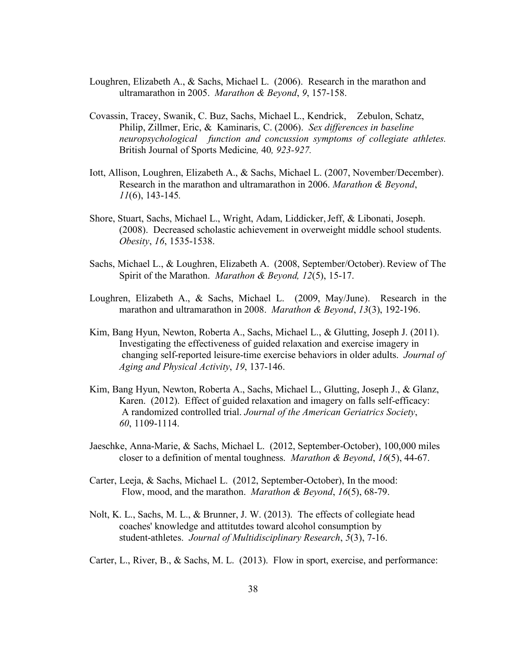- Loughren, Elizabeth A., & Sachs, Michael L. (2006). Research in the marathon and ultramarathon in 2005. *Marathon & Beyond*, *9*, 157-158.
- Covassin, Tracey, Swanik, C. Buz, Sachs, Michael L., Kendrick, Zebulon, Schatz, Philip, Zillmer, Eric, & Kaminaris, C. (2006). *Sex differences in baseline neuropsychological function and concussion symptoms of collegiate athletes.*  British Journal of Sports Medicine*,* 40*, 923-927.*
- Iott, Allison, Loughren, Elizabeth A., & Sachs, Michael L. (2007, November/December). Research in the marathon and ultramarathon in 2006. *Marathon & Beyond*, *11*(6), 143-145*.*
- Shore, Stuart, Sachs, Michael L., Wright, Adam, Liddicker,Jeff, & Libonati, Joseph. (2008). Decreased scholastic achievement in overweight middle school students. *Obesity*, *16*, 1535-1538.
- Sachs, Michael L., & Loughren, Elizabeth A. (2008, September/October). Review of The Spirit of the Marathon. *Marathon & Beyond, 12*(5), 15-17.
- Loughren, Elizabeth A., & Sachs, Michael L. (2009, May/June). Research in the marathon and ultramarathon in 2008. *Marathon & Beyond*, *13*(3), 192-196.
- Kim, Bang Hyun, Newton, Roberta A., Sachs, Michael L., & Glutting, Joseph J. (2011). Investigating the effectiveness of guided relaxation and exercise imagery in changing self-reported leisure-time exercise behaviors in older adults. *Journal of Aging and Physical Activity*, *19*, 137-146.
- Kim, Bang Hyun, Newton, Roberta A., Sachs, Michael L., Glutting, Joseph J., & Glanz, Karen. (2012). Effect of guided relaxation and imagery on falls self-efficacy: A randomized controlled trial. *Journal of the American Geriatrics Society*, *60*, 1109-1114.
- Jaeschke, Anna-Marie, & Sachs, Michael L. (2012, September-October), 100,000 miles closer to a definition of mental toughness. *Marathon & Beyond*, *16*(5), 44-67.
- Carter, Leeja, & Sachs, Michael L. (2012, September-October), In the mood: Flow, mood, and the marathon. *Marathon & Beyond*, *16*(5), 68-79.
- Nolt, K. L., Sachs, M. L., & Brunner, J. W. (2013). The effects of collegiate head coaches' knowledge and attitutdes toward alcohol consumption by student-athletes. *Journal of Multidisciplinary Research*, *5*(3), 7-16.
- Carter, L., River, B., & Sachs, M. L. (2013). Flow in sport, exercise, and performance: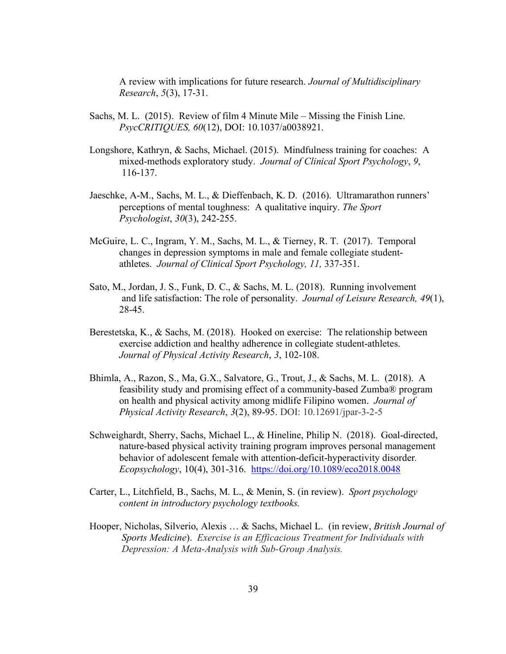A review with implications for future research. *Journal of Multidisciplinary Research*, *5*(3), 17-31.

- Sachs, M. L. (2015). Review of film 4 Minute Mile Missing the Finish Line. *PsycCRITIQUES, 60*(12), DOI: 10.1037/a0038921.
- Longshore, Kathryn, & Sachs, Michael. (2015). Mindfulness training for coaches: A mixed-methods exploratory study. *Journal of Clinical Sport Psychology*, *9*, 116-137.
- Jaeschke, A-M., Sachs, M. L., & Dieffenbach, K. D. (2016). Ultramarathon runners' perceptions of mental toughness: A qualitative inquiry. *The Sport Psychologist*, *30*(3), 242-255.
- McGuire, L. C., Ingram, Y. M., Sachs, M. L., & Tierney, R. T. (2017). Temporal changes in depression symptoms in male and female collegiate studentathletes. *Journal of Clinical Sport Psychology, 11,* 337-351.
- Sato, M., Jordan, J. S., Funk, D. C., & Sachs, M. L. (2018). Running involvement and life satisfaction: The role of personality. *Journal of Leisure Research, 49*(1), 28-45.
- Berestetska, K., & Sachs, M. (2018). Hooked on exercise: The relationship between exercise addiction and healthy adherence in collegiate student-athletes. *Journal of Physical Activity Research*, *3*, 102-108.
- Bhimla, A., Razon, S., Ma, G.X., Salvatore, G., Trout, J., & Sachs, M. L. (2018). A feasibility study and promising effect of a community-based Zumba® program on health and physical activity among midlife Filipino women. *Journal of Physical Activity Research*, *3*(2), 89-95. DOI: 10.12691/jpar-3-2-5
- Schweighardt, Sherry, Sachs, Michael L., & Hineline, Philip N. (2018). Goal-directed, nature-based physical activity training program improves personal management behavior of adolescent female with attention-deficit-hyperactivity disorder*. Ecopsychology*, 10(4), 301-316. https://doi.org/10.1089/eco2018.0048
- Carter, L., Litchfield, B., Sachs, M. L., & Menin, S. (in review). *Sport psychology content in introductory psychology textbooks.*
- Hooper, Nicholas, Silverio, Alexis … & Sachs, Michael L. (in review, *British Journal of Sports Medicine*). *Exercise is an Efficacious Treatment for Individuals with Depression: A Meta-Analysis with Sub-Group Analysis.*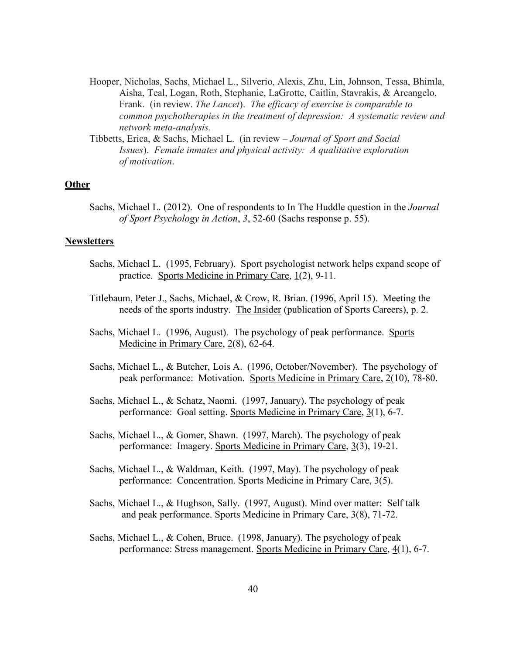- Hooper, Nicholas, Sachs, Michael L., Silverio, Alexis, Zhu, Lin, Johnson, Tessa, Bhimla, Aisha, Teal, Logan, Roth, Stephanie, LaGrotte, Caitlin, Stavrakis, & Arcangelo, Frank. (in review. *The Lancet*). *The efficacy of exercise is comparable to common psychotherapies in the treatment of depression: A systematic review and network meta-analysis.*
- Tibbetts, Erica, & Sachs, Michael L. (in review *Journal of Sport and Social Issues*). *Female inmates and physical activity: A qualitative exploration of motivation*.

### **Other**

Sachs, Michael L. (2012). One of respondents to In The Huddle question in the *Journal of Sport Psychology in Action*, *3*, 52-60 (Sachs response p. 55).

# **Newsletters**

- Sachs, Michael L. (1995, February). Sport psychologist network helps expand scope of practice. Sports Medicine in Primary Care, 1(2), 9-11.
- Titlebaum, Peter J., Sachs, Michael, & Crow, R. Brian. (1996, April 15). Meeting the needs of the sports industry. The Insider (publication of Sports Careers), p. 2.
- Sachs, Michael L. (1996, August). The psychology of peak performance. Sports Medicine in Primary Care, 2(8), 62-64.
- Sachs, Michael L., & Butcher, Lois A. (1996, October/November). The psychology of peak performance: Motivation. Sports Medicine in Primary Care, 2(10), 78-80.
- Sachs, Michael L., & Schatz, Naomi. (1997, January). The psychology of peak performance: Goal setting. Sports Medicine in Primary Care, 3(1), 6-7.
- Sachs, Michael L., & Gomer, Shawn. (1997, March). The psychology of peak performance: Imagery. Sports Medicine in Primary Care, 3(3), 19-21.
- Sachs, Michael L., & Waldman, Keith. (1997, May). The psychology of peak performance: Concentration. Sports Medicine in Primary Care, 3(5).
- Sachs, Michael L., & Hughson, Sally. (1997, August). Mind over matter: Self talk and peak performance. Sports Medicine in Primary Care, 3(8), 71-72.
- Sachs, Michael L., & Cohen, Bruce. (1998, January). The psychology of peak performance: Stress management. Sports Medicine in Primary Care, 4(1), 6-7.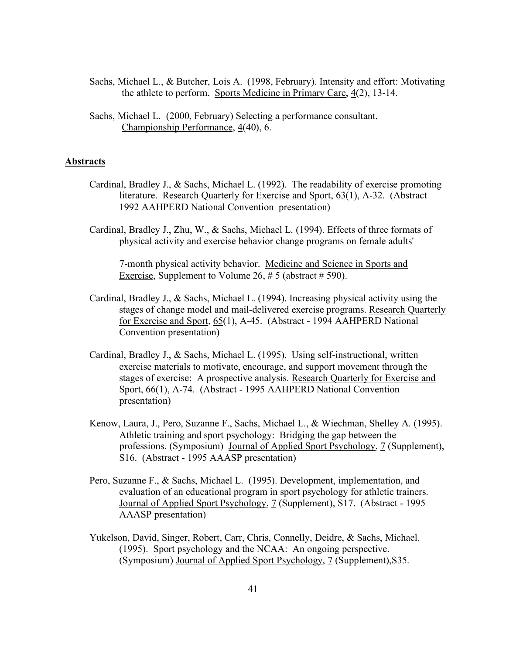- Sachs, Michael L., & Butcher, Lois A. (1998, February). Intensity and effort: Motivating the athlete to perform. Sports Medicine in Primary Care, 4(2), 13-14.
- Sachs, Michael L. (2000, February) Selecting a performance consultant. Championship Performance, 4(40), 6.

## **Abstracts**

- Cardinal, Bradley J., & Sachs, Michael L. (1992). The readability of exercise promoting literature. Research Quarterly for Exercise and Sport, 63(1), A-32. (Abstract – 1992 AAHPERD National Convention presentation)
- Cardinal, Bradley J., Zhu, W., & Sachs, Michael L. (1994). Effects of three formats of physical activity and exercise behavior change programs on female adults'

 7-month physical activity behavior. Medicine and Science in Sports and Exercise, Supplement to Volume 26,  $\# 5$  (abstract  $\# 590$ ).

- Cardinal, Bradley J., & Sachs, Michael L. (1994). Increasing physical activity using the stages of change model and mail-delivered exercise programs. Research Quarterly for Exercise and Sport, 65(1), A-45. (Abstract - 1994 AAHPERD National Convention presentation)
- Cardinal, Bradley J., & Sachs, Michael L. (1995). Using self-instructional, written exercise materials to motivate, encourage, and support movement through the stages of exercise: A prospective analysis. Research Quarterly for Exercise and Sport, 66(1), A-74. (Abstract - 1995 AAHPERD National Convention presentation)
- Kenow, Laura, J., Pero, Suzanne F., Sachs, Michael L., & Wiechman, Shelley A. (1995). Athletic training and sport psychology: Bridging the gap between the professions. (Symposium) Journal of Applied Sport Psychology, 7 (Supplement), S16. (Abstract - 1995 AAASP presentation)
- Pero, Suzanne F., & Sachs, Michael L. (1995). Development, implementation, and evaluation of an educational program in sport psychology for athletic trainers. Journal of Applied Sport Psychology, 7 (Supplement), S17. (Abstract - 1995 AAASP presentation)
- Yukelson, David, Singer, Robert, Carr, Chris, Connelly, Deidre, & Sachs, Michael. (1995). Sport psychology and the NCAA: An ongoing perspective. (Symposium) Journal of Applied Sport Psychology, 7 (Supplement),S35.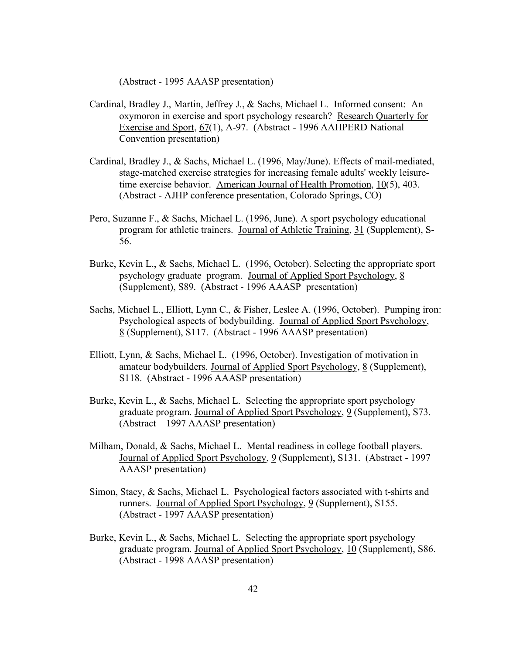(Abstract - 1995 AAASP presentation)

- Cardinal, Bradley J., Martin, Jeffrey J., & Sachs, Michael L. Informed consent: An oxymoron in exercise and sport psychology research? Research Quarterly for Exercise and Sport, 67(1), A-97. (Abstract - 1996 AAHPERD National Convention presentation)
- Cardinal, Bradley J., & Sachs, Michael L. (1996, May/June). Effects of mail-mediated, stage-matched exercise strategies for increasing female adults' weekly leisuretime exercise behavior. American Journal of Health Promotion, 10(5), 403. (Abstract - AJHP conference presentation, Colorado Springs, CO)
- Pero, Suzanne F., & Sachs, Michael L. (1996, June). A sport psychology educational program for athletic trainers. Journal of Athletic Training, 31 (Supplement), S-56.
- Burke, Kevin L., & Sachs, Michael L. (1996, October). Selecting the appropriate sport psychology graduate program. Journal of Applied Sport Psychology, 8 (Supplement), S89. (Abstract - 1996 AAASP presentation)
- Sachs, Michael L., Elliott, Lynn C., & Fisher, Leslee A. (1996, October). Pumping iron: Psychological aspects of bodybuilding. Journal of Applied Sport Psychology, 8 (Supplement), S117. (Abstract - 1996 AAASP presentation)
- Elliott, Lynn, & Sachs, Michael L. (1996, October). Investigation of motivation in amateur bodybuilders. Journal of Applied Sport Psychology, 8 (Supplement), S118. (Abstract - 1996 AAASP presentation)
- Burke, Kevin L., & Sachs, Michael L. Selecting the appropriate sport psychology graduate program. Journal of Applied Sport Psychology, 9 (Supplement), S73. (Abstract – 1997 AAASP presentation)
- Milham, Donald, & Sachs, Michael L. Mental readiness in college football players. Journal of Applied Sport Psychology, 9 (Supplement), S131. (Abstract - 1997 AAASP presentation)
- Simon, Stacy, & Sachs, Michael L. Psychological factors associated with t-shirts and runners. Journal of Applied Sport Psychology, 9 (Supplement), S155. (Abstract - 1997 AAASP presentation)
- Burke, Kevin L., & Sachs, Michael L. Selecting the appropriate sport psychology graduate program. Journal of Applied Sport Psychology, 10 (Supplement), S86. (Abstract - 1998 AAASP presentation)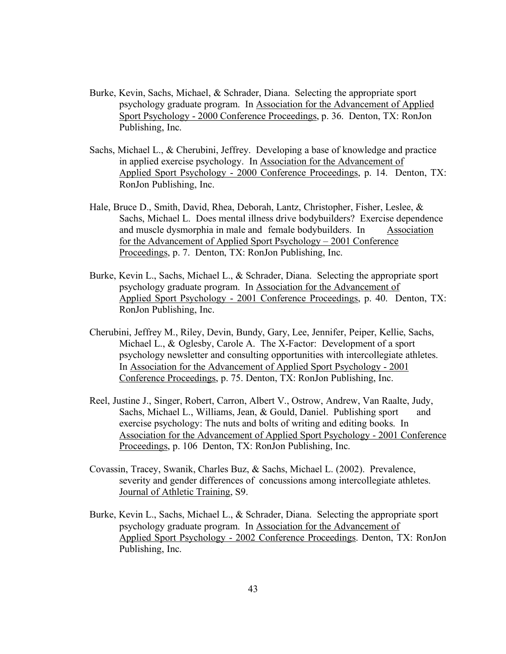- Burke, Kevin, Sachs, Michael, & Schrader, Diana. Selecting the appropriate sport psychology graduate program. In Association for the Advancement of Applied Sport Psychology - 2000 Conference Proceedings, p. 36. Denton, TX: RonJon Publishing, Inc.
- Sachs, Michael L., & Cherubini, Jeffrey. Developing a base of knowledge and practice in applied exercise psychology. In Association for the Advancement of Applied Sport Psychology - 2000 Conference Proceedings, p. 14. Denton, TX: RonJon Publishing, Inc.
- Hale, Bruce D., Smith, David, Rhea, Deborah, Lantz, Christopher, Fisher, Leslee, & Sachs, Michael L. Does mental illness drive bodybuilders? Exercise dependence and muscle dysmorphia in male and female bodybuilders. In Association for the Advancement of Applied Sport Psychology – 2001 Conference Proceedings, p. 7. Denton, TX: RonJon Publishing, Inc.
- Burke, Kevin L., Sachs, Michael L., & Schrader, Diana. Selecting the appropriate sport psychology graduate program. In Association for the Advancement of Applied Sport Psychology - 2001 Conference Proceedings, p. 40. Denton, TX: RonJon Publishing, Inc.
- Cherubini, Jeffrey M., Riley, Devin, Bundy, Gary, Lee, Jennifer, Peiper, Kellie, Sachs, Michael L., & Oglesby, Carole A. The X-Factor: Development of a sport psychology newsletter and consulting opportunities with intercollegiate athletes. In Association for the Advancement of Applied Sport Psychology - 2001 Conference Proceedings, p. 75. Denton, TX: RonJon Publishing, Inc.
- Reel, Justine J., Singer, Robert, Carron, Albert V., Ostrow, Andrew, Van Raalte, Judy, Sachs, Michael L., Williams, Jean, & Gould, Daniel. Publishing sport and exercise psychology: The nuts and bolts of writing and editing books. In Association for the Advancement of Applied Sport Psychology - 2001 Conference Proceedings, p. 106 Denton, TX: RonJon Publishing, Inc.
- Covassin, Tracey, Swanik, Charles Buz, & Sachs, Michael L. (2002). Prevalence, severity and gender differences of concussions among intercollegiate athletes. Journal of Athletic Training, S9.
- Burke, Kevin L., Sachs, Michael L., & Schrader, Diana. Selecting the appropriate sport psychology graduate program. In Association for the Advancement of Applied Sport Psychology - 2002 Conference Proceedings. Denton, TX: RonJon Publishing, Inc.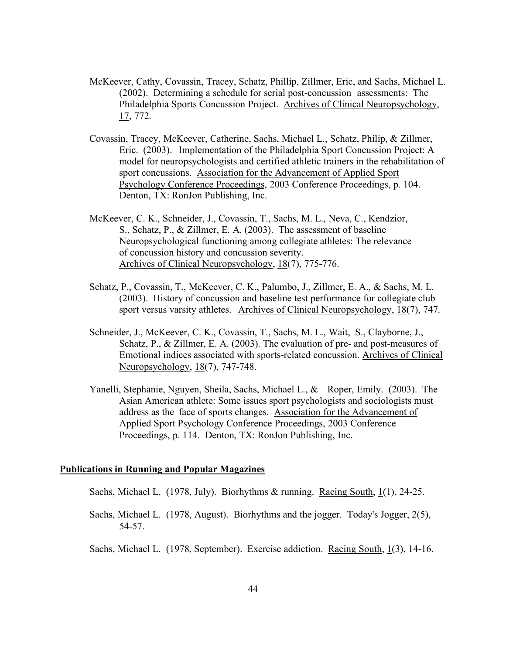- McKeever, Cathy, Covassin, Tracey, Schatz, Phillip, Zillmer, Eric, and Sachs, Michael L. (2002). Determining a schedule for serial post-concussion assessments: The Philadelphia Sports Concussion Project. Archives of Clinical Neuropsychology, 17, 772.
- Covassin, Tracey, McKeever, Catherine, Sachs, Michael L., Schatz, Philip, & Zillmer, Eric. (2003). Implementation of the Philadelphia Sport Concussion Project: A model for neuropsychologists and certified athletic trainers in the rehabilitation of sport concussions. Association for the Advancement of Applied Sport Psychology Conference Proceedings, 2003 Conference Proceedings, p. 104. Denton, TX: RonJon Publishing, Inc.
- McKeever, C. K., Schneider, J., Covassin, T., Sachs, M. L., Neva, C., Kendzior, S., Schatz, P., & Zillmer, E. A. (2003). The assessment of baseline Neuropsychological functioning among collegiate athletes: The relevance of concussion history and concussion severity. Archives of Clinical Neuropsychology, 18(7), 775-776.
- Schatz, P., Covassin, T., McKeever, C. K., Palumbo, J., Zillmer, E. A., & Sachs, M. L. (2003). History of concussion and baseline test performance for collegiate club sport versus varsity athletes. Archives of Clinical Neuropsychology, 18(7), 747.
- Schneider, J., McKeever, C. K., Covassin, T., Sachs, M. L., Wait, S., Clayborne, J., Schatz, P., & Zillmer, E. A. (2003). The evaluation of pre- and post-measures of Emotional indices associated with sports-related concussion. Archives of Clinical Neuropsychology, 18(7), 747-748.
- Yanelli, Stephanie, Nguyen, Sheila, Sachs, Michael L., & Roper, Emily. (2003). The Asian American athlete: Some issues sport psychologists and sociologists must address as the face of sports changes. Association for the Advancement of Applied Sport Psychology Conference Proceedings, 2003 Conference Proceedings, p. 114. Denton, TX: RonJon Publishing, Inc.

# **Publications in Running and Popular Magazines**

- Sachs, Michael L. (1978, July). Biorhythms & running. Racing South, 1(1), 24-25.
- Sachs, Michael L. (1978, August). Biorhythms and the jogger. Today's Jogger, 2(5), 54-57.

Sachs, Michael L. (1978, September). Exercise addiction. <u>Racing South, 1(3)</u>, 14-16.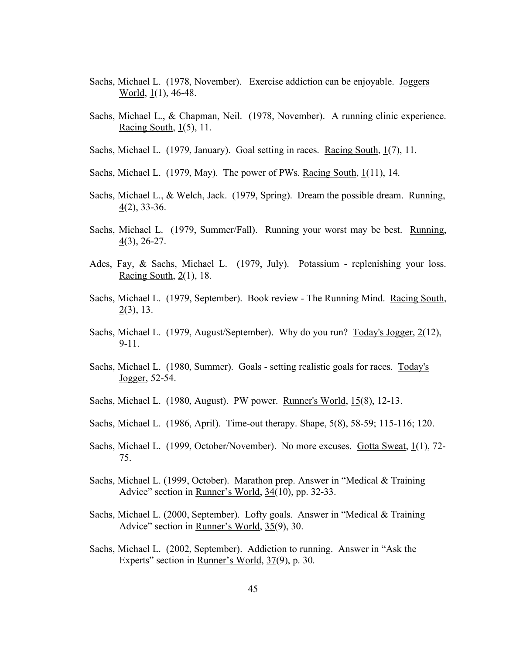- Sachs, Michael L. (1978, November). Exercise addiction can be enjoyable. Joggers World, 1(1), 46-48.
- Sachs, Michael L., & Chapman, Neil. (1978, November). A running clinic experience. Racing South, 1(5), 11.
- Sachs, Michael L. (1979, January). Goal setting in races. Racing South, 1(7), 11.
- Sachs, Michael L. (1979, May). The power of PWs. Racing South,  $1(11)$ , 14.
- Sachs, Michael L., & Welch, Jack. (1979, Spring). Dream the possible dream. Running,  $\underline{4}(2)$ , 33-36.
- Sachs, Michael L. (1979, Summer/Fall). Running your worst may be best. Running, 4(3), 26-27.
- Ades, Fay, & Sachs, Michael L. (1979, July). Potassium replenishing your loss. Racing South,  $2(1)$ , 18.
- Sachs, Michael L. (1979, September). Book review The Running Mind. Racing South,  $2(3)$ , 13.
- Sachs, Michael L. (1979, August/September). Why do you run? Today's Jogger, 2(12), 9-11.
- Sachs, Michael L. (1980, Summer). Goals setting realistic goals for races. Today's Jogger, 52-54.
- Sachs, Michael L. (1980, August). PW power. Runner's World, 15(8), 12-13.
- Sachs, Michael L. (1986, April). Time-out therapy. Shape, 5(8), 58-59; 115-116; 120.
- Sachs, Michael L. (1999, October/November). No more excuses. Gotta Sweat, 1(1), 72- 75.
- Sachs, Michael L. (1999, October). Marathon prep. Answer in "Medical & Training Advice" section in Runner's World, 34(10), pp. 32-33.
- Sachs, Michael L. (2000, September). Lofty goals. Answer in "Medical & Training Advice" section in Runner's World, 35(9), 30.
- Sachs, Michael L. (2002, September). Addiction to running. Answer in "Ask the Experts" section in <u>Runner's World</u>, 37(9), p. 30.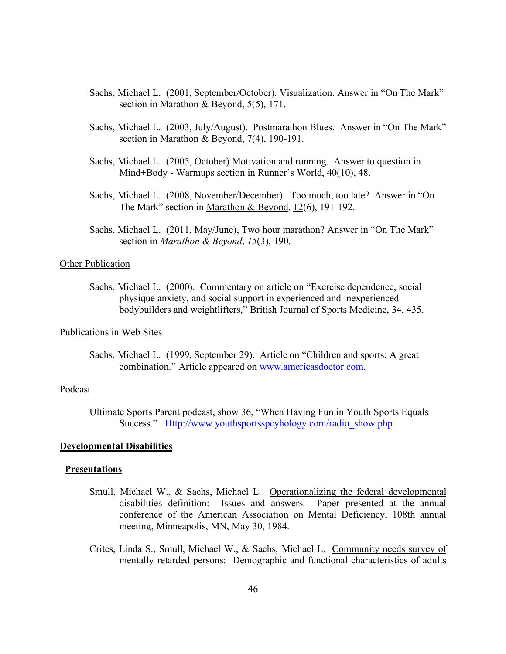- Sachs, Michael L. (2001, September/October). Visualization. Answer in "On The Mark" section in <u>Marathon & Beyond</u>,  $5(5)$ , 171.
- Sachs, Michael L. (2003, July/August). Postmarathon Blues. Answer in "On The Mark" section in <u>Marathon & Beyond, 7(</u>4), 190-191.
- Sachs, Michael L. (2005, October) Motivation and running. Answer to question in Mind+Body - Warmups section in Runner's World, 40(10), 48.
- Sachs, Michael L. (2008, November/December). Too much, too late? Answer in "On The Mark" section in Marathon & Beyond, 12(6), 191-192.
- Sachs, Michael L. (2011, May/June), Two hour marathon? Answer in "On The Mark" section in *Marathon & Beyond*, *15*(3), 190.

# Other Publication

Sachs, Michael L. (2000). Commentary on article on "Exercise dependence, social physique anxiety, and social support in experienced and inexperienced bodybuilders and weightlifters," British Journal of Sports Medicine, 34, 435.

# Publications in Web Sites

Sachs, Michael L. (1999, September 29). Article on "Children and sports: A great combination." Article appeared on www.americasdoctor.com.

# Podcast

Ultimate Sports Parent podcast, show 36, "When Having Fun in Youth Sports Equals Success." Http://www.youthsportsspcyhology.com/radio\_show.php

### **Developmental Disabilities**

#### **Presentations**

- Smull, Michael W., & Sachs, Michael L. Operationalizing the federal developmental disabilities definition: Issues and answers. Paper presented at the annual conference of the American Association on Mental Deficiency, 108th annual meeting, Minneapolis, MN, May 30, 1984.
- Crites, Linda S., Smull, Michael W., & Sachs, Michael L. Community needs survey of mentally retarded persons: Demographic and functional characteristics of adults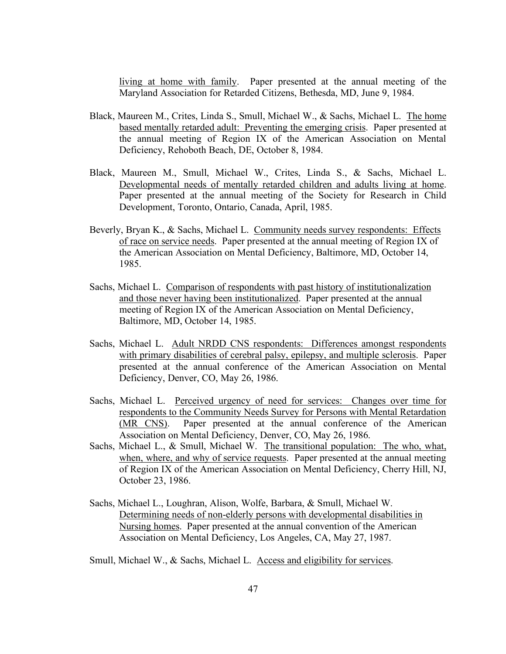living at home with family. Paper presented at the annual meeting of the Maryland Association for Retarded Citizens, Bethesda, MD, June 9, 1984.

- Black, Maureen M., Crites, Linda S., Smull, Michael W., & Sachs, Michael L. The home based mentally retarded adult: Preventing the emerging crisis. Paper presented at the annual meeting of Region IX of the American Association on Mental Deficiency, Rehoboth Beach, DE, October 8, 1984.
- Black, Maureen M., Smull, Michael W., Crites, Linda S., & Sachs, Michael L. Developmental needs of mentally retarded children and adults living at home. Paper presented at the annual meeting of the Society for Research in Child Development, Toronto, Ontario, Canada, April, 1985.
- Beverly, Bryan K., & Sachs, Michael L. Community needs survey respondents: Effects of race on service needs. Paper presented at the annual meeting of Region IX of the American Association on Mental Deficiency, Baltimore, MD, October 14, 1985.
- Sachs, Michael L. Comparison of respondents with past history of institutionalization and those never having been institutionalized. Paper presented at the annual meeting of Region IX of the American Association on Mental Deficiency, Baltimore, MD, October 14, 1985.
- Sachs, Michael L. Adult NRDD CNS respondents: Differences amongst respondents with primary disabilities of cerebral palsy, epilepsy, and multiple sclerosis. Paper presented at the annual conference of the American Association on Mental Deficiency, Denver, CO, May 26, 1986.
- Sachs, Michael L. Perceived urgency of need for services: Changes over time for respondents to the Community Needs Survey for Persons with Mental Retardation (MR CNS). Paper presented at the annual conference of the American Association on Mental Deficiency, Denver, CO, May 26, 1986.
- Sachs, Michael L., & Smull, Michael W. The transitional population: The who, what, when, where, and why of service requests. Paper presented at the annual meeting of Region IX of the American Association on Mental Deficiency, Cherry Hill, NJ, October 23, 1986.
- Sachs, Michael L., Loughran, Alison, Wolfe, Barbara, & Smull, Michael W. Determining needs of non-elderly persons with developmental disabilities in Nursing homes. Paper presented at the annual convention of the American Association on Mental Deficiency, Los Angeles, CA, May 27, 1987.
- Smull, Michael W., & Sachs, Michael L. Access and eligibility for services.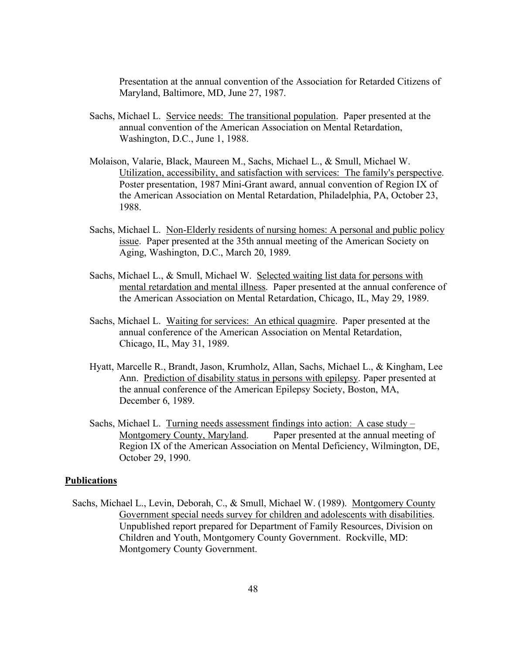Presentation at the annual convention of the Association for Retarded Citizens of Maryland, Baltimore, MD, June 27, 1987.

- Sachs, Michael L. Service needs: The transitional population. Paper presented at the annual convention of the American Association on Mental Retardation, Washington, D.C., June 1, 1988.
- Molaison, Valarie, Black, Maureen M., Sachs, Michael L., & Smull, Michael W. Utilization, accessibility, and satisfaction with services: The family's perspective. Poster presentation, 1987 Mini-Grant award, annual convention of Region IX of the American Association on Mental Retardation, Philadelphia, PA, October 23, 1988.
- Sachs, Michael L. Non-Elderly residents of nursing homes: A personal and public policy issue. Paper presented at the 35th annual meeting of the American Society on Aging, Washington, D.C., March 20, 1989.
- Sachs, Michael L., & Smull, Michael W. Selected waiting list data for persons with mental retardation and mental illness. Paper presented at the annual conference of the American Association on Mental Retardation, Chicago, IL, May 29, 1989.
- Sachs, Michael L. Waiting for services: An ethical quagmire. Paper presented at the annual conference of the American Association on Mental Retardation, Chicago, IL, May 31, 1989.
- Hyatt, Marcelle R., Brandt, Jason, Krumholz, Allan, Sachs, Michael L., & Kingham, Lee Ann. Prediction of disability status in persons with epilepsy. Paper presented at the annual conference of the American Epilepsy Society, Boston, MA, December 6, 1989.
- Sachs, Michael L. Turning needs assessment findings into action: A case study Montgomery County, Maryland. Paper presented at the annual meeting of Region IX of the American Association on Mental Deficiency, Wilmington, DE, October 29, 1990.

### **Publications**

 Sachs, Michael L., Levin, Deborah, C., & Smull, Michael W. (1989). Montgomery County Government special needs survey for children and adolescents with disabilities. Unpublished report prepared for Department of Family Resources, Division on Children and Youth, Montgomery County Government. Rockville, MD: Montgomery County Government.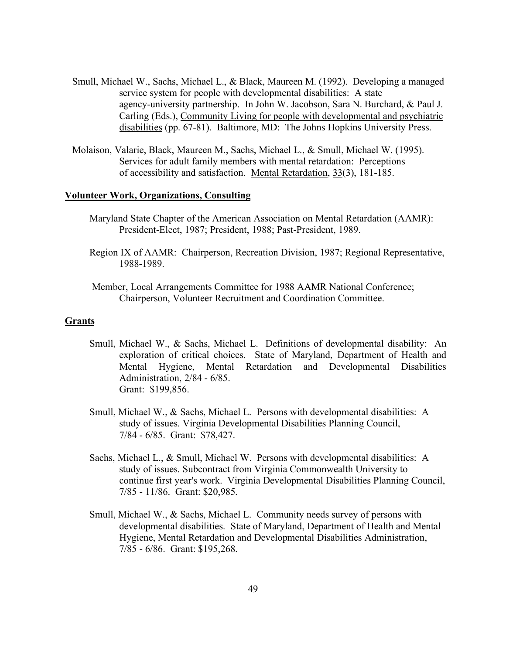- Smull, Michael W., Sachs, Michael L., & Black, Maureen M. (1992). Developing a managed service system for people with developmental disabilities: A state agency-university partnership. In John W. Jacobson, Sara N. Burchard, & Paul J. Carling (Eds.), Community Living for people with developmental and psychiatric disabilities (pp. 67-81). Baltimore, MD: The Johns Hopkins University Press.
- Molaison, Valarie, Black, Maureen M., Sachs, Michael L., & Smull, Michael W. (1995). Services for adult family members with mental retardation: Perceptions of accessibility and satisfaction. Mental Retardation, 33(3), 181-185.

### **Volunteer Work, Organizations, Consulting**

- Maryland State Chapter of the American Association on Mental Retardation (AAMR): President-Elect, 1987; President, 1988; Past-President, 1989.
- Region IX of AAMR: Chairperson, Recreation Division, 1987; Regional Representative, 1988-1989.
- Member, Local Arrangements Committee for 1988 AAMR National Conference; Chairperson, Volunteer Recruitment and Coordination Committee.

# **Grants**

- Smull, Michael W., & Sachs, Michael L. Definitions of developmental disability: An exploration of critical choices. State of Maryland, Department of Health and Mental Hygiene, Mental Retardation and Developmental Disabilities Administration, 2/84 - 6/85. Grant: \$199,856.
- Smull, Michael W., & Sachs, Michael L. Persons with developmental disabilities: A study of issues. Virginia Developmental Disabilities Planning Council, 7/84 - 6/85. Grant: \$78,427.
- Sachs, Michael L., & Smull, Michael W. Persons with developmental disabilities: A study of issues. Subcontract from Virginia Commonwealth University to continue first year's work. Virginia Developmental Disabilities Planning Council, 7/85 - 11/86. Grant: \$20,985.
- Smull, Michael W., & Sachs, Michael L. Community needs survey of persons with developmental disabilities. State of Maryland, Department of Health and Mental Hygiene, Mental Retardation and Developmental Disabilities Administration, 7/85 - 6/86. Grant: \$195,268.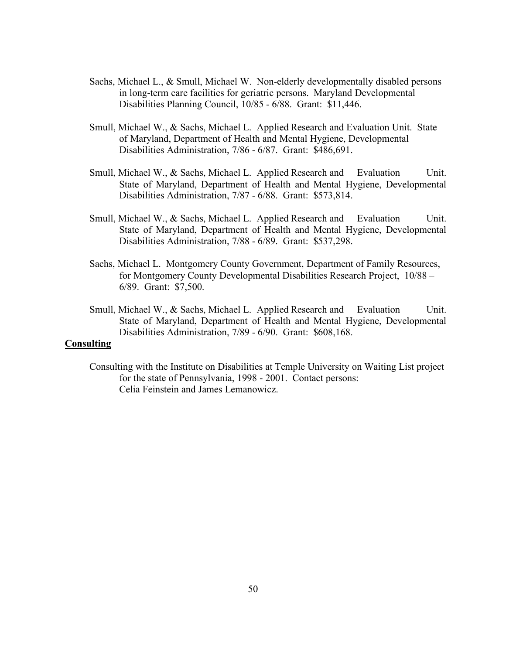- Sachs, Michael L., & Smull, Michael W. Non-elderly developmentally disabled persons in long-term care facilities for geriatric persons. Maryland Developmental Disabilities Planning Council, 10/85 - 6/88. Grant: \$11,446.
- Smull, Michael W., & Sachs, Michael L. Applied Research and Evaluation Unit. State of Maryland, Department of Health and Mental Hygiene, Developmental Disabilities Administration, 7/86 - 6/87. Grant: \$486,691.
- Smull, Michael W., & Sachs, Michael L. Applied Research and Evaluation Unit. State of Maryland, Department of Health and Mental Hygiene, Developmental Disabilities Administration, 7/87 - 6/88. Grant: \$573,814.
- Smull, Michael W., & Sachs, Michael L. Applied Research and Evaluation Unit. State of Maryland, Department of Health and Mental Hygiene, Developmental Disabilities Administration, 7/88 - 6/89. Grant: \$537,298.
- Sachs, Michael L. Montgomery County Government, Department of Family Resources, for Montgomery County Developmental Disabilities Research Project, 10/88 – 6/89. Grant: \$7,500.
- Smull, Michael W., & Sachs, Michael L. Applied Research and Evaluation Unit. State of Maryland, Department of Health and Mental Hygiene, Developmental Disabilities Administration, 7/89 - 6/90. Grant: \$608,168.

# **Consulting**

Consulting with the Institute on Disabilities at Temple University on Waiting List project for the state of Pennsylvania, 1998 - 2001. Contact persons: Celia Feinstein and James Lemanowicz.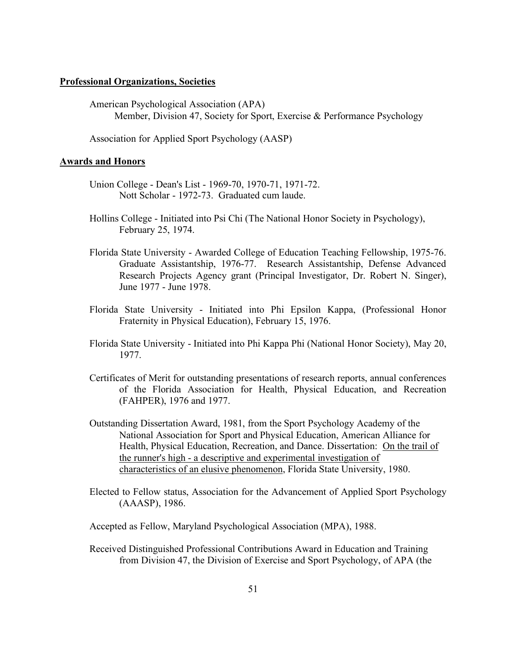# **Professional Organizations, Societies**

American Psychological Association (APA) Member, Division 47, Society for Sport, Exercise & Performance Psychology

Association for Applied Sport Psychology (AASP)

#### **Awards and Honors**

- Union College Dean's List 1969-70, 1970-71, 1971-72. Nott Scholar - 1972-73. Graduated cum laude.
- Hollins College Initiated into Psi Chi (The National Honor Society in Psychology), February 25, 1974.
- Florida State University Awarded College of Education Teaching Fellowship, 1975-76. Graduate Assistantship, 1976-77. Research Assistantship, Defense Advanced Research Projects Agency grant (Principal Investigator, Dr. Robert N. Singer), June 1977 - June 1978.
- Florida State University Initiated into Phi Epsilon Kappa, (Professional Honor Fraternity in Physical Education), February 15, 1976.
- Florida State University Initiated into Phi Kappa Phi (National Honor Society), May 20, 1977.
- Certificates of Merit for outstanding presentations of research reports, annual conferences of the Florida Association for Health, Physical Education, and Recreation (FAHPER), 1976 and 1977.
- Outstanding Dissertation Award, 1981, from the Sport Psychology Academy of the National Association for Sport and Physical Education, American Alliance for Health, Physical Education, Recreation, and Dance. Dissertation: On the trail of the runner's high - a descriptive and experimental investigation of characteristics of an elusive phenomenon, Florida State University, 1980.
- Elected to Fellow status, Association for the Advancement of Applied Sport Psychology (AAASP), 1986.

Accepted as Fellow, Maryland Psychological Association (MPA), 1988.

Received Distinguished Professional Contributions Award in Education and Training from Division 47, the Division of Exercise and Sport Psychology, of APA (the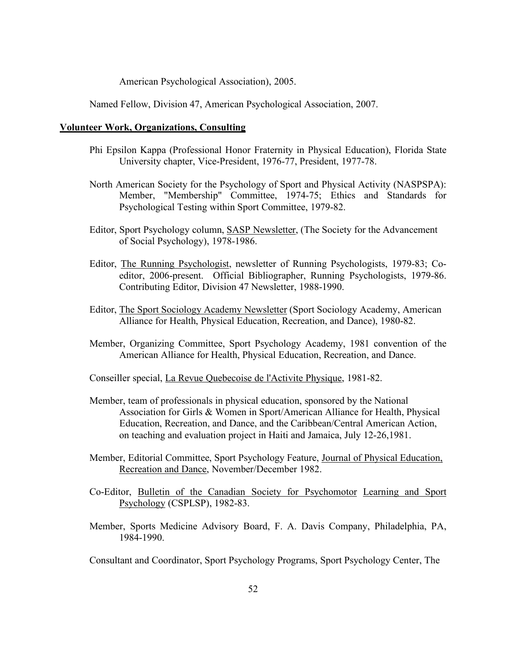American Psychological Association), 2005.

Named Fellow, Division 47, American Psychological Association, 2007.

### **Volunteer Work, Organizations, Consulting**

- Phi Epsilon Kappa (Professional Honor Fraternity in Physical Education), Florida State University chapter, Vice-President, 1976-77, President, 1977-78.
- North American Society for the Psychology of Sport and Physical Activity (NASPSPA): Member, "Membership" Committee, 1974-75; Ethics and Standards for Psychological Testing within Sport Committee, 1979-82.
- Editor, Sport Psychology column, SASP Newsletter, (The Society for the Advancement of Social Psychology), 1978-1986.
- Editor, The Running Psychologist, newsletter of Running Psychologists, 1979-83; Coeditor, 2006-present. Official Bibliographer, Running Psychologists, 1979-86. Contributing Editor, Division 47 Newsletter, 1988-1990.
- Editor, The Sport Sociology Academy Newsletter (Sport Sociology Academy, American Alliance for Health, Physical Education, Recreation, and Dance), 1980-82.
- Member, Organizing Committee, Sport Psychology Academy, 1981 convention of the American Alliance for Health, Physical Education, Recreation, and Dance.

Conseiller special, La Revue Quebecoise de l'Activite Physique, 1981-82.

- Member, team of professionals in physical education, sponsored by the National Association for Girls & Women in Sport/American Alliance for Health, Physical Education, Recreation, and Dance, and the Caribbean/Central American Action, on teaching and evaluation project in Haiti and Jamaica, July 12-26,1981.
- Member, Editorial Committee, Sport Psychology Feature, Journal of Physical Education, Recreation and Dance, November/December 1982.
- Co-Editor, Bulletin of the Canadian Society for Psychomotor Learning and Sport Psychology (CSPLSP), 1982-83.
- Member, Sports Medicine Advisory Board, F. A. Davis Company, Philadelphia, PA, 1984-1990.

Consultant and Coordinator, Sport Psychology Programs, Sport Psychology Center, The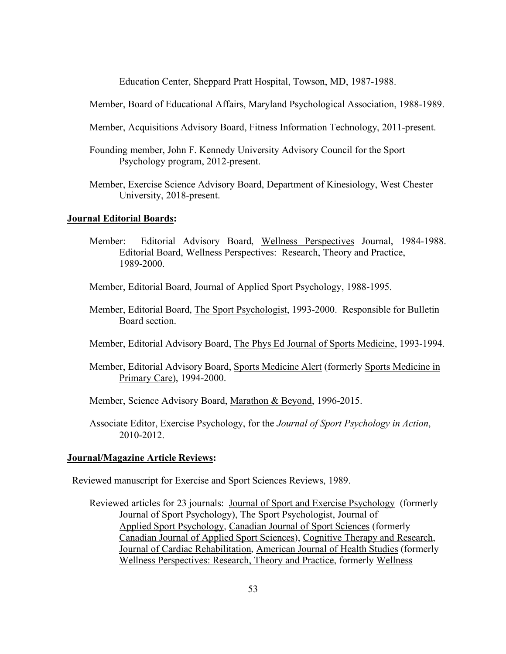Education Center, Sheppard Pratt Hospital, Towson, MD, 1987-1988.

Member, Board of Educational Affairs, Maryland Psychological Association, 1988-1989.

- Member, Acquisitions Advisory Board, Fitness Information Technology, 2011-present.
- Founding member, John F. Kennedy University Advisory Council for the Sport Psychology program, 2012-present.
- Member, Exercise Science Advisory Board, Department of Kinesiology, West Chester University, 2018-present.

# **Journal Editorial Boards:**

Member: Editorial Advisory Board, Wellness Perspectives Journal, 1984-1988. Editorial Board, Wellness Perspectives: Research, Theory and Practice, 1989-2000.

Member, Editorial Board, Journal of Applied Sport Psychology, 1988-1995.

 Member, Editorial Board, The Sport Psychologist, 1993-2000. Responsible for Bulletin Board section.

Member, Editorial Advisory Board, The Phys Ed Journal of Sports Medicine, 1993-1994.

 Member, Editorial Advisory Board, Sports Medicine Alert (formerly Sports Medicine in Primary Care), 1994-2000.

Member, Science Advisory Board, Marathon & Beyond, 1996-2015.

Associate Editor, Exercise Psychology, for the *Journal of Sport Psychology in Action*, 2010-2012.

#### **Journal/Magazine Article Reviews:**

Reviewed manuscript for Exercise and Sport Sciences Reviews, 1989.

Reviewed articles for 23 journals: Journal of Sport and Exercise Psychology (formerly Journal of Sport Psychology), The Sport Psychologist, Journal of Applied Sport Psychology, Canadian Journal of Sport Sciences (formerly Canadian Journal of Applied Sport Sciences), Cognitive Therapy and Research, Journal of Cardiac Rehabilitation, American Journal of Health Studies (formerly Wellness Perspectives: Research, Theory and Practice, formerly Wellness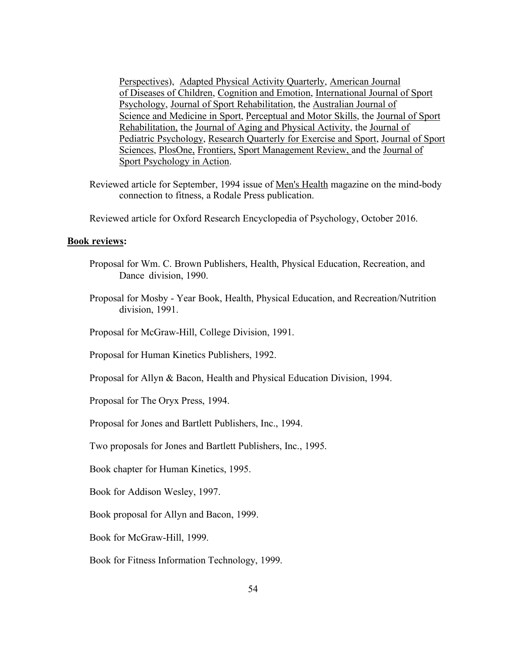Perspectives), Adapted Physical Activity Quarterly, American Journal of Diseases of Children, Cognition and Emotion, International Journal of Sport Psychology, Journal of Sport Rehabilitation, the Australian Journal of Science and Medicine in Sport, Perceptual and Motor Skills, the Journal of Sport Rehabilitation, the Journal of Aging and Physical Activity, the Journal of Pediatric Psychology, Research Quarterly for Exercise and Sport, Journal of Sport Sciences, PlosOne, Frontiers, Sport Management Review, and the Journal of Sport Psychology in Action.

 Reviewed article for September, 1994 issue of Men's Health magazine on the mind-body connection to fitness, a Rodale Press publication.

Reviewed article for Oxford Research Encyclopedia of Psychology, October 2016.

# **Book reviews:**

- Proposal for Wm. C. Brown Publishers, Health, Physical Education, Recreation, and Dance division, 1990.
- Proposal for Mosby Year Book, Health, Physical Education, and Recreation/Nutrition division, 1991.
- Proposal for McGraw-Hill, College Division, 1991.
- Proposal for Human Kinetics Publishers, 1992.
- Proposal for Allyn & Bacon, Health and Physical Education Division, 1994.
- Proposal for The Oryx Press, 1994.
- Proposal for Jones and Bartlett Publishers, Inc., 1994.

Two proposals for Jones and Bartlett Publishers, Inc., 1995.

Book chapter for Human Kinetics, 1995.

Book for Addison Wesley, 1997.

Book proposal for Allyn and Bacon, 1999.

Book for McGraw-Hill, 1999.

Book for Fitness Information Technology, 1999.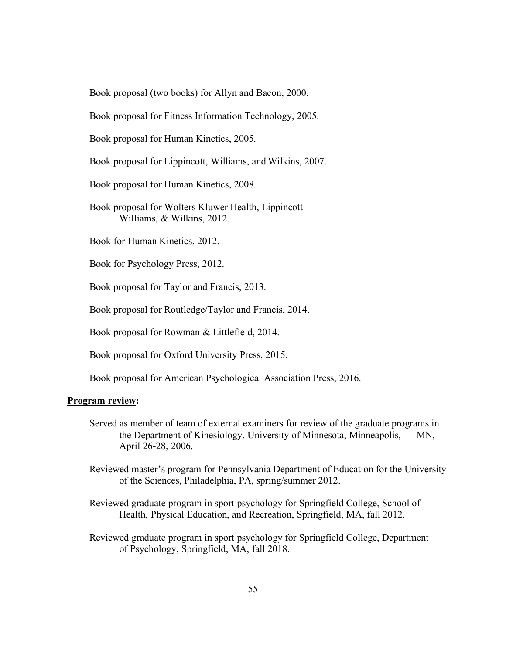Book proposal (two books) for Allyn and Bacon, 2000.

Book proposal for Fitness Information Technology, 2005.

Book proposal for Human Kinetics, 2005.

Book proposal for Lippincott, Williams, and Wilkins, 2007.

Book proposal for Human Kinetics, 2008.

Book proposal for Wolters Kluwer Health, Lippincott Williams, & Wilkins, 2012.

Book for Human Kinetics, 2012.

Book for Psychology Press, 2012.

Book proposal for Taylor and Francis, 2013.

Book proposal for Routledge/Taylor and Francis, 2014.

Book proposal for Rowman & Littlefield, 2014.

Book proposal for Oxford University Press, 2015.

Book proposal for American Psychological Association Press, 2016.

### **Program review:**

- Served as member of team of external examiners for review of the graduate programs in the Department of Kinesiology, University of Minnesota, Minneapolis, MN, April 26-28, 2006.
- Reviewed master's program for Pennsylvania Department of Education for the University of the Sciences, Philadelphia, PA, spring/summer 2012.
- Reviewed graduate program in sport psychology for Springfield College, School of Health, Physical Education, and Recreation, Springfield, MA, fall 2012.
- Reviewed graduate program in sport psychology for Springfield College, Department of Psychology, Springfield, MA, fall 2018.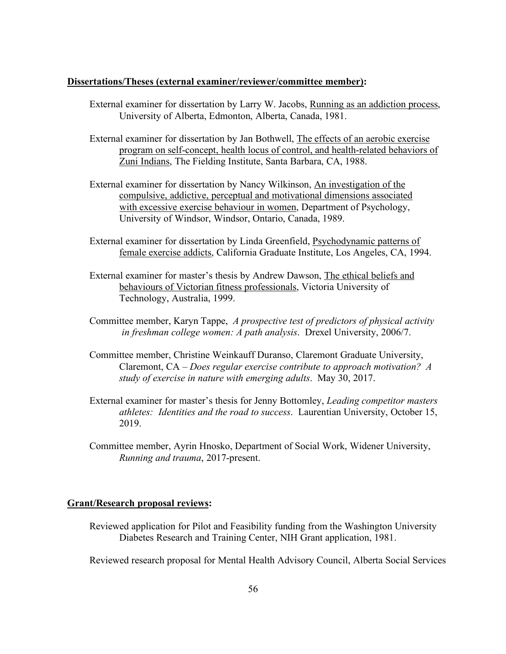# **Dissertations/Theses (external examiner/reviewer/committee member):**

- External examiner for dissertation by Larry W. Jacobs, Running as an addiction process, University of Alberta, Edmonton, Alberta, Canada, 1981.
- External examiner for dissertation by Jan Bothwell, The effects of an aerobic exercise program on self-concept, health locus of control, and health-related behaviors of Zuni Indians, The Fielding Institute, Santa Barbara, CA, 1988.
- External examiner for dissertation by Nancy Wilkinson, An investigation of the compulsive, addictive, perceptual and motivational dimensions associated with excessive exercise behaviour in women, Department of Psychology, University of Windsor, Windsor, Ontario, Canada, 1989.
- External examiner for dissertation by Linda Greenfield, Psychodynamic patterns of female exercise addicts, California Graduate Institute, Los Angeles, CA, 1994.
- External examiner for master's thesis by Andrew Dawson, The ethical beliefs and behaviours of Victorian fitness professionals, Victoria University of Technology, Australia, 1999.
- Committee member, Karyn Tappe, *A prospective test of predictors of physical activity in freshman college women: A path analysis*. Drexel University, 2006/7.
- Committee member, Christine Weinkauff Duranso, Claremont Graduate University, Claremont, CA – *Does regular exercise contribute to approach motivation? A study of exercise in nature with emerging adults*. May 30, 2017.
- External examiner for master's thesis for Jenny Bottomley, *Leading competitor masters athletes: Identities and the road to success*. Laurentian University, October 15, 2019.
- Committee member, Ayrin Hnosko, Department of Social Work, Widener University, *Running and trauma*, 2017-present.

# **Grant/Research proposal reviews:**

 Reviewed application for Pilot and Feasibility funding from the Washington University Diabetes Research and Training Center, NIH Grant application, 1981.

Reviewed research proposal for Mental Health Advisory Council, Alberta Social Services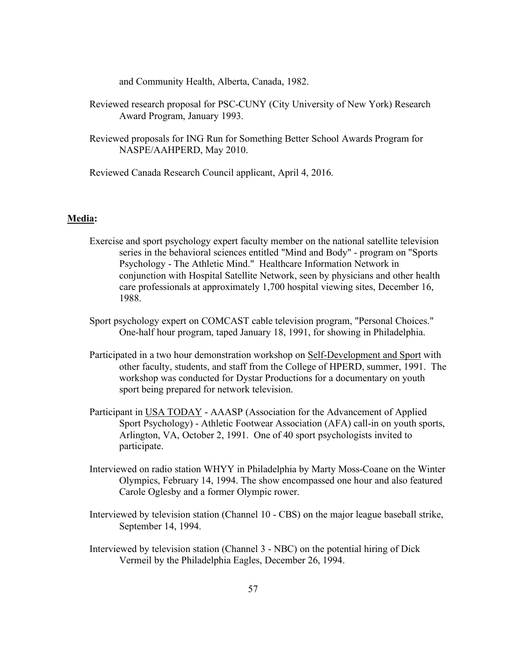and Community Health, Alberta, Canada, 1982.

- Reviewed research proposal for PSC-CUNY (City University of New York) Research Award Program, January 1993.
- Reviewed proposals for ING Run for Something Better School Awards Program for NASPE/AAHPERD, May 2010.

Reviewed Canada Research Council applicant, April 4, 2016.

# **Media:**

- Exercise and sport psychology expert faculty member on the national satellite television series in the behavioral sciences entitled "Mind and Body" - program on "Sports Psychology - The Athletic Mind." Healthcare Information Network in conjunction with Hospital Satellite Network, seen by physicians and other health care professionals at approximately 1,700 hospital viewing sites, December 16, 1988.
- Sport psychology expert on COMCAST cable television program, "Personal Choices." One-half hour program, taped January 18, 1991, for showing in Philadelphia.
- Participated in a two hour demonstration workshop on Self-Development and Sport with other faculty, students, and staff from the College of HPERD, summer, 1991. The workshop was conducted for Dystar Productions for a documentary on youth sport being prepared for network television.
- Participant in USA TODAY AAASP (Association for the Advancement of Applied Sport Psychology) - Athletic Footwear Association (AFA) call-in on youth sports, Arlington, VA, October 2, 1991. One of 40 sport psychologists invited to participate.
- Interviewed on radio station WHYY in Philadelphia by Marty Moss-Coane on the Winter Olympics, February 14, 1994. The show encompassed one hour and also featured Carole Oglesby and a former Olympic rower.
- Interviewed by television station (Channel 10 CBS) on the major league baseball strike, September 14, 1994.
- Interviewed by television station (Channel 3 NBC) on the potential hiring of Dick Vermeil by the Philadelphia Eagles, December 26, 1994.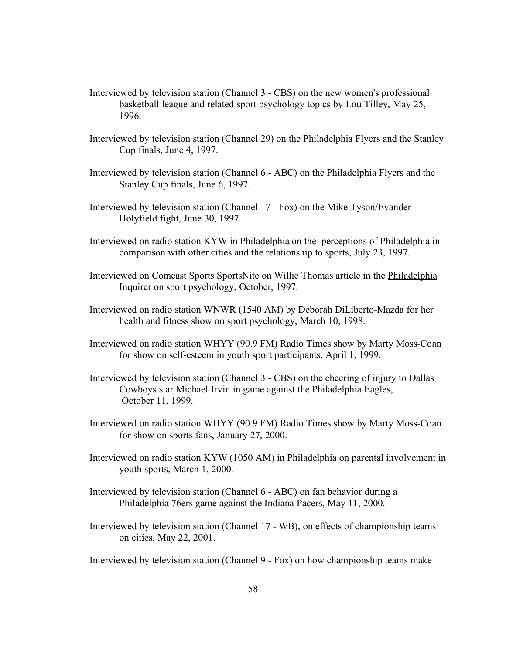- Interviewed by television station (Channel 3 CBS) on the new women's professional basketball league and related sport psychology topics by Lou Tilley, May 25, 1996.
- Interviewed by television station (Channel 29) on the Philadelphia Flyers and the Stanley Cup finals, June 4, 1997.
- Interviewed by television station (Channel 6 ABC) on the Philadelphia Flyers and the Stanley Cup finals, June 6, 1997.
- Interviewed by television station (Channel 17 Fox) on the Mike Tyson/Evander Holyfield fight, June 30, 1997.
- Interviewed on radio station KYW in Philadelphia on the perceptions of Philadelphia in comparison with other cities and the relationship to sports, July 23, 1997.
- Interviewed on Comcast Sports SportsNite on Willie Thomas article in the Philadelphia Inquirer on sport psychology, October, 1997.
- Interviewed on radio station WNWR (1540 AM) by Deborah DiLiberto-Mazda for her health and fitness show on sport psychology, March 10, 1998.
- Interviewed on radio station WHYY (90.9 FM) Radio Times show by Marty Moss-Coan for show on self-esteem in youth sport participants, April 1, 1999.
- Interviewed by television station (Channel 3 CBS) on the cheering of injury to Dallas Cowboys star Michael Irvin in game against the Philadelphia Eagles, October 11, 1999.
- Interviewed on radio station WHYY (90.9 FM) Radio Times show by Marty Moss-Coan for show on sports fans, January 27, 2000.
- Interviewed on radio station KYW (1050 AM) in Philadelphia on parental involvement in youth sports, March 1, 2000.
- Interviewed by television station (Channel 6 ABC) on fan behavior during a Philadelphia 76ers game against the Indiana Pacers, May 11, 2000.
- Interviewed by television station (Channel 17 WB), on effects of championship teams on cities, May 22, 2001.
- Interviewed by television station (Channel 9 Fox) on how championship teams make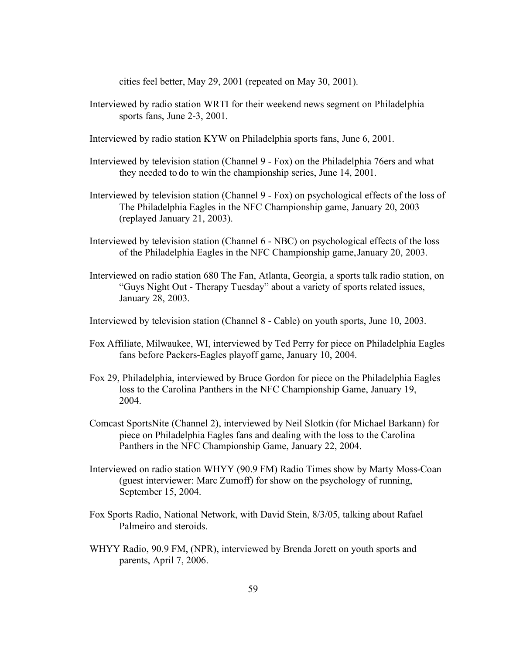cities feel better, May 29, 2001 (repeated on May 30, 2001).

- Interviewed by radio station WRTI for their weekend news segment on Philadelphia sports fans, June 2-3, 2001.
- Interviewed by radio station KYW on Philadelphia sports fans, June 6, 2001.
- Interviewed by television station (Channel 9 Fox) on the Philadelphia 76ers and what they needed to do to win the championship series, June 14, 2001.
- Interviewed by television station (Channel 9 Fox) on psychological effects of the loss of The Philadelphia Eagles in the NFC Championship game, January 20, 2003 (replayed January 21, 2003).
- Interviewed by television station (Channel 6 NBC) on psychological effects of the loss of the Philadelphia Eagles in the NFC Championship game,January 20, 2003.
- Interviewed on radio station 680 The Fan, Atlanta, Georgia, a sports talk radio station, on "Guys Night Out - Therapy Tuesday" about a variety of sports related issues, January 28, 2003.
- Interviewed by television station (Channel 8 Cable) on youth sports, June 10, 2003.
- Fox Affiliate, Milwaukee, WI, interviewed by Ted Perry for piece on Philadelphia Eagles fans before Packers-Eagles playoff game, January 10, 2004.
- Fox 29, Philadelphia, interviewed by Bruce Gordon for piece on the Philadelphia Eagles loss to the Carolina Panthers in the NFC Championship Game, January 19, 2004.
- Comcast SportsNite (Channel 2), interviewed by Neil Slotkin (for Michael Barkann) for piece on Philadelphia Eagles fans and dealing with the loss to the Carolina Panthers in the NFC Championship Game, January 22, 2004.
- Interviewed on radio station WHYY (90.9 FM) Radio Times show by Marty Moss-Coan (guest interviewer: Marc Zumoff) for show on the psychology of running, September 15, 2004.
- Fox Sports Radio, National Network, with David Stein, 8/3/05, talking about Rafael Palmeiro and steroids.
- WHYY Radio, 90.9 FM, (NPR), interviewed by Brenda Jorett on youth sports and parents, April 7, 2006.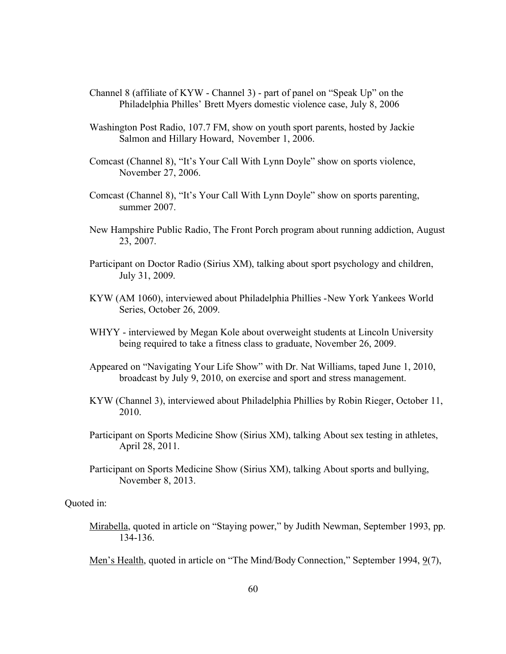- Channel 8 (affiliate of KYW Channel 3) part of panel on "Speak Up" on the Philadelphia Philles' Brett Myers domestic violence case, July 8, 2006
- Washington Post Radio, 107.7 FM, show on youth sport parents, hosted by Jackie Salmon and Hillary Howard, November 1, 2006.
- Comcast (Channel 8), "It's Your Call With Lynn Doyle" show on sports violence, November 27, 2006.
- Comcast (Channel 8), "It's Your Call With Lynn Doyle" show on sports parenting, summer 2007.
- New Hampshire Public Radio, The Front Porch program about running addiction, August 23, 2007.
- Participant on Doctor Radio (Sirius XM), talking about sport psychology and children, July 31, 2009.
- KYW (AM 1060), interviewed about Philadelphia Phillies -New York Yankees World Series, October 26, 2009.
- WHYY interviewed by Megan Kole about overweight students at Lincoln University being required to take a fitness class to graduate, November 26, 2009.
- Appeared on "Navigating Your Life Show" with Dr. Nat Williams, taped June 1, 2010, broadcast by July 9, 2010, on exercise and sport and stress management.
- KYW (Channel 3), interviewed about Philadelphia Phillies by Robin Rieger, October 11, 2010.
- Participant on Sports Medicine Show (Sirius XM), talking About sex testing in athletes, April 28, 2011.
- Participant on Sports Medicine Show (Sirius XM), talking About sports and bullying, November 8, 2013.

Quoted in:

Mirabella, quoted in article on "Staying power," by Judith Newman, September 1993, pp. 134-136.

Men's Health, quoted in article on "The Mind/Body Connection," September 1994, 9(7),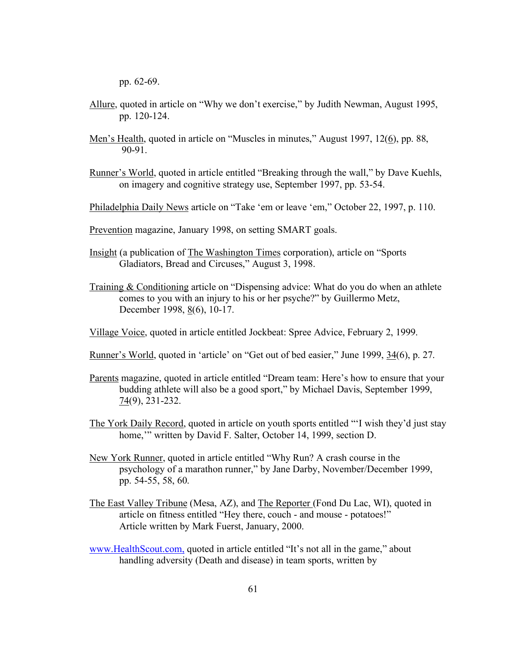pp. 62-69.

- Allure, quoted in article on "Why we don't exercise," by Judith Newman, August 1995, pp. 120-124.
- Men's Health, quoted in article on "Muscles in minutes," August 1997, 12(6), pp. 88, 90-91.
- Runner's World, quoted in article entitled "Breaking through the wall," by Dave Kuehls, on imagery and cognitive strategy use, September 1997, pp. 53-54.
- Philadelphia Daily News article on "Take 'em or leave 'em," October 22, 1997, p. 110.
- Prevention magazine, January 1998, on setting SMART goals.
- Insight (a publication of The Washington Times corporation), article on "Sports Gladiators, Bread and Circuses," August 3, 1998.
- Training & Conditioning article on "Dispensing advice: What do you do when an athlete comes to you with an injury to his or her psyche?" by Guillermo Metz, December 1998, 8(6), 10-17.
- Village Voice, quoted in article entitled Jockbeat: Spree Advice, February 2, 1999.
- Runner's World, quoted in 'article' on "Get out of bed easier," June 1999, 34(6), p. 27.
- Parents magazine, quoted in article entitled "Dream team: Here's how to ensure that your budding athlete will also be a good sport," by Michael Davis, September 1999,  $74(9)$ , 231-232.
- The York Daily Record, quoted in article on youth sports entitled "'I wish they'd just stay home," written by David F. Salter, October 14, 1999, section D.
- New York Runner, quoted in article entitled "Why Run? A crash course in the psychology of a marathon runner," by Jane Darby, November/December 1999, pp. 54-55, 58, 60.
- The East Valley Tribune (Mesa, AZ), and The Reporter (Fond Du Lac, WI), quoted in article on fitness entitled "Hey there, couch - and mouse - potatoes!" Article written by Mark Fuerst, January, 2000.
- www.HealthScout.com, quoted in article entitled "It's not all in the game," about handling adversity (Death and disease) in team sports, written by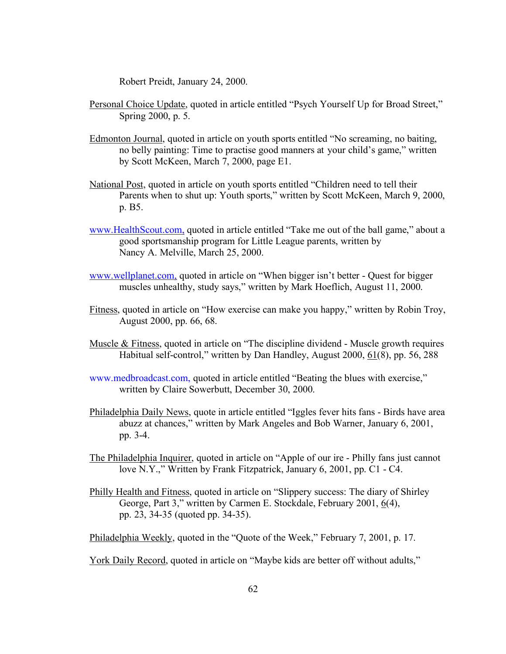Robert Preidt, January 24, 2000.

- Personal Choice Update, quoted in article entitled "Psych Yourself Up for Broad Street," Spring 2000, p. 5.
- Edmonton Journal, quoted in article on youth sports entitled "No screaming, no baiting, no belly painting: Time to practise good manners at your child's game," written by Scott McKeen, March 7, 2000, page E1.
- National Post, quoted in article on youth sports entitled "Children need to tell their Parents when to shut up: Youth sports," written by Scott McKeen, March 9, 2000, p. B5.
- www.HealthScout.com, quoted in article entitled "Take me out of the ball game," about a good sportsmanship program for Little League parents, written by Nancy A. Melville, March 25, 2000.
- www.wellplanet.com, quoted in article on "When bigger isn't better Quest for bigger muscles unhealthy, study says," written by Mark Hoeflich, August 11, 2000.
- Fitness, quoted in article on "How exercise can make you happy," written by Robin Troy, August 2000, pp. 66, 68.
- Muscle & Fitness, quoted in article on "The discipline dividend Muscle growth requires Habitual self-control," written by Dan Handley, August 2000, 61(8), pp. 56, 288
- www.medbroadcast.com, quoted in article entitled "Beating the blues with exercise," written by Claire Sowerbutt, December 30, 2000.
- Philadelphia Daily News, quote in article entitled "Iggles fever hits fans Birds have area abuzz at chances," written by Mark Angeles and Bob Warner, January 6, 2001, pp. 3-4.
- The Philadelphia Inquirer, quoted in article on "Apple of our ire Philly fans just cannot love N.Y.," Written by Frank Fitzpatrick, January 6, 2001, pp. C1 - C4.
- Philly Health and Fitness, quoted in article on "Slippery success: The diary of Shirley George, Part 3," written by Carmen E. Stockdale, February 2001, 6(4), pp. 23, 34-35 (quoted pp. 34-35).

Philadelphia Weekly, quoted in the "Quote of the Week," February 7, 2001, p. 17.

York Daily Record, quoted in article on "Maybe kids are better off without adults,"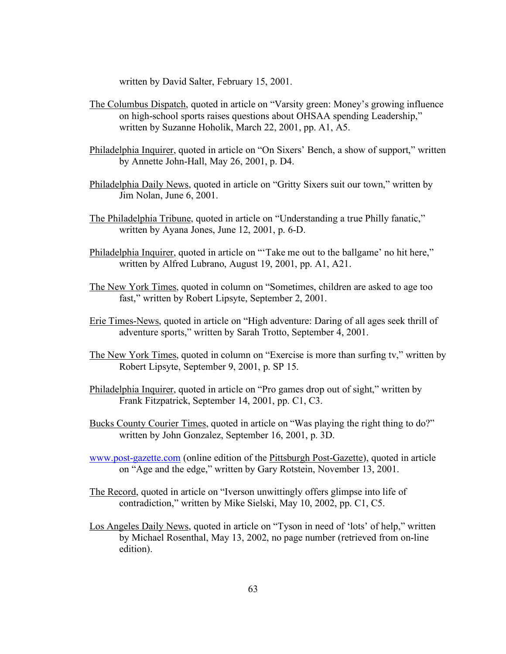written by David Salter, February 15, 2001.

- The Columbus Dispatch, quoted in article on "Varsity green: Money's growing influence on high-school sports raises questions about OHSAA spending Leadership," written by Suzanne Hoholik, March 22, 2001, pp. A1, A5.
- Philadelphia Inquirer, quoted in article on "On Sixers' Bench, a show of support," written by Annette John-Hall, May 26, 2001, p. D4.
- Philadelphia Daily News, quoted in article on "Gritty Sixers suit our town," written by Jim Nolan, June 6, 2001.
- The Philadelphia Tribune, quoted in article on "Understanding a true Philly fanatic," written by Ayana Jones, June 12, 2001, p. 6-D.
- Philadelphia Inquirer, quoted in article on "'Take me out to the ballgame' no hit here," written by Alfred Lubrano, August 19, 2001, pp. A1, A21.
- The New York Times, quoted in column on "Sometimes, children are asked to age too fast," written by Robert Lipsyte, September 2, 2001.
- Erie Times-News, quoted in article on "High adventure: Daring of all ages seek thrill of adventure sports," written by Sarah Trotto, September 4, 2001.
- The New York Times, quoted in column on "Exercise is more than surfing tv," written by Robert Lipsyte, September 9, 2001, p. SP 15.
- Philadelphia Inquirer, quoted in article on "Pro games drop out of sight," written by Frank Fitzpatrick, September 14, 2001, pp. C1, C3.
- Bucks County Courier Times, quoted in article on "Was playing the right thing to do?" written by John Gonzalez, September 16, 2001, p. 3D.
- www.post-gazette.com (online edition of the Pittsburgh Post-Gazette), quoted in article on "Age and the edge," written by Gary Rotstein, November 13, 2001.
- The Record, quoted in article on "Iverson unwittingly offers glimpse into life of contradiction," written by Mike Sielski, May 10, 2002, pp. C1, C5.
- Los Angeles Daily News, quoted in article on "Tyson in need of 'lots' of help," written by Michael Rosenthal, May 13, 2002, no page number (retrieved from on-line edition).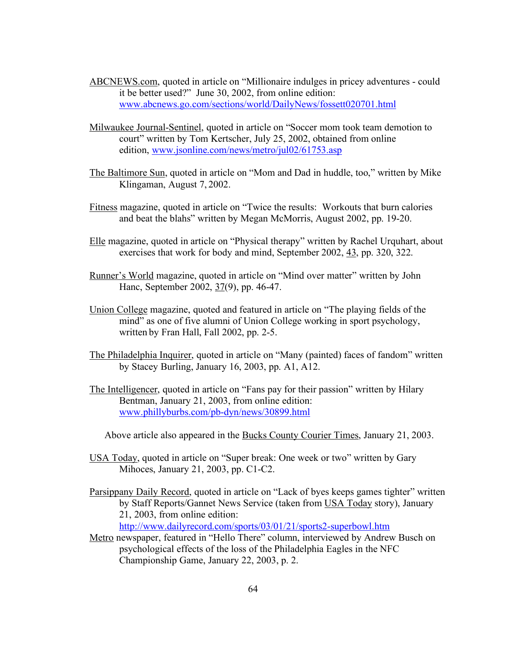- ABCNEWS.com, quoted in article on "Millionaire indulges in pricey adventures could it be better used?" June 30, 2002, from online edition: www.abcnews.go.com/sections/world/DailyNews/fossett020701.html
- Milwaukee Journal-Sentinel, quoted in article on "Soccer mom took team demotion to court" written by Tom Kertscher, July 25, 2002, obtained from online edition, www.jsonline.com/news/metro/jul02/61753.asp
- The Baltimore Sun, quoted in article on "Mom and Dad in huddle, too," written by Mike Klingaman, August 7, 2002.
- Fitness magazine, quoted in article on "Twice the results: Workouts that burn calories and beat the blahs" written by Megan McMorris, August 2002, pp. 19-20.
- Elle magazine, quoted in article on "Physical therapy" written by Rachel Urquhart, about exercises that work for body and mind, September 2002, 43, pp. 320, 322.
- Runner's World magazine, quoted in article on "Mind over matter" written by John Hanc, September 2002, 37(9), pp. 46-47.
- Union College magazine, quoted and featured in article on "The playing fields of the mind" as one of five alumni of Union College working in sport psychology, written by Fran Hall, Fall 2002, pp. 2-5.
- The Philadelphia Inquirer, quoted in article on "Many (painted) faces of fandom" written by Stacey Burling, January 16, 2003, pp. A1, A12.
- The Intelligencer, quoted in article on "Fans pay for their passion" written by Hilary Bentman, January 21, 2003, from online edition: www.phillyburbs.com/pb-dyn/news/30899.html

Above article also appeared in the Bucks County Courier Times, January 21, 2003.

- USA Today, quoted in article on "Super break: One week or two" written by Gary Mihoces, January 21, 2003, pp. C1-C2.
- Parsippany Daily Record, quoted in article on "Lack of byes keeps games tighter" written by Staff Reports/Gannet News Service (taken from USA Today story), January 21, 2003, from online edition: http://www.dailyrecord.com/sports/03/01/21/sports2-superbowl.htm
- Metro newspaper, featured in "Hello There" column, interviewed by Andrew Busch on
- psychological effects of the loss of the Philadelphia Eagles in the NFC Championship Game, January 22, 2003, p. 2.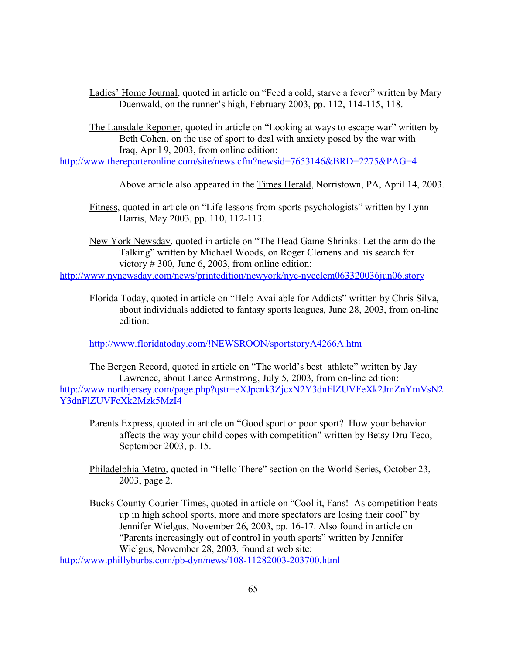Ladies' Home Journal, quoted in article on "Feed a cold, starve a fever" written by Mary Duenwald, on the runner's high, February 2003, pp. 112, 114-115, 118.

The Lansdale Reporter, quoted in article on "Looking at ways to escape war" written by Beth Cohen, on the use of sport to deal with anxiety posed by the war with Iraq, April 9, 2003, from online edition:

http://www.thereporteronline.com/site/news.cfm?newsid=7653146&BRD=2275&PAG=4

Above article also appeared in the Times Herald, Norristown, PA, April 14, 2003.

Fitness, quoted in article on "Life lessons from sports psychologists" written by Lynn Harris, May 2003, pp. 110, 112-113.

New York Newsday, quoted in article on "The Head Game Shrinks: Let the arm do the Talking" written by Michael Woods, on Roger Clemens and his search for victory # 300, June 6, 2003, from online edition:

http://www.nynewsday.com/news/printedition/newyork/nyc-nycclem063320036jun06.story

Florida Today, quoted in article on "Help Available for Addicts" written by Chris Silva, about individuals addicted to fantasy sports leagues, June 28, 2003, from on-line edition:

http://www.floridatoday.com/!NEWSROON/sportstoryA4266A.htm

The Bergen Record, quoted in article on "The world's best athlete" written by Jay Lawrence, about Lance Armstrong, July 5, 2003, from on-line edition: http://www.northjersey.com/page.php?qstr=eXJpcnk3ZjcxN2Y3dnFlZUVFeXk2JmZnYmVsN2 Y3dnFlZUVFeXk2Mzk5MzI4

Parents Express, quoted in article on "Good sport or poor sport? How your behavior affects the way your child copes with competition" written by Betsy Dru Teco, September 2003, p. 15.

Philadelphia Metro, quoted in "Hello There" section on the World Series, October 23, 2003, page 2.

Bucks County Courier Times, quoted in article on "Cool it, Fans! As competition heats up in high school sports, more and more spectators are losing their cool" by Jennifer Wielgus, November 26, 2003, pp. 16-17. Also found in article on "Parents increasingly out of control in youth sports" written by Jennifer Wielgus, November 28, 2003, found at web site:

http://www.phillyburbs.com/pb-dyn/news/108-11282003-203700.html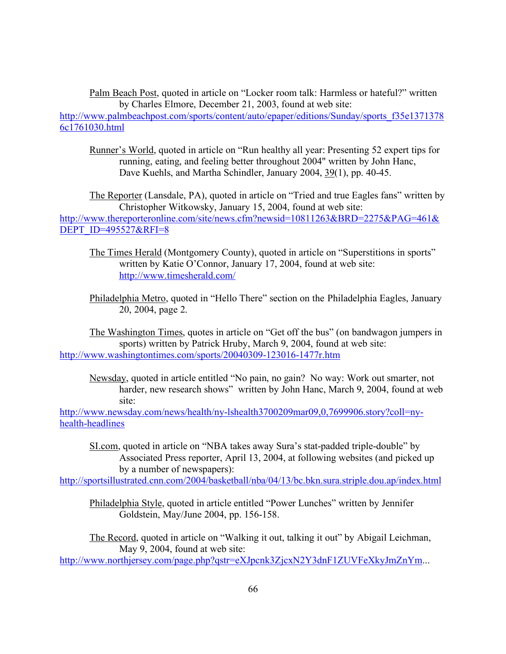Palm Beach Post, quoted in article on "Locker room talk: Harmless or hateful?" written by Charles Elmore, December 21, 2003, found at web site: http://www.palmbeachpost.com/sports/content/auto/epaper/editions/Sunday/sports\_f35e1371378 6c1761030.html

Runner's World, quoted in article on "Run healthy all year: Presenting 52 expert tips for running, eating, and feeling better throughout 2004" written by John Hanc, Dave Kuehls, and Martha Schindler, January 2004, 39(1), pp. 40-45.

The Reporter (Lansdale, PA), quoted in article on "Tried and true Eagles fans" written by Christopher Witkowsky, January 15, 2004, found at web site: http://www.thereporteronline.com/site/news.cfm?newsid=10811263&BRD=2275&PAG=461& DEPT\_ID=495527&RFI=8

The Times Herald (Montgomery County), quoted in article on "Superstitions in sports" written by Katie O'Connor, January 17, 2004, found at web site: http://www.timesherald.com/

Philadelphia Metro, quoted in "Hello There" section on the Philadelphia Eagles, January 20, 2004, page 2.

The Washington Times, quotes in article on "Get off the bus" (on bandwagon jumpers in sports) written by Patrick Hruby, March 9, 2004, found at web site: http://www.washingtontimes.com/sports/20040309-123016-1477r.htm

Newsday, quoted in article entitled "No pain, no gain? No way: Work out smarter, not harder, new research shows" written by John Hanc, March 9, 2004, found at web site:

http://www.newsday.com/news/health/ny-lshealth3700209mar09,0,7699906.story?coll=nyhealth-headlines

SI.com, quoted in article on "NBA takes away Sura's stat-padded triple-double" by Associated Press reporter, April 13, 2004, at following websites (and picked up by a number of newspapers):

http://sportsillustrated.cnn.com/2004/basketball/nba/04/13/bc.bkn.sura.striple.dou.ap/index.html

Philadelphia Style, quoted in article entitled "Power Lunches" written by Jennifer Goldstein, May/June 2004, pp. 156-158.

The Record, quoted in article on "Walking it out, talking it out" by Abigail Leichman, May 9, 2004, found at web site:

http://www.northjersey.com/page.php?qstr=eXJpcnk3ZjcxN2Y3dnF1ZUVFeXkyJmZnYm...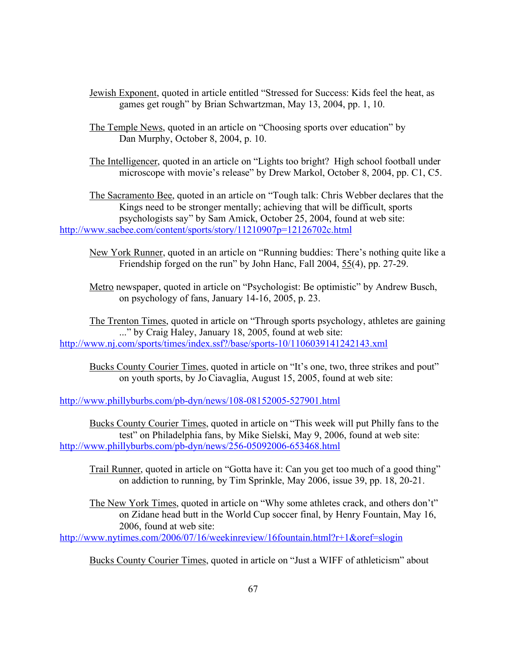- Jewish Exponent, quoted in article entitled "Stressed for Success: Kids feel the heat, as games get rough" by Brian Schwartzman, May 13, 2004, pp. 1, 10.
- The Temple News, quoted in an article on "Choosing sports over education" by Dan Murphy, October 8, 2004, p. 10.
- The Intelligencer, quoted in an article on "Lights too bright? High school football under microscope with movie's release" by Drew Markol, October 8, 2004, pp. C1, C5.

The Sacramento Bee, quoted in an article on "Tough talk: Chris Webber declares that the Kings need to be stronger mentally; achieving that will be difficult, sports psychologists say" by Sam Amick, October 25, 2004, found at web site: http://www.sacbee.com/content/sports/story/11210907p=12126702c.html

New York Runner, quoted in an article on "Running buddies: There's nothing quite like a Friendship forged on the run" by John Hanc, Fall 2004, 55(4), pp. 27-29.

Metro newspaper, quoted in article on "Psychologist: Be optimistic" by Andrew Busch, on psychology of fans, January 14-16, 2005, p. 23.

The Trenton Times, quoted in article on "Through sports psychology, athletes are gaining ..." by Craig Haley, January 18, 2005, found at web site: http://www.nj.com/sports/times/index.ssf?/base/sports-10/1106039141242143.xml

Bucks County Courier Times, quoted in article on "It's one, two, three strikes and pout" on youth sports, by Jo Ciavaglia, August 15, 2005, found at web site:

http://www.phillyburbs.com/pb-dyn/news/108-08152005-527901.html

Bucks County Courier Times, quoted in article on "This week will put Philly fans to the test" on Philadelphia fans, by Mike Sielski, May 9, 2006, found at web site: http://www.phillyburbs.com/pb-dyn/news/256-05092006-653468.html

Trail Runner, quoted in article on "Gotta have it: Can you get too much of a good thing" on addiction to running, by Tim Sprinkle, May 2006, issue 39, pp. 18, 20-21.

The New York Times, quoted in article on "Why some athletes crack, and others don't" on Zidane head butt in the World Cup soccer final, by Henry Fountain, May 16, 2006, found at web site:

http://www.nytimes.com/2006/07/16/weekinreview/16fountain.html?r+1&oref=slogin

Bucks County Courier Times, quoted in article on "Just a WIFF of athleticism" about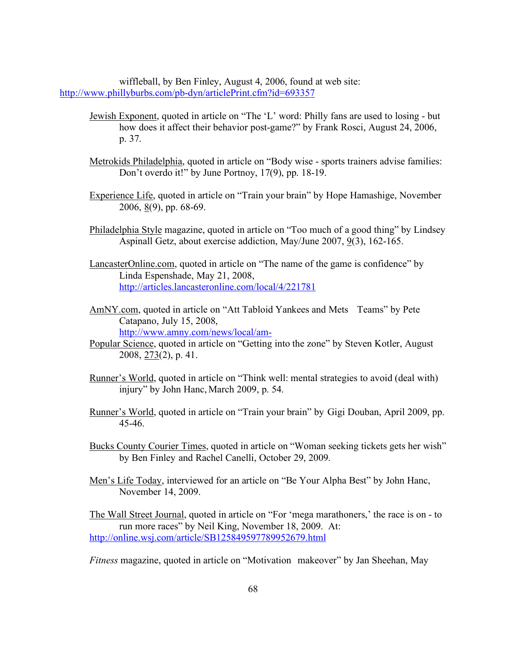wiffleball, by Ben Finley, August 4, 2006, found at web site: http://www.phillyburbs.com/pb-dyn/articlePrint.cfm?id=693357

- Jewish Exponent, quoted in article on "The 'L' word: Philly fans are used to losing but how does it affect their behavior post-game?" by Frank Rosci, August 24, 2006, p. 37.
- Metrokids Philadelphia, quoted in article on "Body wise sports trainers advise families: Don't overdo it!" by June Portnoy, 17(9), pp. 18-19.
- Experience Life, quoted in article on "Train your brain" by Hope Hamashige, November 2006,  $8(9)$ , pp. 68-69.
- Philadelphia Style magazine, quoted in article on "Too much of a good thing" by Lindsey Aspinall Getz, about exercise addiction, May/June 2007, 9(3), 162-165.
- LancasterOnline.com, quoted in article on "The name of the game is confidence" by Linda Espenshade, May 21, 2008, http://articles.lancasteronline.com/local/4/221781
- AmNY.com, quoted in article on "Att Tabloid Yankees and Mets Teams" by Pete Catapano, July 15, 2008, http://www.amny.com/news/local/am-
- Popular Science, quoted in article on "Getting into the zone" by Steven Kotler, August 2008, 273(2), p. 41.
- Runner's World, quoted in article on "Think well: mental strategies to avoid (deal with) injury" by John Hanc, March 2009, p. 54.
- Runner's World, quoted in article on "Train your brain" by Gigi Douban, April 2009, pp. 45-46.
- Bucks County Courier Times, quoted in article on "Woman seeking tickets gets her wish" by Ben Finley and Rachel Canelli, October 29, 2009.
- Men's Life Today, interviewed for an article on "Be Your Alpha Best" by John Hanc, November 14, 2009.

The Wall Street Journal, quoted in article on "For 'mega marathoners,' the race is on - to run more races" by Neil King, November 18, 2009. At: http://online.wsj.com/article/SB125849597789952679.html

*Fitness* magazine, quoted in article on "Motivation makeover" by Jan Sheehan, May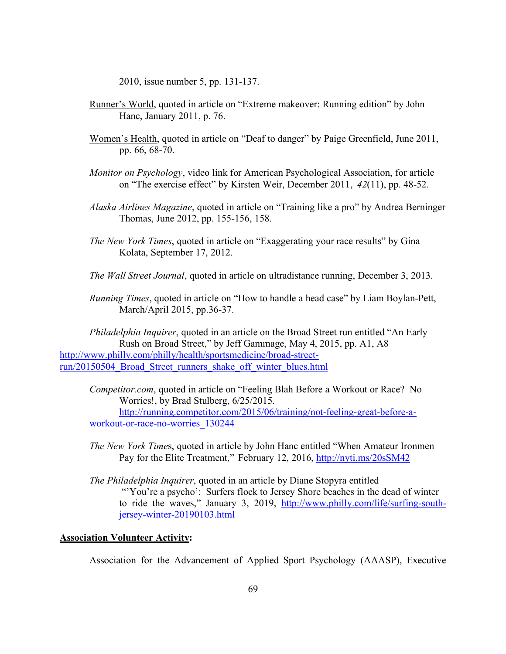2010, issue number 5, pp. 131-137.

- Runner's World, quoted in article on "Extreme makeover: Running edition" by John Hanc, January 2011, p. 76.
- Women's Health, quoted in article on "Deaf to danger" by Paige Greenfield, June 2011, pp. 66, 68-70.
- *Monitor on Psychology*, video link for American Psychological Association, for article on "The exercise effect" by Kirsten Weir, December 2011, *42*(11), pp. 48-52.
- *Alaska Airlines Magazine*, quoted in article on "Training like a pro" by Andrea Berninger Thomas, June 2012, pp. 155-156, 158.
- *The New York Times*, quoted in article on "Exaggerating your race results" by Gina Kolata, September 17, 2012.
- *The Wall Street Journal*, quoted in article on ultradistance running, December 3, 2013.
- *Running Times*, quoted in article on "How to handle a head case" by Liam Boylan-Pett, March/April 2015, pp.36-37.

*Philadelphia Inquirer*, quoted in an article on the Broad Street run entitled "An Early Rush on Broad Street," by Jeff Gammage, May 4, 2015, pp. A1, A8 http://www.philly.com/philly/health/sportsmedicine/broad-streetrun/20150504\_Broad\_Street\_runners\_shake\_off\_winter\_blues.html

*Competitor.com*, quoted in article on "Feeling Blah Before a Workout or Race? No Worries!, by Brad Stulberg, 6/25/2015. http://running.competitor.com/2015/06/training/not-feeling-great-before-a-

workout-or-race-no-worries\_130244

*The New York Time*s, quoted in article by John Hanc entitled "When Amateur Ironmen Pay for the Elite Treatment," February 12, 2016, http://nyti.ms/20sSM42

*The Philadelphia Inquirer*, quoted in an article by Diane Stopyra entitled "'You're a psycho': Surfers flock to Jersey Shore beaches in the dead of winter to ride the waves," January 3, 2019, http://www.philly.com/life/surfing-southjersey-winter-20190103.html

# **Association Volunteer Activity:**

Association for the Advancement of Applied Sport Psychology (AAASP), Executive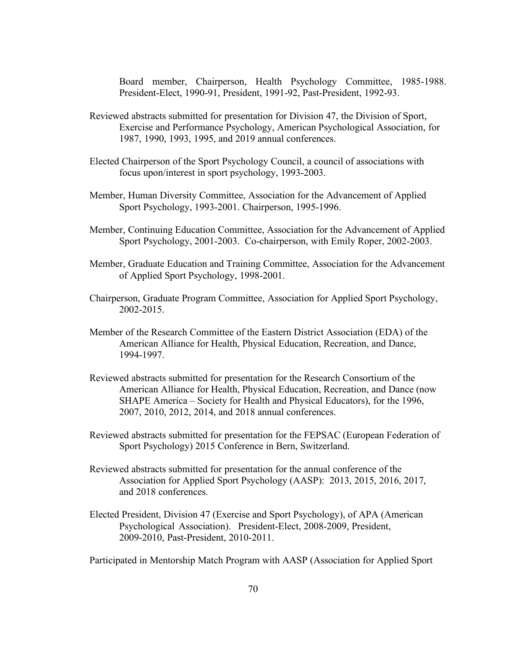Board member, Chairperson, Health Psychology Committee, 1985-1988. President-Elect, 1990-91, President, 1991-92, Past-President, 1992-93.

- Reviewed abstracts submitted for presentation for Division 47, the Division of Sport, Exercise and Performance Psychology, American Psychological Association, for 1987, 1990, 1993, 1995, and 2019 annual conferences.
- Elected Chairperson of the Sport Psychology Council, a council of associations with focus upon/interest in sport psychology, 1993-2003.
- Member, Human Diversity Committee, Association for the Advancement of Applied Sport Psychology, 1993-2001. Chairperson, 1995-1996.
- Member, Continuing Education Committee, Association for the Advancement of Applied Sport Psychology, 2001-2003. Co-chairperson, with Emily Roper, 2002-2003.
- Member, Graduate Education and Training Committee, Association for the Advancement of Applied Sport Psychology, 1998-2001.
- Chairperson, Graduate Program Committee, Association for Applied Sport Psychology, 2002-2015.
- Member of the Research Committee of the Eastern District Association (EDA) of the American Alliance for Health, Physical Education, Recreation, and Dance, 1994-1997.
- Reviewed abstracts submitted for presentation for the Research Consortium of the American Alliance for Health, Physical Education, Recreation, and Dance (now SHAPE America – Society for Health and Physical Educators), for the 1996, 2007, 2010, 2012, 2014, and 2018 annual conferences.
- Reviewed abstracts submitted for presentation for the FEPSAC (European Federation of Sport Psychology) 2015 Conference in Bern, Switzerland.
- Reviewed abstracts submitted for presentation for the annual conference of the Association for Applied Sport Psychology (AASP): 2013, 2015, 2016, 2017, and 2018 conferences.
- Elected President, Division 47 (Exercise and Sport Psychology), of APA (American Psychological Association). President-Elect, 2008-2009, President, 2009-2010, Past-President, 2010-2011.

Participated in Mentorship Match Program with AASP (Association for Applied Sport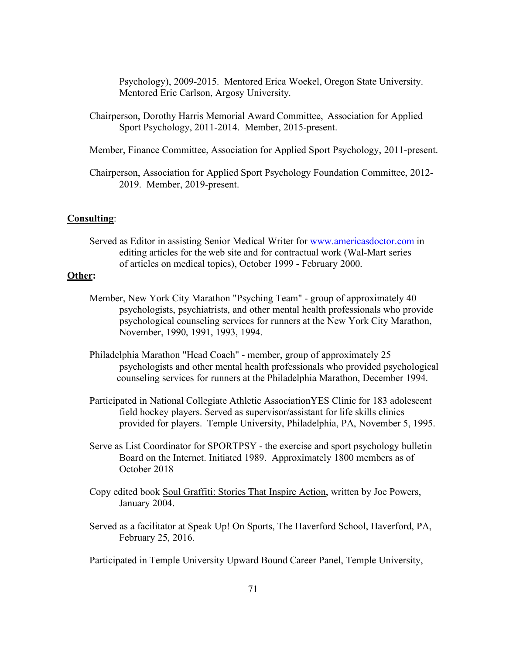Psychology), 2009-2015. Mentored Erica Woekel, Oregon State University. Mentored Eric Carlson, Argosy University.

- Chairperson, Dorothy Harris Memorial Award Committee, Association for Applied Sport Psychology, 2011-2014. Member, 2015-present.
- Member, Finance Committee, Association for Applied Sport Psychology, 2011-present.
- Chairperson, Association for Applied Sport Psychology Foundation Committee, 2012- 2019. Member, 2019-present.

### **Consulting**:

Served as Editor in assisting Senior Medical Writer for www.americasdoctor.com in editing articles for the web site and for contractual work (Wal-Mart series of articles on medical topics), October 1999 - February 2000.

# **Other:**

- Member, New York City Marathon "Psyching Team" group of approximately 40 psychologists, psychiatrists, and other mental health professionals who provide psychological counseling services for runners at the New York City Marathon, November, 1990, 1991, 1993, 1994.
- Philadelphia Marathon "Head Coach" member, group of approximately 25 psychologists and other mental health professionals who provided psychological counseling services for runners at the Philadelphia Marathon, December 1994.
- Participated in National Collegiate Athletic AssociationYES Clinic for 183 adolescent field hockey players. Served as supervisor/assistant for life skills clinics provided for players. Temple University, Philadelphia, PA, November 5, 1995.
- Serve as List Coordinator for SPORTPSY the exercise and sport psychology bulletin Board on the Internet. Initiated 1989. Approximately 1800 members as of October 2018
- Copy edited book Soul Graffiti: Stories That Inspire Action, written by Joe Powers, January 2004.
- Served as a facilitator at Speak Up! On Sports, The Haverford School, Haverford, PA, February 25, 2016.
- Participated in Temple University Upward Bound Career Panel, Temple University,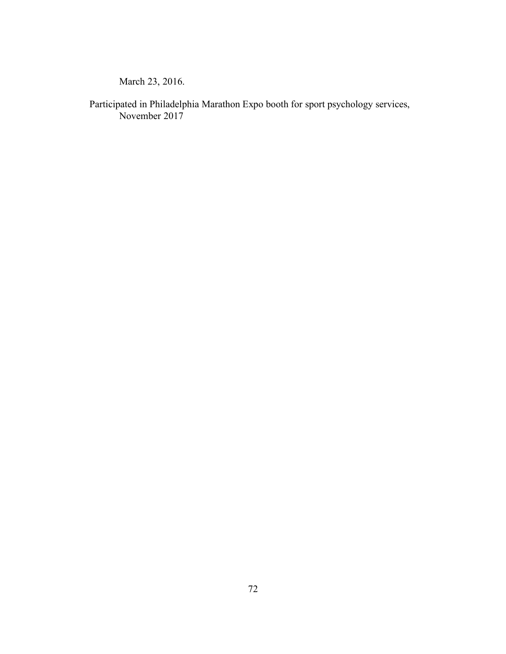March 23, 2016.

Participated in Philadelphia Marathon Expo booth for sport psychology services, November 2017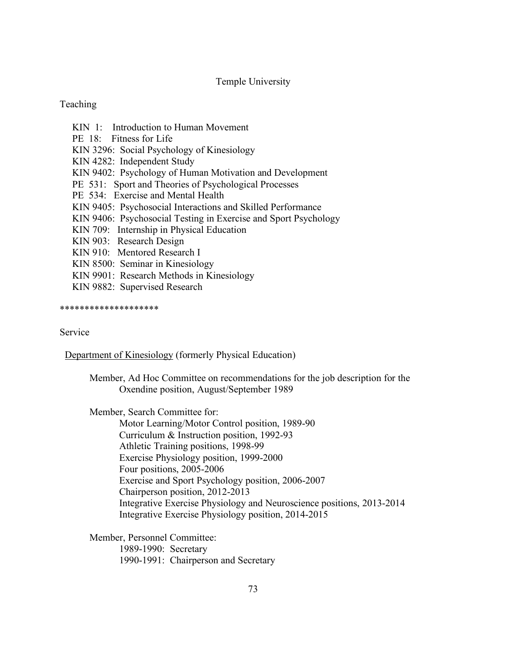# Temple University

## **Teaching**

- KIN 1: Introduction to Human Movement
- PE 18: Fitness for Life
- KIN 3296: Social Psychology of Kinesiology
- KIN 4282: Independent Study
- KIN 9402: Psychology of Human Motivation and Development
- PE 531: Sport and Theories of Psychological Processes
- PE 534: Exercise and Mental Health
- KIN 9405: Psychosocial Interactions and Skilled Performance
- KIN 9406: Psychosocial Testing in Exercise and Sport Psychology
- KIN 709: Internship in Physical Education
- KIN 903: Research Design
- KIN 910: Mentored Research I
- KIN 8500: Seminar in Kinesiology
- KIN 9901: Research Methods in Kinesiology
- KIN 9882: Supervised Research

\*\*\*\*\*\*\*\*\*\*\*\*\*\*\*\*\*\*\*\*

## Service

Department of Kinesiology (formerly Physical Education)

Member, Ad Hoc Committee on recommendations for the job description for the Oxendine position, August/September 1989

Member, Search Committee for:

Motor Learning/Motor Control position, 1989-90 Curriculum & Instruction position, 1992-93 Athletic Training positions, 1998-99 Exercise Physiology position, 1999-2000 Four positions, 2005-2006 Exercise and Sport Psychology position, 2006-2007 Chairperson position, 2012-2013 Integrative Exercise Physiology and Neuroscience positions, 2013-2014 Integrative Exercise Physiology position, 2014-2015

Member, Personnel Committee:

1989-1990: Secretary

1990-1991: Chairperson and Secretary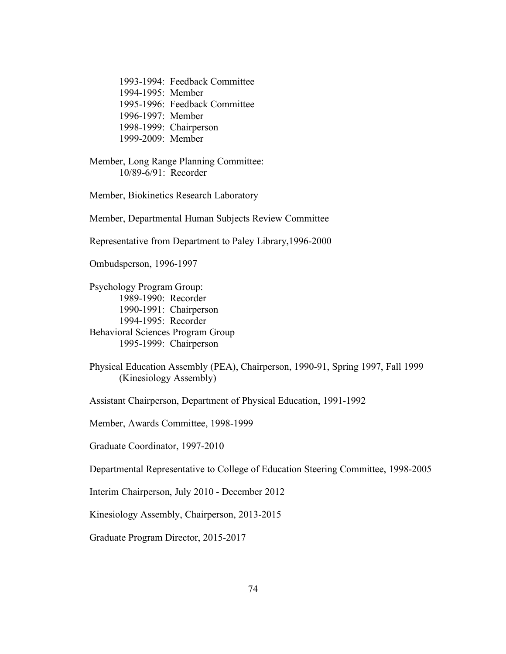1993-1994: Feedback Committee 1994-1995: Member 1995-1996: Feedback Committee 1996-1997: Member 1998-1999: Chairperson 1999-2009: Member

Member, Long Range Planning Committee: 10/89-6/91: Recorder

Member, Biokinetics Research Laboratory

Member, Departmental Human Subjects Review Committee

Representative from Department to Paley Library,1996-2000

Ombudsperson, 1996-1997

Psychology Program Group: 1989-1990: Recorder 1990-1991: Chairperson 1994-1995: Recorder Behavioral Sciences Program Group 1995-1999: Chairperson

Assistant Chairperson, Department of Physical Education, 1991-1992

Member, Awards Committee, 1998-1999

Graduate Coordinator, 1997-2010

Departmental Representative to College of Education Steering Committee, 1998-2005

Interim Chairperson, July 2010 - December 2012

Kinesiology Assembly, Chairperson, 2013-2015

Graduate Program Director, 2015-2017

Physical Education Assembly (PEA), Chairperson, 1990-91, Spring 1997, Fall 1999 (Kinesiology Assembly)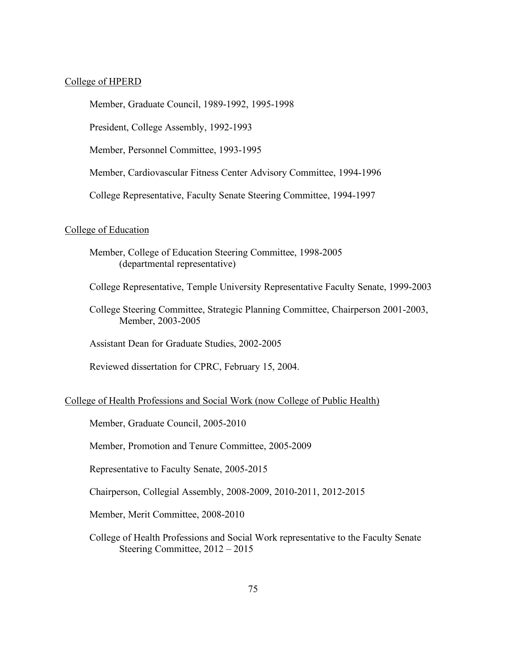## College of HPERD

Member, Graduate Council, 1989-1992, 1995-1998

President, College Assembly, 1992-1993

Member, Personnel Committee, 1993-1995

Member, Cardiovascular Fitness Center Advisory Committee, 1994-1996

College Representative, Faculty Senate Steering Committee, 1994-1997

#### College of Education

Member, College of Education Steering Committee, 1998-2005 (departmental representative)

College Representative, Temple University Representative Faculty Senate, 1999-2003

College Steering Committee, Strategic Planning Committee, Chairperson 2001-2003, Member, 2003-2005

Assistant Dean for Graduate Studies, 2002-2005

Reviewed dissertation for CPRC, February 15, 2004.

### College of Health Professions and Social Work (now College of Public Health)

Member, Graduate Council, 2005-2010

Member, Promotion and Tenure Committee, 2005-2009

Representative to Faculty Senate, 2005-2015

Chairperson, Collegial Assembly, 2008-2009, 2010-2011, 2012-2015

Member, Merit Committee, 2008-2010

College of Health Professions and Social Work representative to the Faculty Senate Steering Committee, 2012 – 2015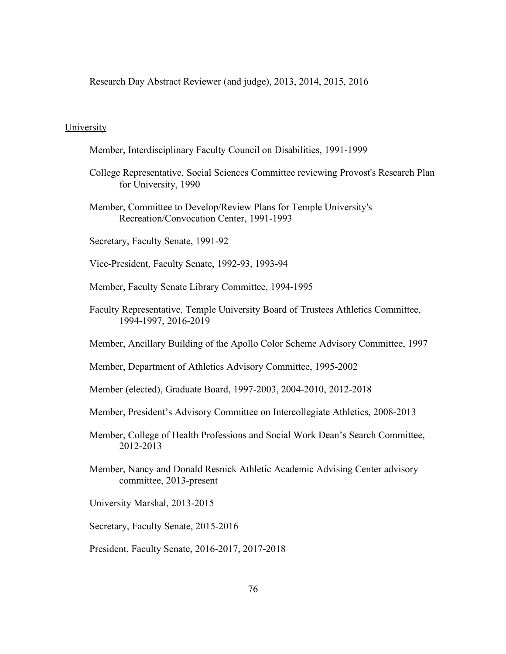Research Day Abstract Reviewer (and judge), 2013, 2014, 2015, 2016

## University

- Member, Interdisciplinary Faculty Council on Disabilities, 1991-1999
- College Representative, Social Sciences Committee reviewing Provost's Research Plan for University, 1990
- Member, Committee to Develop/Review Plans for Temple University's Recreation/Convocation Center, 1991-1993
- Secretary, Faculty Senate, 1991-92
- Vice-President, Faculty Senate, 1992-93, 1993-94
- Member, Faculty Senate Library Committee, 1994-1995
- Faculty Representative, Temple University Board of Trustees Athletics Committee, 1994-1997, 2016-2019
- Member, Ancillary Building of the Apollo Color Scheme Advisory Committee, 1997
- Member, Department of Athletics Advisory Committee, 1995-2002
- Member (elected), Graduate Board, 1997-2003, 2004-2010, 2012-2018
- Member, President's Advisory Committee on Intercollegiate Athletics, 2008-2013
- Member, College of Health Professions and Social Work Dean's Search Committee, 2012-2013
- Member, Nancy and Donald Resnick Athletic Academic Advising Center advisory committee, 2013-present
- University Marshal, 2013-2015
- Secretary, Faculty Senate, 2015-2016
- President, Faculty Senate, 2016-2017, 2017-2018